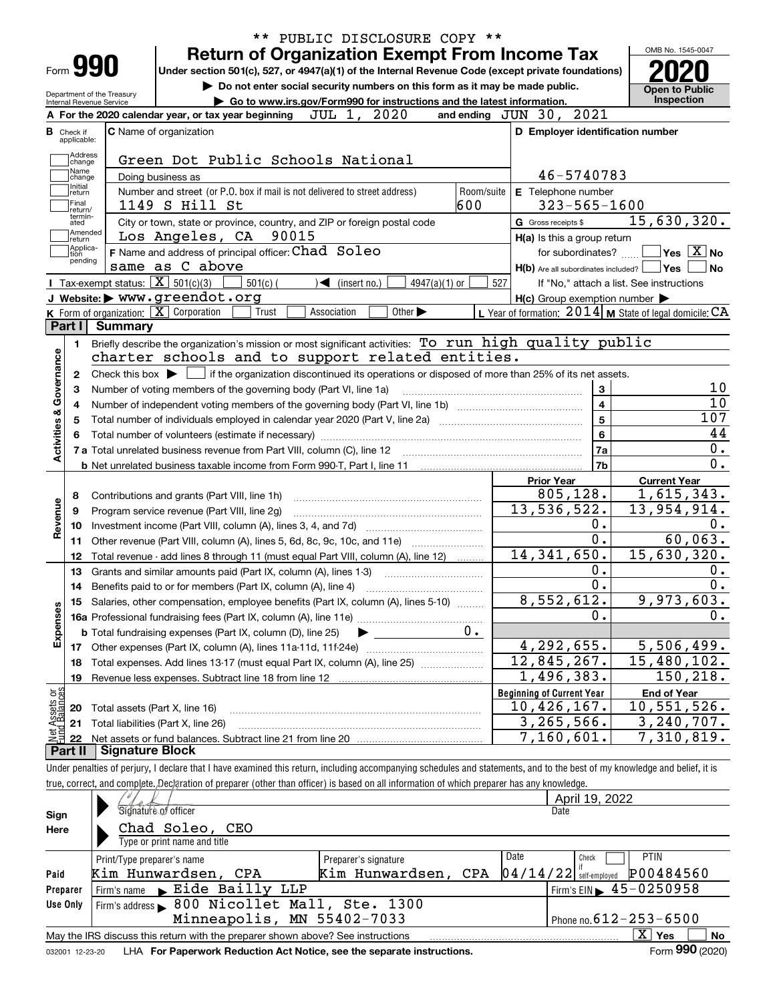|                           |                         |                                                                                                                                                                                                   | PUBLIC DISCLOSURE COPY **                                                                                                                                                  |                                                                                                                  |                                                 |  |  |  |  |  |
|---------------------------|-------------------------|---------------------------------------------------------------------------------------------------------------------------------------------------------------------------------------------------|----------------------------------------------------------------------------------------------------------------------------------------------------------------------------|------------------------------------------------------------------------------------------------------------------|-------------------------------------------------|--|--|--|--|--|
|                           |                         |                                                                                                                                                                                                   | <b>Return of Organization Exempt From Income Tax</b>                                                                                                                       |                                                                                                                  | OMB No. 1545-0047                               |  |  |  |  |  |
|                           | Form 990                |                                                                                                                                                                                                   | Under section 501(c), 527, or 4947(a)(1) of the Internal Revenue Code (except private foundations)                                                                         |                                                                                                                  |                                                 |  |  |  |  |  |
|                           |                         | Department of the Treasurv                                                                                                                                                                        | Do not enter social security numbers on this form as it may be made public.                                                                                                |                                                                                                                  | <b>Open to Public</b>                           |  |  |  |  |  |
|                           |                         | Internal Revenue Service                                                                                                                                                                          | Go to www.irs.gov/Form990 for instructions and the latest information.                                                                                                     |                                                                                                                  | Inspection                                      |  |  |  |  |  |
|                           |                         |                                                                                                                                                                                                   | JUL 1, 2020<br>A For the 2020 calendar year, or tax year beginning                                                                                                         | and ending JUN 30, 2021                                                                                          |                                                 |  |  |  |  |  |
| в                         | Check if<br>applicable: |                                                                                                                                                                                                   | C Name of organization                                                                                                                                                     | D Employer identification number                                                                                 |                                                 |  |  |  |  |  |
|                           | Address                 |                                                                                                                                                                                                   |                                                                                                                                                                            |                                                                                                                  |                                                 |  |  |  |  |  |
|                           | change<br>Name          |                                                                                                                                                                                                   | Green Dot Public Schools National                                                                                                                                          |                                                                                                                  |                                                 |  |  |  |  |  |
|                           | change<br>Initial       |                                                                                                                                                                                                   | Doing business as                                                                                                                                                          | 46-5740783                                                                                                       |                                                 |  |  |  |  |  |
|                           | return<br>Final         |                                                                                                                                                                                                   | Number and street (or P.O. box if mail is not delivered to street address)<br>Room/suite                                                                                   | E Telephone number                                                                                               |                                                 |  |  |  |  |  |
|                           | return/<br>termin-      |                                                                                                                                                                                                   | 600<br>1149 S Hill St                                                                                                                                                      | $323 - 565 - 1600$                                                                                               |                                                 |  |  |  |  |  |
|                           | ated<br>Amended         |                                                                                                                                                                                                   | City or town, state or province, country, and ZIP or foreign postal code                                                                                                   | G Gross receipts \$                                                                                              | 15,630,320.                                     |  |  |  |  |  |
|                           | return<br>Applica-      |                                                                                                                                                                                                   | Los Angeles, CA 90015                                                                                                                                                      | H(a) Is this a group return                                                                                      |                                                 |  |  |  |  |  |
|                           | tion<br>pending         |                                                                                                                                                                                                   | F Name and address of principal officer: Chad Soleo                                                                                                                        | for subordinates?                                                                                                | $\overline{\ }$ Yes $\overline{\phantom{X}}$ No |  |  |  |  |  |
|                           |                         | <b>I</b> Tax-exempt status: $\overline{\mathbf{X}}$ 501(c)(3)                                                                                                                                     | same as C above                                                                                                                                                            | H(b) Are all subordinates included?   Yes                                                                        | l No                                            |  |  |  |  |  |
|                           |                         |                                                                                                                                                                                                   | $501(c)$ (<br>$\sqrt{\frac{1}{1}}$ (insert no.)<br>4947(a)(1) or<br>J Website: > www.greendot.org                                                                          | 527<br>If "No," attach a list. See instructions                                                                  |                                                 |  |  |  |  |  |
|                           |                         |                                                                                                                                                                                                   | K Form of organization: $\boxed{\mathbf{X}}$ Corporation<br>Trust<br>Association<br>Other $\blacktriangleright$                                                            | $H(c)$ Group exemption number $\blacktriangleright$<br>L Year of formation: $2014$ M State of legal domicile: CA |                                                 |  |  |  |  |  |
|                           | Part I                  | Summary                                                                                                                                                                                           |                                                                                                                                                                            |                                                                                                                  |                                                 |  |  |  |  |  |
|                           |                         |                                                                                                                                                                                                   | Briefly describe the organization's mission or most significant activities: To run high quality public                                                                     |                                                                                                                  |                                                 |  |  |  |  |  |
|                           | 1.                      |                                                                                                                                                                                                   | charter schools and to support related entities.                                                                                                                           |                                                                                                                  |                                                 |  |  |  |  |  |
|                           |                         |                                                                                                                                                                                                   | Check this box $\blacktriangleright$ $\blacksquare$ if the organization discontinued its operations or disposed of more than 25% of its net assets.                        |                                                                                                                  |                                                 |  |  |  |  |  |
| Activities & Governance   | $\mathbf{2}$            |                                                                                                                                                                                                   | Number of voting members of the governing body (Part VI, line 1a)                                                                                                          | $\mathbf{3}$                                                                                                     | 10                                              |  |  |  |  |  |
|                           | 3                       |                                                                                                                                                                                                   |                                                                                                                                                                            |                                                                                                                  | 10                                              |  |  |  |  |  |
|                           |                         | $\overline{4}$<br>4<br>$\overline{5}$<br>Total number of individuals employed in calendar year 2020 (Part V, line 2a) manufacture of individuals employed in calendar year 2020 (Part V, line 2a) |                                                                                                                                                                            |                                                                                                                  |                                                 |  |  |  |  |  |
|                           |                         |                                                                                                                                                                                                   | 107<br>44                                                                                                                                                                  |                                                                                                                  |                                                 |  |  |  |  |  |
|                           |                         |                                                                                                                                                                                                   |                                                                                                                                                                            | $6\phantom{a}$<br>7a                                                                                             | 0.                                              |  |  |  |  |  |
|                           |                         |                                                                                                                                                                                                   |                                                                                                                                                                            | 7 <sub>b</sub>                                                                                                   | $\overline{0}$ .                                |  |  |  |  |  |
|                           |                         |                                                                                                                                                                                                   |                                                                                                                                                                            | <b>Prior Year</b>                                                                                                | <b>Current Year</b>                             |  |  |  |  |  |
|                           | 8                       |                                                                                                                                                                                                   | Contributions and grants (Part VIII, line 1h)                                                                                                                              | 805, 128.                                                                                                        | 1,615,343.                                      |  |  |  |  |  |
|                           | 9                       |                                                                                                                                                                                                   | Program service revenue (Part VIII, line 2g)                                                                                                                               | 13,536,522.                                                                                                      | 13,954,914.                                     |  |  |  |  |  |
| Revenue                   | 10                      |                                                                                                                                                                                                   |                                                                                                                                                                            | 0.                                                                                                               | 0.                                              |  |  |  |  |  |
|                           | 11                      |                                                                                                                                                                                                   |                                                                                                                                                                            | $\overline{0}$ .                                                                                                 | 60,063.                                         |  |  |  |  |  |
|                           | 12                      |                                                                                                                                                                                                   | Total revenue - add lines 8 through 11 (must equal Part VIII, column (A), line 12)                                                                                         | 14, 341, 650.                                                                                                    | 15,630,320.                                     |  |  |  |  |  |
|                           | 13                      |                                                                                                                                                                                                   | Grants and similar amounts paid (Part IX, column (A), lines 1-3)                                                                                                           | 0.                                                                                                               | 0.                                              |  |  |  |  |  |
|                           | 14                      |                                                                                                                                                                                                   | Benefits paid to or for members (Part IX, column (A), line 4)                                                                                                              | $\overline{0}$ .                                                                                                 | $\overline{0}$ .                                |  |  |  |  |  |
|                           |                         |                                                                                                                                                                                                   | 15 Salaries, other compensation, employee benefits (Part IX, column (A), lines 5-10)                                                                                       | 8,552,612.                                                                                                       | 9,973,603.                                      |  |  |  |  |  |
|                           |                         |                                                                                                                                                                                                   |                                                                                                                                                                            | 0.                                                                                                               | 0.                                              |  |  |  |  |  |
| Expenses                  |                         |                                                                                                                                                                                                   | 0.<br><b>b</b> Total fundraising expenses (Part IX, column (D), line 25)                                                                                                   |                                                                                                                  |                                                 |  |  |  |  |  |
|                           |                         |                                                                                                                                                                                                   | ▶                                                                                                                                                                          | 4,292,655.                                                                                                       | 5,506,499.                                      |  |  |  |  |  |
|                           |                         |                                                                                                                                                                                                   | Total expenses. Add lines 13-17 (must equal Part IX, column (A), line 25)                                                                                                  | 12,845,267.                                                                                                      | $\overline{15}$ , 480, 102.                     |  |  |  |  |  |
|                           | 18<br>19                |                                                                                                                                                                                                   | Revenue less expenses. Subtract line 18 from line 12                                                                                                                       | 1,496,383.                                                                                                       | 150,218.                                        |  |  |  |  |  |
|                           |                         |                                                                                                                                                                                                   |                                                                                                                                                                            | <b>Beginning of Current Year</b>                                                                                 | <b>End of Year</b>                              |  |  |  |  |  |
| : Assets or<br>d Balances | 20                      |                                                                                                                                                                                                   | Total assets (Part X, line 16)                                                                                                                                             | $10,426,167$ .                                                                                                   | 10,551,526.                                     |  |  |  |  |  |
|                           | 21                      |                                                                                                                                                                                                   | Total liabilities (Part X, line 26)                                                                                                                                        | 3, 265, 566.                                                                                                     | 3, 240, 707.                                    |  |  |  |  |  |
|                           | 22                      |                                                                                                                                                                                                   |                                                                                                                                                                            | $\overline{7}$ , 160, 601.                                                                                       | $\overline{7}$ , 310, 819.                      |  |  |  |  |  |
|                           | Part II                 | <b>Signature Block</b>                                                                                                                                                                            |                                                                                                                                                                            |                                                                                                                  |                                                 |  |  |  |  |  |
|                           |                         |                                                                                                                                                                                                   | Under penalties of perjury, I declare that I have examined this return, including accompanying schedules and statements, and to the best of my knowledge and belief, it is |                                                                                                                  |                                                 |  |  |  |  |  |
|                           |                         |                                                                                                                                                                                                   | true, correct, and complete. Declaration of preparer (other than officer) is based on all information of which preparer has any knowledge.                                 |                                                                                                                  |                                                 |  |  |  |  |  |
|                           |                         |                                                                                                                                                                                                   |                                                                                                                                                                            | April 19, 2022                                                                                                   |                                                 |  |  |  |  |  |
|                           |                         |                                                                                                                                                                                                   | Signature of officer                                                                                                                                                       | Date                                                                                                             |                                                 |  |  |  |  |  |
| Sign                      |                         |                                                                                                                                                                                                   |                                                                                                                                                                            |                                                                                                                  |                                                 |  |  |  |  |  |

| Sign     | <b>Signally 6 Of Unicel</b>                                                     |                      | Dalt                                              |
|----------|---------------------------------------------------------------------------------|----------------------|---------------------------------------------------|
| Here     | Chad Soleo, CEO                                                                 |                      |                                                   |
|          | Type or print name and title                                                    |                      |                                                   |
|          | Print/Type preparer's name                                                      | Preparer's signature | Date<br>PTIN<br>Check                             |
| Paid     | Kim Hunwardsen, CPA                                                             | Kim Hunwardsen, CPA  | P00484560<br>$04/14/22$ self-employed             |
| Preparer | $Firm's name \rightarrow Eide Bailly LLP$                                       |                      | $1$ Firm's EIN $\blacktriangleright$ 45 - 0250958 |
| Use Only | Firm's address > 800 Nicollet Mall, Ste. 1300                                   |                      |                                                   |
|          | Minneapolis, MN 55402-7033                                                      |                      | Phone no. $612 - 253 - 6500$                      |
|          | May the IRS discuss this return with the preparer shown above? See instructions |                      | $\overline{X}$ Yes<br>No                          |
|          |                                                                                 |                      | $\mathbf{a}$                                      |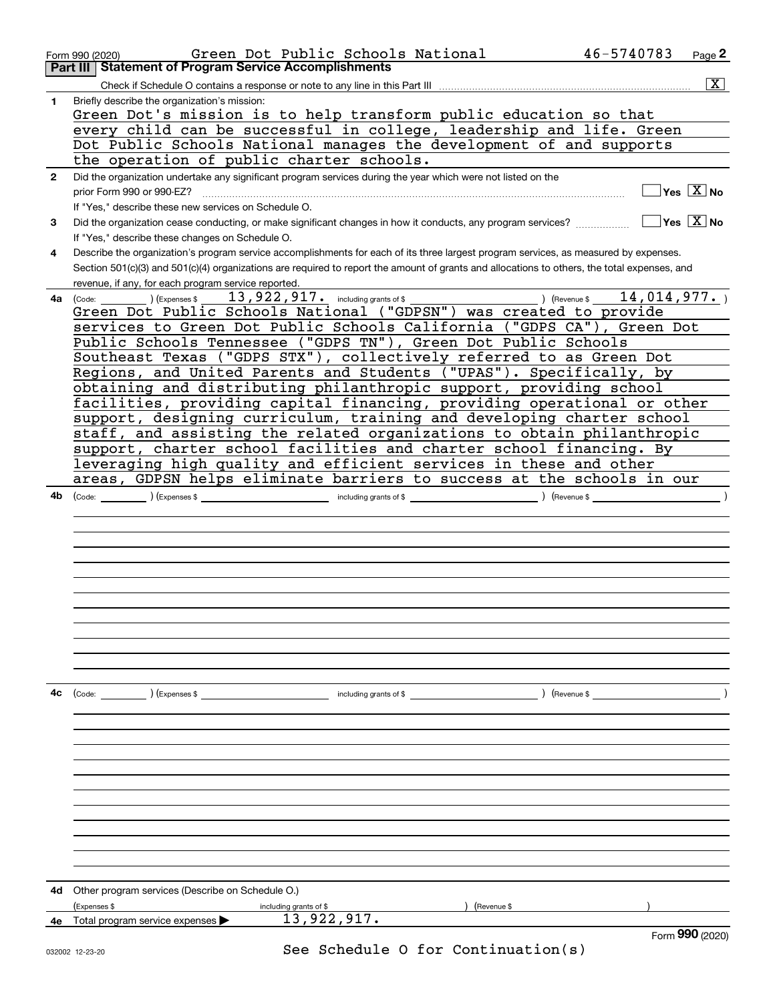|              | Green Dot Public Schools National<br>Form 990 (2020)                                                                                         | 46-5740783  | Page 2                                    |
|--------------|----------------------------------------------------------------------------------------------------------------------------------------------|-------------|-------------------------------------------|
|              | <b>Statement of Program Service Accomplishments</b><br>Part III                                                                              |             |                                           |
|              |                                                                                                                                              |             | $\mathbf{x}$                              |
| 1            | Briefly describe the organization's mission:<br>Green Dot's mission is to help transform public education so that                            |             |                                           |
|              | every child can be successful in college, leadership and life. Green                                                                         |             |                                           |
|              | Dot Public Schools National manages the development of and supports                                                                          |             |                                           |
|              | the operation of public charter schools.                                                                                                     |             |                                           |
| $\mathbf{2}$ | Did the organization undertake any significant program services during the year which were not listed on the                                 |             |                                           |
|              | prior Form 990 or 990-EZ?                                                                                                                    |             | $\overline{\mathsf{Yes} \ \mathbb{X}}$ No |
|              | If "Yes," describe these new services on Schedule O.                                                                                         |             |                                           |
| 3            | Did the organization cease conducting, or make significant changes in how it conducts, any program services?                                 |             | $\sqrt{}$ Yes $\sqrt{}$ X $\sqrt{}$ No    |
|              | If "Yes," describe these changes on Schedule O.                                                                                              |             |                                           |
| 4            | Describe the organization's program service accomplishments for each of its three largest program services, as measured by expenses.         |             |                                           |
|              | Section 501(c)(3) and 501(c)(4) organizations are required to report the amount of grants and allocations to others, the total expenses, and |             |                                           |
|              | revenue, if any, for each program service reported.                                                                                          |             |                                           |
|              | <b>4a</b> (Code: ) (Expenses \$<br>Green Dot Public Schools National ("GDPSN") was created to provide                                        | 14,014,977. |                                           |
|              | services to Green Dot Public Schools California ("GDPS CA"), Green Dot                                                                       |             |                                           |
|              | Public Schools Tennessee ("GDPS TN"), Green Dot Public Schools                                                                               |             |                                           |
|              | Southeast Texas ("GDPS STX"), collectively referred to as Green Dot                                                                          |             |                                           |
|              | Regions, and United Parents and Students ("UPAS"). Specifically, by                                                                          |             |                                           |
|              | obtaining and distributing philanthropic support, providing school                                                                           |             |                                           |
|              | facilities, providing capital financing, providing operational or other                                                                      |             |                                           |
|              | support, designing curriculum, training and developing charter school                                                                        |             |                                           |
|              | staff, and assisting the related organizations to obtain philanthropic                                                                       |             |                                           |
|              | support, charter school facilities and charter school financing. By                                                                          |             |                                           |
|              | leveraging high quality and efficient services in these and other                                                                            |             |                                           |
| 4b           | areas, GDPSN helps eliminate barriers to success at the schools in our                                                                       |             |                                           |
|              | ) (Revenue \$                                                                                                                                |             |                                           |
|              |                                                                                                                                              |             |                                           |
|              |                                                                                                                                              |             |                                           |
|              |                                                                                                                                              |             |                                           |
|              |                                                                                                                                              |             |                                           |
|              |                                                                                                                                              |             |                                           |
|              |                                                                                                                                              |             |                                           |
|              |                                                                                                                                              |             |                                           |
|              |                                                                                                                                              |             |                                           |
|              |                                                                                                                                              |             |                                           |
|              |                                                                                                                                              |             |                                           |
| 4c           | $\left(\text{Code:}\right)$ $\left(\text{Expenses $}\right)$<br>including grants of \$<br>) (Revenue \$                                      |             |                                           |
|              |                                                                                                                                              |             |                                           |
|              |                                                                                                                                              |             |                                           |
|              |                                                                                                                                              |             |                                           |
|              |                                                                                                                                              |             |                                           |
|              |                                                                                                                                              |             |                                           |
|              |                                                                                                                                              |             |                                           |
|              |                                                                                                                                              |             |                                           |
|              |                                                                                                                                              |             |                                           |
|              |                                                                                                                                              |             |                                           |
|              |                                                                                                                                              |             |                                           |
|              |                                                                                                                                              |             |                                           |
| 4d           | Other program services (Describe on Schedule O.)                                                                                             |             |                                           |
|              | (Expenses \$<br>including grants of \$<br>(Revenue \$                                                                                        |             |                                           |
| 4е           | 13,922,917.<br>Total program service expenses                                                                                                |             |                                           |
|              |                                                                                                                                              |             | Form 990 (2020)                           |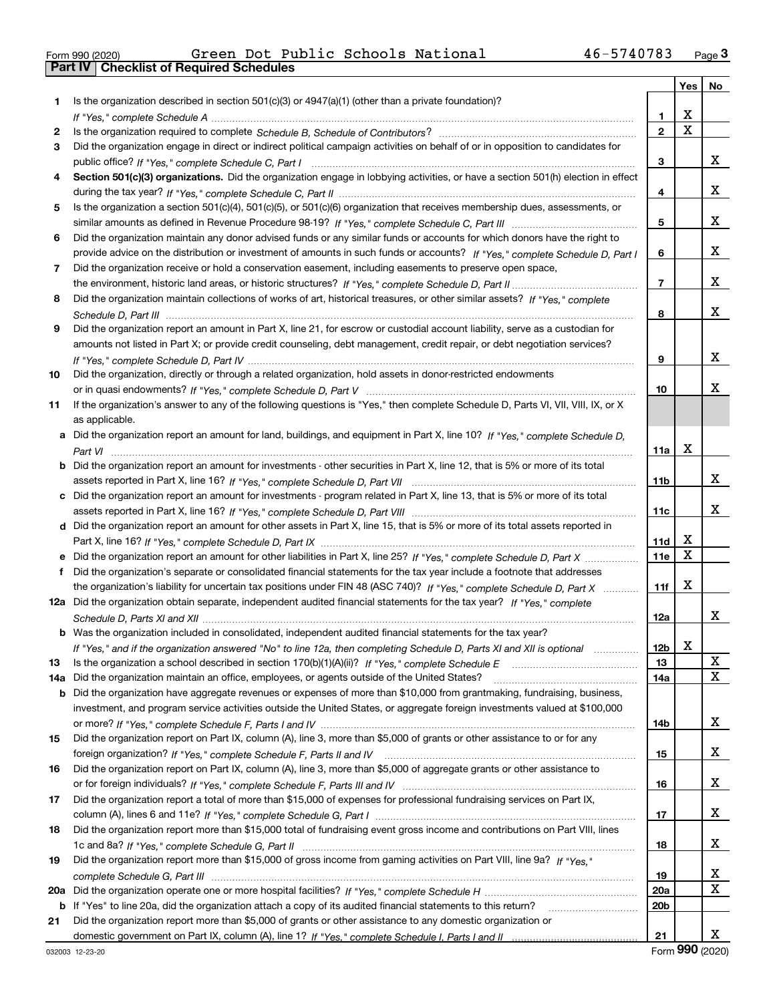|  | Form 990 (2020) |
|--|-----------------|

|     |                                                                                                                                  |                 | Yes | No |
|-----|----------------------------------------------------------------------------------------------------------------------------------|-----------------|-----|----|
| 1.  | Is the organization described in section $501(c)(3)$ or $4947(a)(1)$ (other than a private foundation)?                          |                 |     |    |
|     |                                                                                                                                  | 1               | х   |    |
| 2   |                                                                                                                                  | $\mathbf{2}$    | X   |    |
| 3   | Did the organization engage in direct or indirect political campaign activities on behalf of or in opposition to candidates for  |                 |     |    |
|     |                                                                                                                                  | 3               |     | X. |
| 4   | Section 501(c)(3) organizations. Did the organization engage in lobbying activities, or have a section 501(h) election in effect |                 |     |    |
|     |                                                                                                                                  | 4               |     | X. |
| 5   | Is the organization a section 501(c)(4), 501(c)(5), or 501(c)(6) organization that receives membership dues, assessments, or     |                 |     |    |
|     |                                                                                                                                  | 5               |     | x  |
| 6   | Did the organization maintain any donor advised funds or any similar funds or accounts for which donors have the right to        |                 |     |    |
|     | provide advice on the distribution or investment of amounts in such funds or accounts? If "Yes," complete Schedule D, Part I     | 6               |     | x  |
| 7   | Did the organization receive or hold a conservation easement, including easements to preserve open space,                        |                 |     |    |
|     |                                                                                                                                  | $\overline{7}$  |     | x  |
| 8   | Did the organization maintain collections of works of art, historical treasures, or other similar assets? If "Yes," complete     |                 |     |    |
|     |                                                                                                                                  | 8               |     | x  |
| 9   | Did the organization report an amount in Part X, line 21, for escrow or custodial account liability, serve as a custodian for    |                 |     |    |
|     | amounts not listed in Part X; or provide credit counseling, debt management, credit repair, or debt negotiation services?        |                 |     |    |
|     |                                                                                                                                  | 9               |     | x  |
| 10  | Did the organization, directly or through a related organization, hold assets in donor-restricted endowments                     |                 |     |    |
|     |                                                                                                                                  | 10              |     | x. |
| 11  | If the organization's answer to any of the following questions is "Yes," then complete Schedule D, Parts VI, VII, VIII, IX, or X |                 |     |    |
|     | as applicable.                                                                                                                   |                 |     |    |
| а   | Did the organization report an amount for land, buildings, and equipment in Part X, line 10? If "Yes," complete Schedule D,      |                 |     |    |
|     |                                                                                                                                  | 11a             | X   |    |
| b   | Did the organization report an amount for investments - other securities in Part X, line 12, that is 5% or more of its total     |                 |     |    |
|     |                                                                                                                                  | 11 <sub>b</sub> |     | X. |
| c   | Did the organization report an amount for investments - program related in Part X, line 13, that is 5% or more of its total      |                 |     |    |
|     |                                                                                                                                  | 11c             |     | X. |
|     | d Did the organization report an amount for other assets in Part X, line 15, that is 5% or more of its total assets reported in  |                 |     |    |
|     |                                                                                                                                  | 11d             | X   |    |
|     |                                                                                                                                  | 11e             | X   |    |
| f   | Did the organization's separate or consolidated financial statements for the tax year include a footnote that addresses          |                 |     |    |
|     | the organization's liability for uncertain tax positions under FIN 48 (ASC 740)? If "Yes," complete Schedule D, Part X           | 11f             | x   |    |
| 12a | Did the organization obtain separate, independent audited financial statements for the tax year? If "Yes," complete              |                 |     |    |
|     |                                                                                                                                  | 12a             |     | x  |
|     | Was the organization included in consolidated, independent audited financial statements for the tax year?                        |                 |     |    |
|     | If "Yes," and if the organization answered "No" to line 12a, then completing Schedule D, Parts XI and XII is optional            | 12 <sub>b</sub> | x   |    |
| 13  | Is the organization a school described in section 170(b)(1)(A)(ii)? If "Yes," complete Schedule E                                | 13              |     | X  |
| 14a | Did the organization maintain an office, employees, or agents outside of the United States?                                      | 14a             |     | X  |
| b   | Did the organization have aggregate revenues or expenses of more than \$10,000 from grantmaking, fundraising, business,          |                 |     |    |
|     | investment, and program service activities outside the United States, or aggregate foreign investments valued at \$100,000       |                 |     |    |
|     |                                                                                                                                  | 14b             |     | X. |
| 15  | Did the organization report on Part IX, column (A), line 3, more than \$5,000 of grants or other assistance to or for any        |                 |     |    |
|     |                                                                                                                                  | 15              |     | X. |
| 16  | Did the organization report on Part IX, column (A), line 3, more than \$5,000 of aggregate grants or other assistance to         |                 |     |    |
|     |                                                                                                                                  | 16              |     | X. |
| 17  | Did the organization report a total of more than \$15,000 of expenses for professional fundraising services on Part IX,          |                 |     |    |
|     |                                                                                                                                  | 17              |     | X. |
| 18  | Did the organization report more than \$15,000 total of fundraising event gross income and contributions on Part VIII, lines     |                 |     |    |
|     |                                                                                                                                  | 18              |     | X. |
| 19  | Did the organization report more than \$15,000 of gross income from gaming activities on Part VIII, line 9a? If "Yes."           |                 |     |    |
|     |                                                                                                                                  | 19              |     | x  |
| 20a |                                                                                                                                  | 20a             |     | X  |
| b   | If "Yes" to line 20a, did the organization attach a copy of its audited financial statements to this return?                     | 20 <sub>b</sub> |     |    |
| 21  | Did the organization report more than \$5,000 of grants or other assistance to any domestic organization or                      |                 |     |    |
|     |                                                                                                                                  | 21              |     | x  |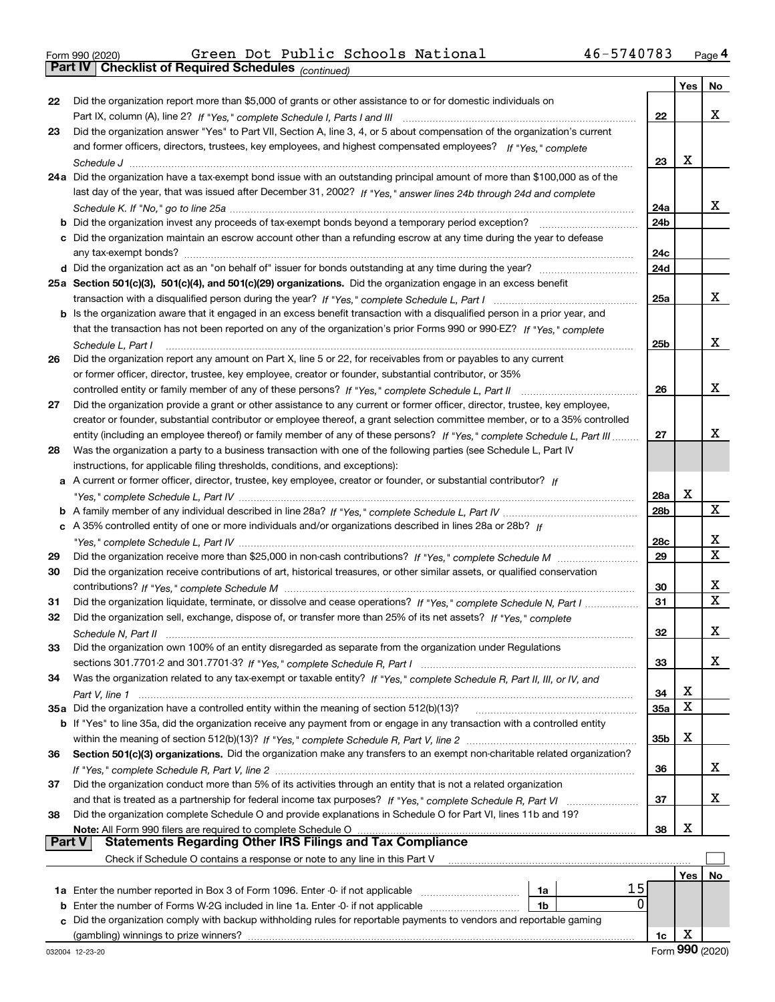*(continued)* Form 990 (2020) Green Dot Public Schools National 46-5740783 <sub>Page</sub>4<br>**Part IV | Checklist of Required Schedules** <sub>(continued)</sub>

|        |                                                                                                                                                                                                                                                                                                    |                 | Yes | No |
|--------|----------------------------------------------------------------------------------------------------------------------------------------------------------------------------------------------------------------------------------------------------------------------------------------------------|-----------------|-----|----|
| 22     | Did the organization report more than \$5,000 of grants or other assistance to or for domestic individuals on                                                                                                                                                                                      |                 |     |    |
|        |                                                                                                                                                                                                                                                                                                    | 22              |     | x  |
| 23     | Did the organization answer "Yes" to Part VII, Section A, line 3, 4, or 5 about compensation of the organization's current                                                                                                                                                                         |                 |     |    |
|        | and former officers, directors, trustees, key employees, and highest compensated employees? If "Yes," complete                                                                                                                                                                                     |                 |     |    |
|        |                                                                                                                                                                                                                                                                                                    | 23              | x   |    |
|        | 24a Did the organization have a tax-exempt bond issue with an outstanding principal amount of more than \$100,000 as of the                                                                                                                                                                        |                 |     |    |
|        | last day of the year, that was issued after December 31, 2002? If "Yes," answer lines 24b through 24d and complete                                                                                                                                                                                 |                 |     |    |
|        |                                                                                                                                                                                                                                                                                                    | 24a             |     | x  |
|        | <b>b</b> Did the organization invest any proceeds of tax-exempt bonds beyond a temporary period exception?                                                                                                                                                                                         | 24 <sub>b</sub> |     |    |
|        | c Did the organization maintain an escrow account other than a refunding escrow at any time during the year to defease                                                                                                                                                                             |                 |     |    |
|        | any tax-exempt bonds?                                                                                                                                                                                                                                                                              | 24c             |     |    |
|        |                                                                                                                                                                                                                                                                                                    | 24d             |     |    |
|        | 25a Section 501(c)(3), 501(c)(4), and 501(c)(29) organizations. Did the organization engage in an excess benefit                                                                                                                                                                                   |                 |     |    |
|        |                                                                                                                                                                                                                                                                                                    | 25a             |     | x  |
|        | b Is the organization aware that it engaged in an excess benefit transaction with a disqualified person in a prior year, and                                                                                                                                                                       |                 |     |    |
|        | that the transaction has not been reported on any of the organization's prior Forms 990 or 990-EZ? If "Yes," complete                                                                                                                                                                              |                 |     |    |
|        | Schedule L. Part I                                                                                                                                                                                                                                                                                 | 25b             |     | x  |
| 26     | Did the organization report any amount on Part X, line 5 or 22, for receivables from or payables to any current                                                                                                                                                                                    |                 |     |    |
|        | or former officer, director, trustee, key employee, creator or founder, substantial contributor, or 35%                                                                                                                                                                                            |                 |     |    |
|        | controlled entity or family member of any of these persons? If "Yes," complete Schedule L, Part II                                                                                                                                                                                                 | 26              |     | x  |
| 27     | Did the organization provide a grant or other assistance to any current or former officer, director, trustee, key employee,                                                                                                                                                                        |                 |     |    |
|        | creator or founder, substantial contributor or employee thereof, a grant selection committee member, or to a 35% controlled                                                                                                                                                                        |                 |     |    |
|        | entity (including an employee thereof) or family member of any of these persons? If "Yes," complete Schedule L, Part III                                                                                                                                                                           | 27              |     | x  |
| 28     | Was the organization a party to a business transaction with one of the following parties (see Schedule L, Part IV                                                                                                                                                                                  |                 |     |    |
|        | instructions, for applicable filing thresholds, conditions, and exceptions):                                                                                                                                                                                                                       |                 |     |    |
| а      | A current or former officer, director, trustee, key employee, creator or founder, or substantial contributor? If                                                                                                                                                                                   |                 |     |    |
|        |                                                                                                                                                                                                                                                                                                    | <b>28a</b>      | x   |    |
|        |                                                                                                                                                                                                                                                                                                    | 28b             |     | X  |
|        | c A 35% controlled entity of one or more individuals and/or organizations described in lines 28a or 28b? If                                                                                                                                                                                        |                 |     |    |
|        |                                                                                                                                                                                                                                                                                                    | 28c             |     | х  |
| 29     |                                                                                                                                                                                                                                                                                                    | 29              |     | X  |
| 30     | Did the organization receive contributions of art, historical treasures, or other similar assets, or qualified conservation                                                                                                                                                                        |                 |     |    |
|        |                                                                                                                                                                                                                                                                                                    | 30              |     | х  |
| 31     | Did the organization liquidate, terminate, or dissolve and cease operations? If "Yes," complete Schedule N, Part I                                                                                                                                                                                 | 31              |     | X  |
| 32     | Did the organization sell, exchange, dispose of, or transfer more than 25% of its net assets? If "Yes," complete                                                                                                                                                                                   |                 |     |    |
|        |                                                                                                                                                                                                                                                                                                    | 32              |     | x  |
| 33     | Did the organization own 100% of an entity disregarded as separate from the organization under Regulations                                                                                                                                                                                         |                 |     |    |
|        |                                                                                                                                                                                                                                                                                                    | 33              |     | x  |
| 34     | Was the organization related to any tax-exempt or taxable entity? If "Yes," complete Schedule R, Part II, III, or IV, and                                                                                                                                                                          |                 |     |    |
|        |                                                                                                                                                                                                                                                                                                    | 34              | х   |    |
|        | 35a Did the organization have a controlled entity within the meaning of section 512(b)(13)?                                                                                                                                                                                                        | <b>35a</b>      | X   |    |
|        | b If "Yes" to line 35a, did the organization receive any payment from or engage in any transaction with a controlled entity                                                                                                                                                                        |                 |     |    |
|        |                                                                                                                                                                                                                                                                                                    | 35b             | х   |    |
| 36     | Section 501(c)(3) organizations. Did the organization make any transfers to an exempt non-charitable related organization?                                                                                                                                                                         |                 |     |    |
|        |                                                                                                                                                                                                                                                                                                    | 36              |     | x  |
| 37     | Did the organization conduct more than 5% of its activities through an entity that is not a related organization                                                                                                                                                                                   |                 |     |    |
|        |                                                                                                                                                                                                                                                                                                    | 37              |     | x  |
| 38     | Did the organization complete Schedule O and provide explanations in Schedule O for Part VI, lines 11b and 19?                                                                                                                                                                                     |                 |     |    |
| Part V | Note: All Form 990 filers are required to complete Schedule O Martin Martin Martin Martin Martin Martin Martin Martin Martin Martin Martin Martin Martin Martin Martin Martin Martin Martin Martin Martin Martin Martin Martin<br><b>Statements Regarding Other IRS Filings and Tax Compliance</b> | 38              | х   |    |
|        |                                                                                                                                                                                                                                                                                                    |                 |     |    |
|        | Check if Schedule O contains a response or note to any line in this Part V                                                                                                                                                                                                                         |                 |     |    |
|        | 15                                                                                                                                                                                                                                                                                                 |                 | Yes | No |
|        | 1a Enter the number reported in Box 3 of Form 1096. Enter -0- if not applicable<br>1a<br>0                                                                                                                                                                                                         |                 |     |    |
| b      | Enter the number of Forms W-2G included in line 1a. Enter -0- if not applicable<br>1b<br>Did the organization comply with backup withholding rules for reportable payments to vendors and reportable gaming                                                                                        |                 |     |    |
| c      |                                                                                                                                                                                                                                                                                                    |                 | X   |    |
|        |                                                                                                                                                                                                                                                                                                    | 1c              |     |    |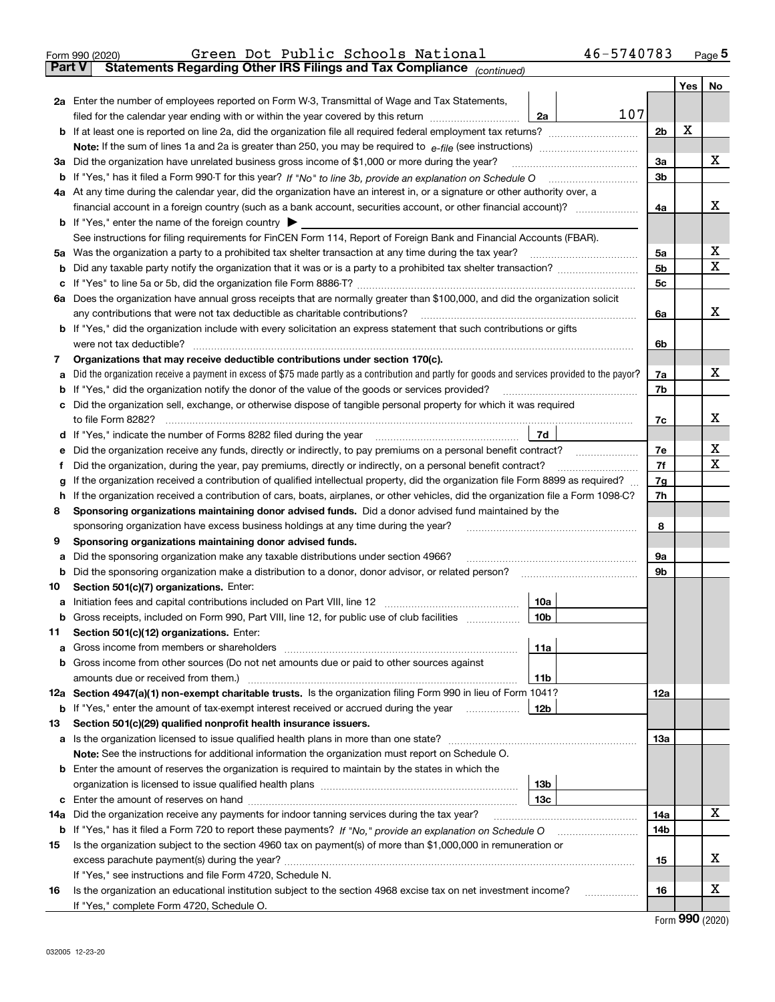|               | 46-5740783<br>Green Dot Public Schools National<br>Form 990 (2020)                                                                                                                                                                    |                |      | $_{\text{Page}}$ 5 |  |  |  |  |  |  |  |  |  |
|---------------|---------------------------------------------------------------------------------------------------------------------------------------------------------------------------------------------------------------------------------------|----------------|------|--------------------|--|--|--|--|--|--|--|--|--|
| <b>Part V</b> | Statements Regarding Other IRS Filings and Tax Compliance (continued)                                                                                                                                                                 |                |      |                    |  |  |  |  |  |  |  |  |  |
|               |                                                                                                                                                                                                                                       |                | Yes  | No                 |  |  |  |  |  |  |  |  |  |
|               | 2a Enter the number of employees reported on Form W-3, Transmittal of Wage and Tax Statements,                                                                                                                                        |                |      |                    |  |  |  |  |  |  |  |  |  |
|               | 107<br>filed for the calendar year ending with or within the year covered by this return<br>2a                                                                                                                                        |                |      |                    |  |  |  |  |  |  |  |  |  |
|               |                                                                                                                                                                                                                                       | 2b             | X    |                    |  |  |  |  |  |  |  |  |  |
|               |                                                                                                                                                                                                                                       |                |      |                    |  |  |  |  |  |  |  |  |  |
|               | 3a Did the organization have unrelated business gross income of \$1,000 or more during the year?                                                                                                                                      |                |      |                    |  |  |  |  |  |  |  |  |  |
| b             |                                                                                                                                                                                                                                       | 3 <sub>b</sub> |      |                    |  |  |  |  |  |  |  |  |  |
|               | 4a At any time during the calendar year, did the organization have an interest in, or a signature or other authority over, a                                                                                                          |                |      |                    |  |  |  |  |  |  |  |  |  |
|               | financial account in a foreign country (such as a bank account, securities account, or other financial account)?                                                                                                                      | 4a             |      | х                  |  |  |  |  |  |  |  |  |  |
|               | <b>b</b> If "Yes," enter the name of the foreign country                                                                                                                                                                              |                |      |                    |  |  |  |  |  |  |  |  |  |
|               | See instructions for filing requirements for FinCEN Form 114, Report of Foreign Bank and Financial Accounts (FBAR).                                                                                                                   |                |      |                    |  |  |  |  |  |  |  |  |  |
|               |                                                                                                                                                                                                                                       | 5а             |      | х                  |  |  |  |  |  |  |  |  |  |
| b             |                                                                                                                                                                                                                                       | 5b             |      | х                  |  |  |  |  |  |  |  |  |  |
| c             |                                                                                                                                                                                                                                       | 5c             |      |                    |  |  |  |  |  |  |  |  |  |
|               | 6a Does the organization have annual gross receipts that are normally greater than \$100,000, and did the organization solicit                                                                                                        |                |      |                    |  |  |  |  |  |  |  |  |  |
|               | any contributions that were not tax deductible as charitable contributions?                                                                                                                                                           | 6a             |      | х                  |  |  |  |  |  |  |  |  |  |
|               | <b>b</b> If "Yes," did the organization include with every solicitation an express statement that such contributions or gifts                                                                                                         |                |      |                    |  |  |  |  |  |  |  |  |  |
|               | were not tax deductible?                                                                                                                                                                                                              | 6b             |      |                    |  |  |  |  |  |  |  |  |  |
| 7             | Organizations that may receive deductible contributions under section 170(c).                                                                                                                                                         |                |      |                    |  |  |  |  |  |  |  |  |  |
| а             | Did the organization receive a payment in excess of \$75 made partly as a contribution and partly for goods and services provided to the payor?                                                                                       | 7a             |      | х                  |  |  |  |  |  |  |  |  |  |
| b             | If "Yes," did the organization notify the donor of the value of the goods or services provided?                                                                                                                                       | 7b             |      |                    |  |  |  |  |  |  |  |  |  |
|               | c Did the organization sell, exchange, or otherwise dispose of tangible personal property for which it was required                                                                                                                   |                |      |                    |  |  |  |  |  |  |  |  |  |
|               |                                                                                                                                                                                                                                       | 7c             |      | х                  |  |  |  |  |  |  |  |  |  |
|               | 7d                                                                                                                                                                                                                                    |                |      |                    |  |  |  |  |  |  |  |  |  |
| е             | Did the organization receive any funds, directly or indirectly, to pay premiums on a personal benefit contract?                                                                                                                       | 7e             |      | х                  |  |  |  |  |  |  |  |  |  |
| f             | Did the organization, during the year, pay premiums, directly or indirectly, on a personal benefit contract?                                                                                                                          | 7f             |      | х                  |  |  |  |  |  |  |  |  |  |
| g             | If the organization received a contribution of qualified intellectual property, did the organization file Form 8899 as required?                                                                                                      | 7g             |      |                    |  |  |  |  |  |  |  |  |  |
| h             | If the organization received a contribution of cars, boats, airplanes, or other vehicles, did the organization file a Form 1098-C?                                                                                                    | 7h             |      |                    |  |  |  |  |  |  |  |  |  |
| 8             | Sponsoring organizations maintaining donor advised funds. Did a donor advised fund maintained by the                                                                                                                                  |                |      |                    |  |  |  |  |  |  |  |  |  |
|               | sponsoring organization have excess business holdings at any time during the year?                                                                                                                                                    | 8              |      |                    |  |  |  |  |  |  |  |  |  |
| 9             | Sponsoring organizations maintaining donor advised funds.                                                                                                                                                                             |                |      |                    |  |  |  |  |  |  |  |  |  |
| а             | Did the sponsoring organization make any taxable distributions under section 4966?                                                                                                                                                    | 9а             |      |                    |  |  |  |  |  |  |  |  |  |
| b             | Did the sponsoring organization make a distribution to a donor, donor advisor, or related person?                                                                                                                                     | 9b             |      |                    |  |  |  |  |  |  |  |  |  |
| 10            | Section 501(c)(7) organizations. Enter:                                                                                                                                                                                               |                |      |                    |  |  |  |  |  |  |  |  |  |
|               | 10a<br>a Initiation fees and capital contributions included on Part VIII, line 12 [111] [11] [12] [11] [12] [11] [12] [11] [12] [11] [12] [11] [12] [11] [12] [11] [12] [11] [12] [11] [12] [11] [12] [11] [12] [11] [12] [11] [12] [ |                |      |                    |  |  |  |  |  |  |  |  |  |
|               | Gross receipts, included on Form 990, Part VIII, line 12, for public use of club facilities<br> 10 <sub>b</sub>                                                                                                                       |                |      |                    |  |  |  |  |  |  |  |  |  |
| 11            | Section 501(c)(12) organizations. Enter:                                                                                                                                                                                              |                |      |                    |  |  |  |  |  |  |  |  |  |
|               | 11a                                                                                                                                                                                                                                   |                |      |                    |  |  |  |  |  |  |  |  |  |
|               | b Gross income from other sources (Do not net amounts due or paid to other sources against                                                                                                                                            |                |      |                    |  |  |  |  |  |  |  |  |  |
|               | 11b                                                                                                                                                                                                                                   |                |      |                    |  |  |  |  |  |  |  |  |  |
|               | 12a Section 4947(a)(1) non-exempt charitable trusts. Is the organization filing Form 990 in lieu of Form 1041?                                                                                                                        | <b>12a</b>     |      |                    |  |  |  |  |  |  |  |  |  |
|               | 12b<br><b>b</b> If "Yes," enter the amount of tax-exempt interest received or accrued during the year                                                                                                                                 |                |      |                    |  |  |  |  |  |  |  |  |  |
| 13            | Section 501(c)(29) qualified nonprofit health insurance issuers.                                                                                                                                                                      |                |      |                    |  |  |  |  |  |  |  |  |  |
|               | a Is the organization licensed to issue qualified health plans in more than one state?                                                                                                                                                | <b>13a</b>     |      |                    |  |  |  |  |  |  |  |  |  |
|               | Note: See the instructions for additional information the organization must report on Schedule O.                                                                                                                                     |                |      |                    |  |  |  |  |  |  |  |  |  |
|               | <b>b</b> Enter the amount of reserves the organization is required to maintain by the states in which the                                                                                                                             |                |      |                    |  |  |  |  |  |  |  |  |  |
|               | 13 <sub>b</sub>                                                                                                                                                                                                                       |                |      |                    |  |  |  |  |  |  |  |  |  |
|               | 13 <sub>c</sub>                                                                                                                                                                                                                       |                |      |                    |  |  |  |  |  |  |  |  |  |
| 14a           | Did the organization receive any payments for indoor tanning services during the tax year?                                                                                                                                            | 14a            |      | x                  |  |  |  |  |  |  |  |  |  |
| b             | If "Yes," has it filed a Form 720 to report these payments? If "No," provide an explanation on Schedule O                                                                                                                             | 14b            |      |                    |  |  |  |  |  |  |  |  |  |
| 15            | Is the organization subject to the section 4960 tax on payment(s) of more than \$1,000,000 in remuneration or                                                                                                                         |                |      |                    |  |  |  |  |  |  |  |  |  |
|               |                                                                                                                                                                                                                                       | 15             |      | x                  |  |  |  |  |  |  |  |  |  |
|               | If "Yes," see instructions and file Form 4720, Schedule N.                                                                                                                                                                            |                |      |                    |  |  |  |  |  |  |  |  |  |
| 16            | Is the organization an educational institution subject to the section 4968 excise tax on net investment income?                                                                                                                       | 16             |      | х                  |  |  |  |  |  |  |  |  |  |
|               | If "Yes," complete Form 4720, Schedule O.                                                                                                                                                                                             |                |      |                    |  |  |  |  |  |  |  |  |  |
|               |                                                                                                                                                                                                                                       |                | nn n |                    |  |  |  |  |  |  |  |  |  |

Form (2020) **990**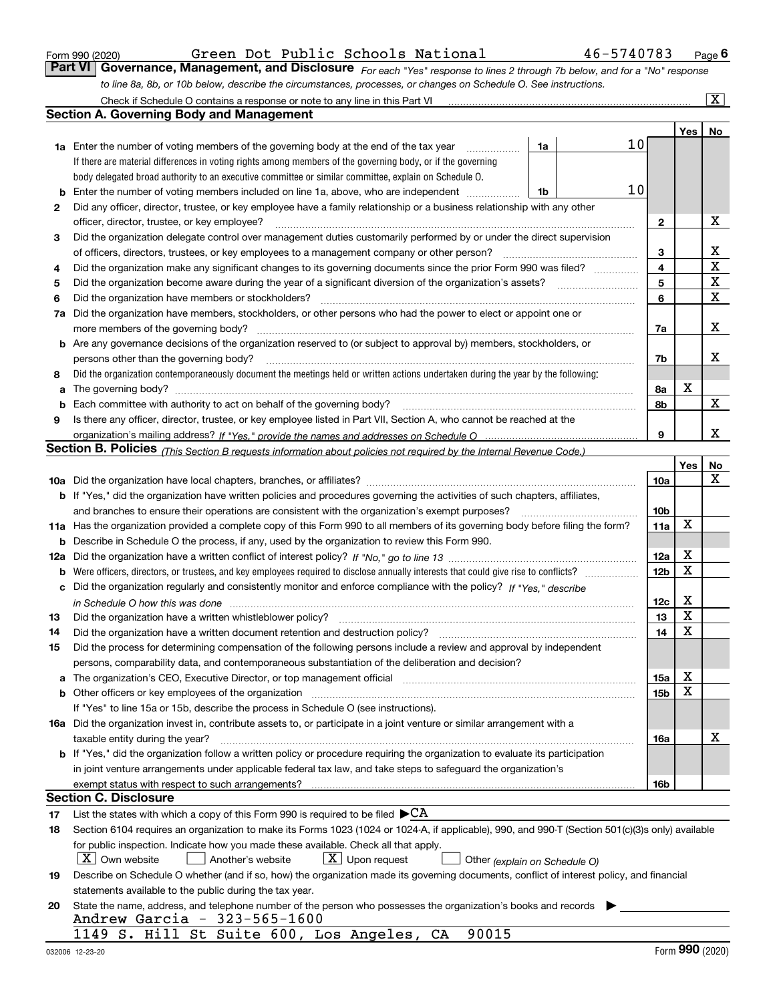|  | Form 990 (2020) |
|--|-----------------|
|  |                 |

*For each "Yes" response to lines 2 through 7b below, and for a "No" response to line 8a, 8b, or 10b below, describe the circumstances, processes, or changes on Schedule O. See instructions.* Form 990 (2020) Green Dot Public Schools National 46-5740783 <sub>Page</sub> 6<br>**Part VI** | Governance, Management, and Disclosure <sub>For each "Yes" response to lines 2 through 7b below, and for a "No" response</sub> Check if Schedule O contains a response or note to any line in this Part VI

|     | Check if Schedule O contains a response or note to any line in this Part VI                                                                                           |    |                 |     | $\boxed{\text{X}}$ |  |  |  |  |  |  |  |
|-----|-----------------------------------------------------------------------------------------------------------------------------------------------------------------------|----|-----------------|-----|--------------------|--|--|--|--|--|--|--|
|     | Section A. Governing Body and Management                                                                                                                              |    |                 |     |                    |  |  |  |  |  |  |  |
|     |                                                                                                                                                                       |    |                 | Yes | No                 |  |  |  |  |  |  |  |
|     | 1a Enter the number of voting members of the governing body at the end of the tax year<br>1a                                                                          | 10 |                 |     |                    |  |  |  |  |  |  |  |
|     | If there are material differences in voting rights among members of the governing body, or if the governing                                                           |    |                 |     |                    |  |  |  |  |  |  |  |
|     | body delegated broad authority to an executive committee or similar committee, explain on Schedule O.                                                                 |    |                 |     |                    |  |  |  |  |  |  |  |
| b   | 10<br>Enter the number of voting members included on line 1a, above, who are independent<br>1b                                                                        |    |                 |     |                    |  |  |  |  |  |  |  |
| 2   | Did any officer, director, trustee, or key employee have a family relationship or a business relationship with any other                                              |    |                 |     |                    |  |  |  |  |  |  |  |
|     | officer, director, trustee, or key employee?                                                                                                                          |    | 2               |     | х                  |  |  |  |  |  |  |  |
| 3   | Did the organization delegate control over management duties customarily performed by or under the direct supervision                                                 |    |                 |     |                    |  |  |  |  |  |  |  |
|     | of officers, directors, trustees, or key employees to a management company or other person?                                                                           |    | 3               |     | х                  |  |  |  |  |  |  |  |
| 4   | Did the organization make any significant changes to its governing documents since the prior Form 990 was filed?                                                      |    | 4               |     | $\mathbf X$        |  |  |  |  |  |  |  |
| 5   |                                                                                                                                                                       |    | 5               |     | X                  |  |  |  |  |  |  |  |
| 6   | Did the organization have members or stockholders?                                                                                                                    |    | 6               |     | $\mathbf X$        |  |  |  |  |  |  |  |
| 7a  | Did the organization have members, stockholders, or other persons who had the power to elect or appoint one or                                                        |    |                 |     |                    |  |  |  |  |  |  |  |
|     | more members of the governing body?                                                                                                                                   |    | 7a              |     | х                  |  |  |  |  |  |  |  |
|     | <b>b</b> Are any governance decisions of the organization reserved to (or subject to approval by) members, stockholders, or                                           |    |                 |     |                    |  |  |  |  |  |  |  |
|     | persons other than the governing body?                                                                                                                                |    | 7b              |     | х                  |  |  |  |  |  |  |  |
| 8   | Did the organization contemporaneously document the meetings held or written actions undertaken during the year by the following:                                     |    |                 |     |                    |  |  |  |  |  |  |  |
| a   |                                                                                                                                                                       |    | 8a              | X   |                    |  |  |  |  |  |  |  |
| b   |                                                                                                                                                                       |    | 8b              |     | $\mathbf X$        |  |  |  |  |  |  |  |
| 9   | Is there any officer, director, trustee, or key employee listed in Part VII, Section A, who cannot be reached at the                                                  |    |                 |     |                    |  |  |  |  |  |  |  |
|     |                                                                                                                                                                       |    | 9               |     | x                  |  |  |  |  |  |  |  |
|     | <b>Section B. Policies</b> (This Section B requests information about policies not required by the Internal Revenue Code.)                                            |    |                 |     |                    |  |  |  |  |  |  |  |
|     |                                                                                                                                                                       |    |                 | Yes | No                 |  |  |  |  |  |  |  |
|     |                                                                                                                                                                       |    | 10a             |     | x                  |  |  |  |  |  |  |  |
|     | <b>b</b> If "Yes," did the organization have written policies and procedures governing the activities of such chapters, affiliates,                                   |    |                 |     |                    |  |  |  |  |  |  |  |
|     | and branches to ensure their operations are consistent with the organization's exempt purposes?                                                                       |    | 10 <sub>b</sub> |     |                    |  |  |  |  |  |  |  |
|     | 11a Has the organization provided a complete copy of this Form 990 to all members of its governing body before filing the form?                                       |    | 11a             | X   |                    |  |  |  |  |  |  |  |
| b   | Describe in Schedule O the process, if any, used by the organization to review this Form 990.                                                                         |    |                 |     |                    |  |  |  |  |  |  |  |
| 12a |                                                                                                                                                                       |    | 12a             | х   |                    |  |  |  |  |  |  |  |
| b   |                                                                                                                                                                       |    | 12 <sub>b</sub> | X   |                    |  |  |  |  |  |  |  |
| c   | Did the organization regularly and consistently monitor and enforce compliance with the policy? If "Yes." describe                                                    |    |                 |     |                    |  |  |  |  |  |  |  |
|     | in Schedule O how this was done www.communication.com/www.communications.com/www.communications.com/                                                                  |    | 12c             | х   |                    |  |  |  |  |  |  |  |
| 13  | Did the organization have a written whistleblower policy?                                                                                                             |    | 13              | X   |                    |  |  |  |  |  |  |  |
| 14  | Did the organization have a written document retention and destruction policy?                                                                                        |    | 14              | X   |                    |  |  |  |  |  |  |  |
| 15  | Did the process for determining compensation of the following persons include a review and approval by independent                                                    |    |                 |     |                    |  |  |  |  |  |  |  |
|     | persons, comparability data, and contemporaneous substantiation of the deliberation and decision?                                                                     |    |                 |     |                    |  |  |  |  |  |  |  |
| a   | The organization's CEO, Executive Director, or top management official manufactured content of the organization's CEO, Executive Director, or top management official |    | 15a             | х   |                    |  |  |  |  |  |  |  |
|     | <b>b</b> Other officers or key employees of the organization                                                                                                          |    | 15b             | x   |                    |  |  |  |  |  |  |  |
|     | If "Yes" to line 15a or 15b, describe the process in Schedule O (see instructions).                                                                                   |    |                 |     |                    |  |  |  |  |  |  |  |
|     | 16a Did the organization invest in, contribute assets to, or participate in a joint venture or similar arrangement with a                                             |    |                 |     |                    |  |  |  |  |  |  |  |
|     | taxable entity during the year?                                                                                                                                       |    | 16a             |     | х                  |  |  |  |  |  |  |  |
|     | b If "Yes," did the organization follow a written policy or procedure requiring the organization to evaluate its participation                                        |    |                 |     |                    |  |  |  |  |  |  |  |
|     | in joint venture arrangements under applicable federal tax law, and take steps to safequard the organization's                                                        |    |                 |     |                    |  |  |  |  |  |  |  |
|     | exempt status with respect to such arrangements?                                                                                                                      |    | 16b             |     |                    |  |  |  |  |  |  |  |
|     | <b>Section C. Disclosure</b>                                                                                                                                          |    |                 |     |                    |  |  |  |  |  |  |  |
| 17  | List the states with which a copy of this Form 990 is required to be filed $\blacktriangleright$ CA                                                                   |    |                 |     |                    |  |  |  |  |  |  |  |
| 18  | Section 6104 requires an organization to make its Forms 1023 (1024 or 1024-A, if applicable), 990, and 990-T (Section 501(c)(3)s only) available                      |    |                 |     |                    |  |  |  |  |  |  |  |
|     | for public inspection. Indicate how you made these available. Check all that apply.                                                                                   |    |                 |     |                    |  |  |  |  |  |  |  |
|     | $X$ Own website<br>$X$ Upon request<br>Another's website<br>Other (explain on Schedule O)                                                                             |    |                 |     |                    |  |  |  |  |  |  |  |
| 19  | Describe on Schedule O whether (and if so, how) the organization made its governing documents, conflict of interest policy, and financial                             |    |                 |     |                    |  |  |  |  |  |  |  |
|     | statements available to the public during the tax year.                                                                                                               |    |                 |     |                    |  |  |  |  |  |  |  |
| 20  | State the name, address, and telephone number of the person who possesses the organization's books and records                                                        |    |                 |     |                    |  |  |  |  |  |  |  |
|     | Andrew Garcia - 323-565-1600                                                                                                                                          |    |                 |     |                    |  |  |  |  |  |  |  |
|     | 1149 S. Hill St Suite 600, Los Angeles, CA<br>90015                                                                                                                   |    |                 |     |                    |  |  |  |  |  |  |  |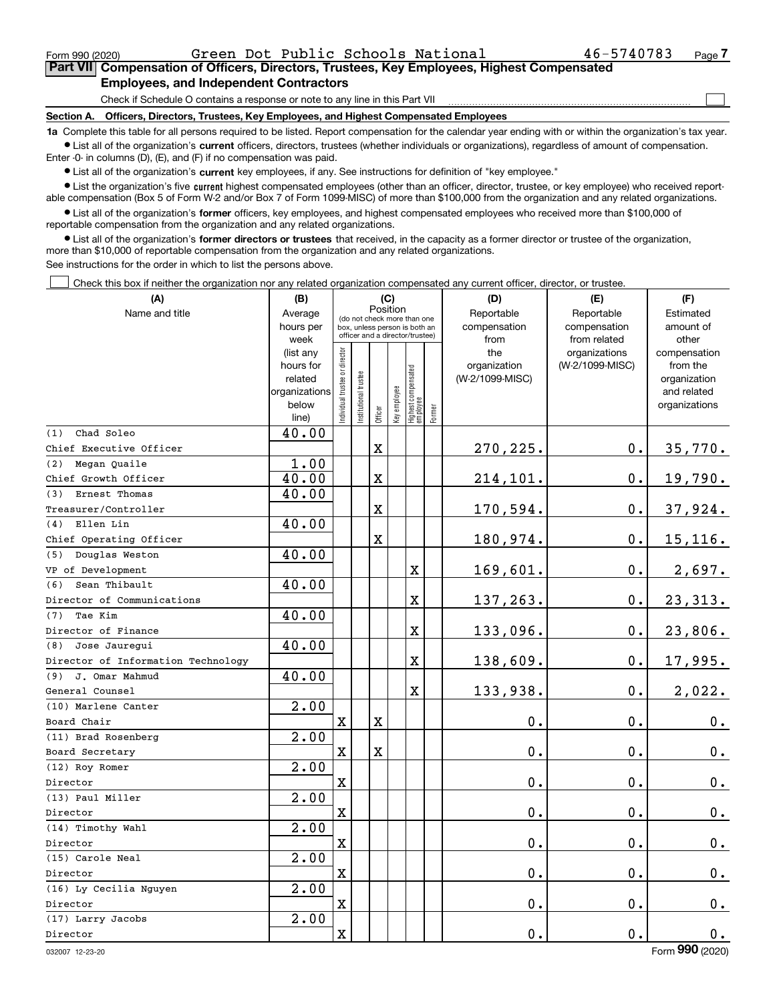$\mathcal{L}^{\text{max}}$ 

## **7Part VII Compensation of Officers, Directors, Trustees, Key Employees, Highest Compensated Employees, and Independent Contractors**

Check if Schedule O contains a response or note to any line in this Part VII

**Section A. Officers, Directors, Trustees, Key Employees, and Highest Compensated Employees**

**1a**  Complete this table for all persons required to be listed. Report compensation for the calendar year ending with or within the organization's tax year. **•** List all of the organization's current officers, directors, trustees (whether individuals or organizations), regardless of amount of compensation.

Enter -0- in columns (D), (E), and (F) if no compensation was paid.

 $\bullet$  List all of the organization's  $\,$ current key employees, if any. See instructions for definition of "key employee."

**•** List the organization's five current highest compensated employees (other than an officer, director, trustee, or key employee) who received reportable compensation (Box 5 of Form W-2 and/or Box 7 of Form 1099-MISC) of more than \$100,000 from the organization and any related organizations.

**•** List all of the organization's former officers, key employees, and highest compensated employees who received more than \$100,000 of reportable compensation from the organization and any related organizations.

**former directors or trustees**  ¥ List all of the organization's that received, in the capacity as a former director or trustee of the organization, more than \$10,000 of reportable compensation from the organization and any related organizations.

See instructions for the order in which to list the persons above.

Check this box if neither the organization nor any related organization compensated any current officer, director, or trustee.  $\mathcal{L}^{\text{max}}$ 

| (A)                                | (B)               |                               |                                                                  |                                         | (C)          |                                   |        | (D)             | (E)                           | (F)                   |
|------------------------------------|-------------------|-------------------------------|------------------------------------------------------------------|-----------------------------------------|--------------|-----------------------------------|--------|-----------------|-------------------------------|-----------------------|
| Name and title                     | Average           |                               |                                                                  | Position<br>(do not check more than one |              |                                   |        | Reportable      | Reportable                    | Estimated             |
|                                    | hours per         |                               | box, unless person is both an<br>officer and a director/trustee) |                                         |              |                                   |        | compensation    | compensation                  | amount of             |
|                                    | week<br>(list any |                               |                                                                  |                                         |              |                                   |        | from<br>the     | from related<br>organizations | other<br>compensation |
|                                    | hours for         |                               |                                                                  |                                         |              |                                   |        | organization    | (W-2/1099-MISC)               | from the              |
|                                    | related           |                               |                                                                  |                                         |              |                                   |        | (W-2/1099-MISC) |                               | organization          |
|                                    | organizations     |                               |                                                                  |                                         |              |                                   |        |                 |                               | and related           |
|                                    | below             | ndividual trustee or director | nstitutional trustee                                             | Officer                                 | Key employee | Highest compensated<br>  employee | Former |                 |                               | organizations         |
|                                    | line)             |                               |                                                                  |                                         |              |                                   |        |                 |                               |                       |
| Chad Soleo<br>(1)                  | 40.00             |                               |                                                                  |                                         |              |                                   |        |                 |                               |                       |
| Chief Executive Officer            |                   |                               |                                                                  | $\mathbf X$                             |              |                                   |        | 270,225.        | 0.                            | 35,770.               |
| Megan Ouaile<br>(2)                | 1.00              |                               |                                                                  |                                         |              |                                   |        |                 |                               |                       |
| Chief Growth Officer               | 40.00             |                               |                                                                  | X                                       |              |                                   |        | 214,101.        | $\mathbf 0$ .                 | 19,790.               |
| Ernest Thomas<br>(3)               | 40.00             |                               |                                                                  |                                         |              |                                   |        |                 |                               |                       |
| Treasurer/Controller               |                   |                               |                                                                  | X                                       |              |                                   |        | 170,594.        | 0.                            | 37,924.               |
| Ellen Lin<br>(4)                   | 40.00             |                               |                                                                  |                                         |              |                                   |        |                 |                               |                       |
| Chief Operating Officer            |                   |                               |                                                                  | X                                       |              |                                   |        | 180,974.        | $\mathbf 0$ .                 | $15, 116$ .           |
| Douglas Weston<br>(5)              | 40.00             |                               |                                                                  |                                         |              |                                   |        |                 |                               |                       |
| VP of Development                  |                   |                               |                                                                  |                                         |              | $\mathbf X$                       |        | 169,601.        | 0.                            | 2,697.                |
| Sean Thibault<br>(6)               | 40.00             |                               |                                                                  |                                         |              |                                   |        |                 |                               |                       |
| Director of Communications         |                   |                               |                                                                  |                                         |              | $\mathbf X$                       |        | 137,263.        | $\mathbf 0$ .                 | 23, 313.              |
| Tae Kim<br>(7)                     | 40.00             |                               |                                                                  |                                         |              |                                   |        |                 |                               |                       |
| Director of Finance                |                   |                               |                                                                  |                                         |              | $\overline{\mathbf{X}}$           |        | 133,096.        | $\mathbf 0$ .                 | 23,806.               |
| (8) Jose Jaurequi                  | 40.00             |                               |                                                                  |                                         |              |                                   |        |                 |                               |                       |
| Director of Information Technology |                   |                               |                                                                  |                                         |              | $\mathbf X$                       |        | 138,609.        | $\mathbf 0$ .                 | 17,995.               |
| (9) J. Omar Mahmud                 | 40.00             |                               |                                                                  |                                         |              |                                   |        |                 |                               |                       |
| General Counsel                    |                   |                               |                                                                  |                                         |              | $\mathbf X$                       |        | 133,938.        | $\mathbf 0$ .                 | 2,022.                |
| (10) Marlene Canter                | 2.00              |                               |                                                                  |                                         |              |                                   |        |                 |                               |                       |
| Board Chair                        |                   | $\mathbf x$                   |                                                                  | X                                       |              |                                   |        | 0.              | $\mathbf 0$ .                 | $0_{.}$               |
| (11) Brad Rosenberg                | 2.00              |                               |                                                                  |                                         |              |                                   |        |                 |                               |                       |
| Board Secretary                    |                   | $\mathbf X$                   |                                                                  | $\mathbf X$                             |              |                                   |        | 0.              | $\mathbf 0$ .                 | $0_{.}$               |
| (12) Roy Romer                     | 2.00              |                               |                                                                  |                                         |              |                                   |        |                 |                               |                       |
| Director                           |                   | $\mathbf X$                   |                                                                  |                                         |              |                                   |        | 0.              | $\mathbf 0$ .                 | $0_{.}$               |
| (13) Paul Miller                   | 2.00              |                               |                                                                  |                                         |              |                                   |        |                 |                               |                       |
| Director                           |                   | $\mathbf X$                   |                                                                  |                                         |              |                                   |        | 0.              | $\mathbf 0$ .                 | $0_{.}$               |
| (14) Timothy Wahl                  | 2.00              |                               |                                                                  |                                         |              |                                   |        |                 |                               |                       |
| Director                           |                   | $\mathbf X$                   |                                                                  |                                         |              |                                   |        | 0.              | $\mathbf 0$ .                 | 0.                    |
| (15) Carole Neal                   | 2.00              |                               |                                                                  |                                         |              |                                   |        |                 |                               |                       |
| Director                           |                   | $\mathbf X$                   |                                                                  |                                         |              |                                   |        | 0.              | $\mathbf 0$ .                 | 0.                    |
| (16) Ly Cecilia Nguyen             | 2.00              |                               |                                                                  |                                         |              |                                   |        |                 |                               |                       |
| Director                           |                   | $\mathbf X$                   |                                                                  |                                         |              |                                   |        | 0.              | $\mathbf 0$ .                 | 0.                    |
| (17) Larry Jacobs                  | 2.00              |                               |                                                                  |                                         |              |                                   |        |                 |                               |                       |
| Director                           |                   | $\mathbf X$                   |                                                                  |                                         |              |                                   |        | 0.              | $\mathbf 0$ .                 | 0.                    |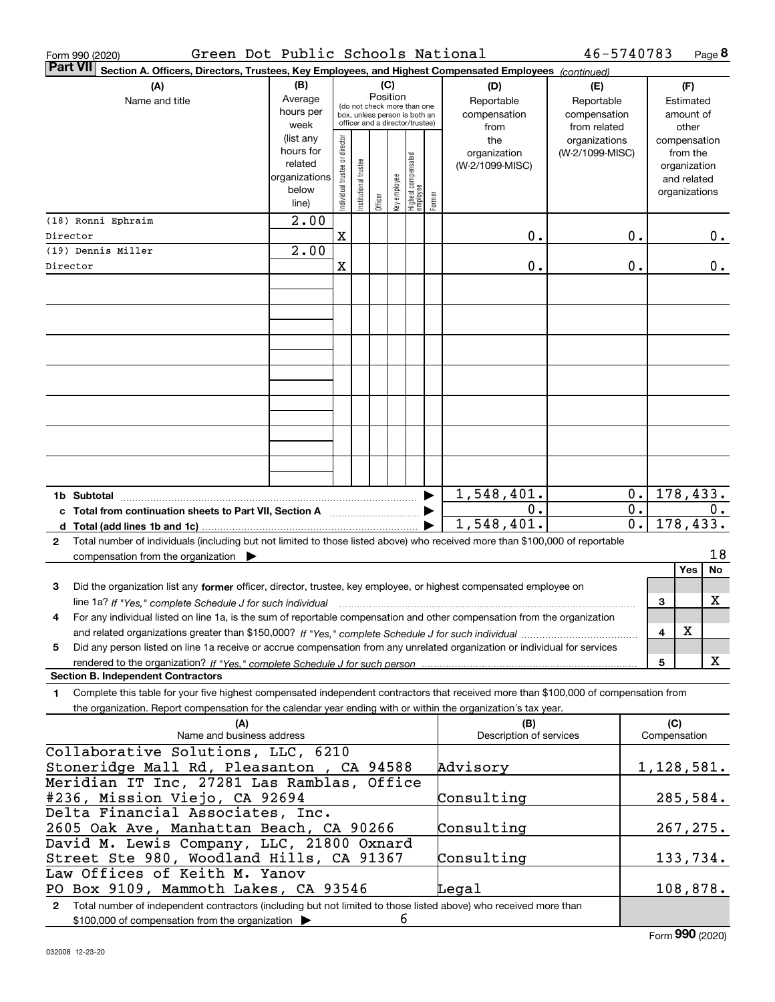| Green Dot Public Schools National<br>Form 990 (2020)                                                                                                                                                                                                        |                   |                                |                       |          |              |                                                                  |        |                         | 46-5740783                       |                  |              | Page 8                   |
|-------------------------------------------------------------------------------------------------------------------------------------------------------------------------------------------------------------------------------------------------------------|-------------------|--------------------------------|-----------------------|----------|--------------|------------------------------------------------------------------|--------|-------------------------|----------------------------------|------------------|--------------|--------------------------|
| <b>Part VII</b><br>Section A. Officers, Directors, Trustees, Key Employees, and Highest Compensated Employees (continued)                                                                                                                                   |                   |                                |                       |          |              |                                                                  |        |                         |                                  |                  |              |                          |
| (A)                                                                                                                                                                                                                                                         | (B)               |                                |                       | (C)      |              |                                                                  |        | (D)                     | (E)                              |                  |              | (F)                      |
| Name and title                                                                                                                                                                                                                                              | Average           |                                |                       | Position |              | (do not check more than one                                      |        | Reportable              | Reportable                       |                  |              | Estimated                |
|                                                                                                                                                                                                                                                             | hours per<br>week |                                |                       |          |              | box, unless person is both an<br>officer and a director/trustee) |        | compensation            | compensation                     |                  |              | amount of                |
|                                                                                                                                                                                                                                                             | (list any         |                                |                       |          |              |                                                                  |        | from<br>the             | from related                     |                  |              | other                    |
|                                                                                                                                                                                                                                                             | hours for         |                                |                       |          |              |                                                                  |        | organization            | organizations<br>(W-2/1099-MISC) |                  |              | compensation<br>from the |
|                                                                                                                                                                                                                                                             | related           |                                |                       |          |              |                                                                  |        | (W-2/1099-MISC)         |                                  |                  |              | organization             |
|                                                                                                                                                                                                                                                             | organizations     |                                |                       |          |              |                                                                  |        |                         |                                  |                  |              | and related              |
|                                                                                                                                                                                                                                                             | below             | Individual trustee or director | Institutional trustee |          | Key employee | Highest compensated<br>employee                                  |        |                         |                                  |                  |              | organizations            |
|                                                                                                                                                                                                                                                             | line)             |                                |                       | Officer  |              |                                                                  | Former |                         |                                  |                  |              |                          |
| (18) Ronni Ephraim                                                                                                                                                                                                                                          | 2.00              |                                |                       |          |              |                                                                  |        |                         |                                  |                  |              |                          |
| Director                                                                                                                                                                                                                                                    |                   | $\mathbf X$                    |                       |          |              |                                                                  |        | 0.                      |                                  | $0$ .            |              | 0.                       |
| (19) Dennis Miller                                                                                                                                                                                                                                          | 2.00              |                                |                       |          |              |                                                                  |        |                         |                                  |                  |              |                          |
| Director                                                                                                                                                                                                                                                    |                   | X                              |                       |          |              |                                                                  |        | 0.                      |                                  | 0.               |              | 0.                       |
|                                                                                                                                                                                                                                                             |                   |                                |                       |          |              |                                                                  |        |                         |                                  |                  |              |                          |
|                                                                                                                                                                                                                                                             |                   |                                |                       |          |              |                                                                  |        |                         |                                  |                  |              |                          |
|                                                                                                                                                                                                                                                             |                   |                                |                       |          |              |                                                                  |        |                         |                                  |                  |              |                          |
|                                                                                                                                                                                                                                                             |                   |                                |                       |          |              |                                                                  |        |                         |                                  |                  |              |                          |
|                                                                                                                                                                                                                                                             |                   |                                |                       |          |              |                                                                  |        |                         |                                  |                  |              |                          |
|                                                                                                                                                                                                                                                             |                   |                                |                       |          |              |                                                                  |        |                         |                                  |                  |              |                          |
|                                                                                                                                                                                                                                                             |                   |                                |                       |          |              |                                                                  |        |                         |                                  |                  |              |                          |
|                                                                                                                                                                                                                                                             |                   |                                |                       |          |              |                                                                  |        |                         |                                  |                  |              |                          |
|                                                                                                                                                                                                                                                             |                   |                                |                       |          |              |                                                                  |        |                         |                                  |                  |              |                          |
|                                                                                                                                                                                                                                                             |                   |                                |                       |          |              |                                                                  |        |                         |                                  |                  |              |                          |
|                                                                                                                                                                                                                                                             |                   |                                |                       |          |              |                                                                  |        |                         |                                  |                  |              |                          |
|                                                                                                                                                                                                                                                             |                   |                                |                       |          |              |                                                                  |        |                         |                                  |                  |              |                          |
|                                                                                                                                                                                                                                                             |                   |                                |                       |          |              |                                                                  |        |                         |                                  |                  |              |                          |
| 1b Subtotal                                                                                                                                                                                                                                                 |                   |                                |                       |          |              |                                                                  | ▶      | 1,548,401.              |                                  | 0.               |              | 178, 433.                |
| c Total from continuation sheets to Part VII, Section A                                                                                                                                                                                                     |                   |                                |                       |          |              |                                                                  | ▶      | 0.                      |                                  | $\overline{0}$ . |              | 0.                       |
|                                                                                                                                                                                                                                                             |                   |                                |                       |          |              |                                                                  |        | 1,548,401.              |                                  | $\overline{0}$ . |              | 178,433.                 |
| Total number of individuals (including but not limited to those listed above) who received more than \$100,000 of reportable<br>2                                                                                                                           |                   |                                |                       |          |              |                                                                  |        |                         |                                  |                  |              |                          |
| compensation from the organization $\blacktriangleright$                                                                                                                                                                                                    |                   |                                |                       |          |              |                                                                  |        |                         |                                  |                  |              | 18                       |
|                                                                                                                                                                                                                                                             |                   |                                |                       |          |              |                                                                  |        |                         |                                  |                  |              | Yes<br>No                |
| Did the organization list any former officer, director, trustee, key employee, or highest compensated employee on<br>3                                                                                                                                      |                   |                                |                       |          |              |                                                                  |        |                         |                                  |                  |              |                          |
| line 1a? If "Yes," complete Schedule J for such individual material content in the first of the New York of the                                                                                                                                             |                   |                                |                       |          |              |                                                                  |        |                         |                                  |                  | 3            | X                        |
| For any individual listed on line 1a, is the sum of reportable compensation and other compensation from the organization<br>4                                                                                                                               |                   |                                |                       |          |              |                                                                  |        |                         |                                  |                  |              |                          |
|                                                                                                                                                                                                                                                             |                   |                                |                       |          |              |                                                                  |        |                         |                                  |                  | 4            | X                        |
| Did any person listed on line 1a receive or accrue compensation from any unrelated organization or individual for services<br>5                                                                                                                             |                   |                                |                       |          |              |                                                                  |        |                         |                                  |                  |              |                          |
| rendered to the organization? If "Yes." complete Schedule J for such person<br><b>Section B. Independent Contractors</b>                                                                                                                                    |                   |                                |                       |          |              |                                                                  |        |                         |                                  |                  | 5            | X                        |
|                                                                                                                                                                                                                                                             |                   |                                |                       |          |              |                                                                  |        |                         |                                  |                  |              |                          |
| Complete this table for your five highest compensated independent contractors that received more than \$100,000 of compensation from<br>1<br>the organization. Report compensation for the calendar year ending with or within the organization's tax year. |                   |                                |                       |          |              |                                                                  |        |                         |                                  |                  |              |                          |
| (A)                                                                                                                                                                                                                                                         |                   |                                |                       |          |              |                                                                  |        | (B)                     |                                  |                  | (C)          |                          |
| Name and business address                                                                                                                                                                                                                                   |                   |                                |                       |          |              |                                                                  |        | Description of services |                                  |                  | Compensation |                          |
| Collaborative Solutions, LLC, 6210                                                                                                                                                                                                                          |                   |                                |                       |          |              |                                                                  |        |                         |                                  |                  |              |                          |
| Stoneridge Mall Rd, Pleasanton , CA 94588                                                                                                                                                                                                                   |                   |                                |                       |          |              |                                                                  |        | Advisory                |                                  |                  |              | <u>1,128,581.</u>        |
| Meridian IT Inc, 27281 Las Ramblas, Office                                                                                                                                                                                                                  |                   |                                |                       |          |              |                                                                  |        |                         |                                  |                  |              |                          |
| #236, Mission Viejo, CA 92694                                                                                                                                                                                                                               |                   |                                |                       |          |              |                                                                  |        | Consulting              |                                  |                  |              | 285,584.                 |
| Delta Financial Associates, Inc.                                                                                                                                                                                                                            |                   |                                |                       |          |              |                                                                  |        |                         |                                  |                  |              |                          |
| 2605 Oak Ave, Manhattan Beach, CA 90266                                                                                                                                                                                                                     |                   |                                |                       |          |              |                                                                  |        | Consulting              |                                  |                  |              | 267,275.                 |
| David M. Lewis Company, LLC, 21800 Oxnard                                                                                                                                                                                                                   |                   |                                |                       |          |              |                                                                  |        |                         |                                  |                  |              |                          |
| Street Ste 980, Woodland Hills, CA 91367                                                                                                                                                                                                                    |                   |                                |                       |          |              |                                                                  |        | Consulting              |                                  |                  |              | 133,734.                 |
| Law Offices of Keith M. Yanov                                                                                                                                                                                                                               |                   |                                |                       |          |              |                                                                  |        |                         |                                  |                  |              |                          |
| PO Box 9109, Mammoth Lakes, CA 93546                                                                                                                                                                                                                        |                   |                                |                       |          |              |                                                                  |        | ${\tt Legal}$           |                                  |                  |              | 108,878.                 |
| Total number of independent contractors (including but not limited to those listed above) who received more than<br>$\mathbf{2}$                                                                                                                            |                   |                                |                       |          |              |                                                                  |        |                         |                                  |                  |              |                          |
| \$100,000 of compensation from the organization                                                                                                                                                                                                             |                   |                                |                       |          | 6            |                                                                  |        |                         |                                  |                  |              |                          |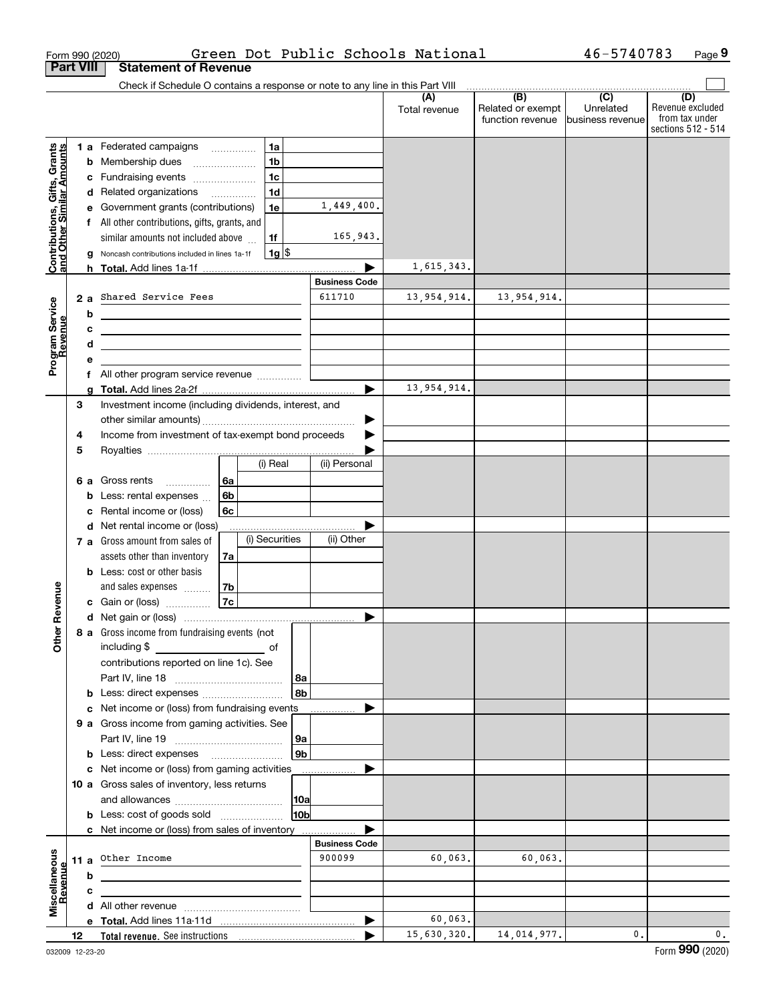|                                                           | Form 990 (2020)  |                                                                                                                     |          |                |     |                      | Green Dot Public Schools National |                                     | 46-5740783                    | Page 9                  |
|-----------------------------------------------------------|------------------|---------------------------------------------------------------------------------------------------------------------|----------|----------------|-----|----------------------|-----------------------------------|-------------------------------------|-------------------------------|-------------------------|
|                                                           | <b>Part VIII</b> | <b>Statement of Revenue</b>                                                                                         |          |                |     |                      |                                   |                                     |                               |                         |
|                                                           |                  | Check if Schedule O contains a response or note to any line in this Part VIII                                       |          |                |     |                      |                                   |                                     |                               |                         |
|                                                           |                  |                                                                                                                     |          |                |     |                      | (A)<br>Total revenue              | (B)<br>Related or exempt            | $\overline{(C)}$<br>Unrelated | (D)<br>Revenue excluded |
|                                                           |                  |                                                                                                                     |          |                |     |                      |                                   | function revenue   business revenue |                               | from tax under          |
|                                                           |                  |                                                                                                                     |          |                |     |                      |                                   |                                     |                               | sections 512 - 514      |
|                                                           |                  | 1 a Federated campaigns                                                                                             |          | 1a             |     |                      |                                   |                                     |                               |                         |
|                                                           |                  | <b>b</b> Membership dues                                                                                            |          | 1 <sub>b</sub> |     |                      |                                   |                                     |                               |                         |
|                                                           |                  | c Fundraising events                                                                                                |          | 1 <sub>c</sub> |     |                      |                                   |                                     |                               |                         |
|                                                           |                  | d Related organizations                                                                                             |          | 1 <sub>d</sub> |     |                      |                                   |                                     |                               |                         |
|                                                           |                  | e Government grants (contributions)                                                                                 |          | 1e             |     | 1,449,400.           |                                   |                                     |                               |                         |
| Contributions, Gifts, Grants<br>and Other Similar Amounts |                  | f All other contributions, gifts, grants, and                                                                       |          |                |     |                      |                                   |                                     |                               |                         |
|                                                           |                  | similar amounts not included above                                                                                  |          | 1f             |     | 165,943.             |                                   |                                     |                               |                         |
|                                                           |                  | g Noncash contributions included in lines 1a-1f                                                                     |          | $1g$ \$        |     |                      |                                   |                                     |                               |                         |
|                                                           |                  |                                                                                                                     |          |                |     |                      | 1,615,343.                        |                                     |                               |                         |
|                                                           |                  |                                                                                                                     |          |                |     | <b>Business Code</b> |                                   |                                     |                               |                         |
|                                                           | 2a               | Shared Service Fees                                                                                                 |          |                |     | 611710               | 13,954,914.                       | 13,954,914.                         |                               |                         |
|                                                           | b                | <u> 1980 - Johann Barbara, martxa alemaniar amerikan a</u>                                                          |          |                |     |                      |                                   |                                     |                               |                         |
|                                                           | c                | <u> 1980 - Jan Sterling, mars and de la politica de la politica de la politica de la politica de la politica de</u> |          |                |     |                      |                                   |                                     |                               |                         |
|                                                           | d                | the control of the control of the control of the control of the control of the control of                           |          |                |     |                      |                                   |                                     |                               |                         |
| Program Service<br>Revenue                                | е                |                                                                                                                     |          |                |     |                      |                                   |                                     |                               |                         |
|                                                           |                  |                                                                                                                     |          |                |     |                      |                                   |                                     |                               |                         |
|                                                           | a                |                                                                                                                     |          |                |     |                      | 13,954,914.                       |                                     |                               |                         |
|                                                           | 3                | Investment income (including dividends, interest, and                                                               |          |                |     |                      |                                   |                                     |                               |                         |
|                                                           |                  |                                                                                                                     |          |                |     | ▶                    |                                   |                                     |                               |                         |
|                                                           | 4                | Income from investment of tax-exempt bond proceeds                                                                  |          |                |     |                      |                                   |                                     |                               |                         |
|                                                           | 5                |                                                                                                                     |          | (i) Real       |     |                      |                                   |                                     |                               |                         |
|                                                           |                  |                                                                                                                     |          |                |     | (ii) Personal        |                                   |                                     |                               |                         |
|                                                           |                  | 6 a Gross rents                                                                                                     | 6a       |                |     |                      |                                   |                                     |                               |                         |
|                                                           |                  | <b>b</b> Less: rental expenses $\ldots$                                                                             | 6b       |                |     |                      |                                   |                                     |                               |                         |
|                                                           | c                | Rental income or (loss)                                                                                             | 6c       |                |     |                      |                                   |                                     |                               |                         |
|                                                           |                  | d Net rental income or (loss)                                                                                       |          |                |     |                      |                                   |                                     |                               |                         |
|                                                           |                  | 7 a Gross amount from sales of                                                                                      |          | (i) Securities |     | (ii) Other           |                                   |                                     |                               |                         |
|                                                           |                  | assets other than inventory                                                                                         | 7a       |                |     |                      |                                   |                                     |                               |                         |
|                                                           |                  | <b>b</b> Less: cost or other basis                                                                                  |          |                |     |                      |                                   |                                     |                               |                         |
| venue                                                     |                  | and sales expenses                                                                                                  | 7b<br>7c |                |     |                      |                                   |                                     |                               |                         |
|                                                           |                  | c Gain or (loss)                                                                                                    |          |                |     |                      |                                   |                                     |                               |                         |
| Other R                                                   |                  | 8 a Gross income from fundraising events (not                                                                       |          |                |     |                      |                                   |                                     |                               |                         |
|                                                           |                  | including \$                                                                                                        |          |                |     |                      |                                   |                                     |                               |                         |
|                                                           |                  | contributions reported on line 1c). See                                                                             |          |                |     |                      |                                   |                                     |                               |                         |
|                                                           |                  |                                                                                                                     |          |                | 8a  |                      |                                   |                                     |                               |                         |
|                                                           |                  |                                                                                                                     |          |                | 8b  |                      |                                   |                                     |                               |                         |
|                                                           |                  | c Net income or (loss) from fundraising events                                                                      |          |                |     |                      |                                   |                                     |                               |                         |
|                                                           |                  | 9 a Gross income from gaming activities. See                                                                        |          |                |     |                      |                                   |                                     |                               |                         |
|                                                           |                  |                                                                                                                     |          |                | 9a  |                      |                                   |                                     |                               |                         |
|                                                           |                  | <b>b</b> Less: direct expenses <b>manually</b>                                                                      |          |                | 9b  |                      |                                   |                                     |                               |                         |
|                                                           |                  | c Net income or (loss) from gaming activities                                                                       |          |                |     |                      |                                   |                                     |                               |                         |
|                                                           |                  | 10 a Gross sales of inventory, less returns                                                                         |          |                |     |                      |                                   |                                     |                               |                         |
|                                                           |                  |                                                                                                                     |          |                | 10a |                      |                                   |                                     |                               |                         |
|                                                           |                  |                                                                                                                     |          |                | 10b |                      |                                   |                                     |                               |                         |
|                                                           |                  | c Net income or (loss) from sales of inventory                                                                      |          |                |     |                      |                                   |                                     |                               |                         |
|                                                           |                  |                                                                                                                     |          |                |     | <b>Business Code</b> |                                   |                                     |                               |                         |
| Miscellaneous<br>Revenue                                  | 11a              | Other Income                                                                                                        |          |                |     | 900099               | 60,063.                           | 60,063.                             |                               |                         |
|                                                           | b                |                                                                                                                     |          |                |     |                      |                                   |                                     |                               |                         |
|                                                           | c                |                                                                                                                     |          |                |     |                      |                                   |                                     |                               |                         |
|                                                           |                  |                                                                                                                     |          |                |     |                      |                                   |                                     |                               |                         |
|                                                           |                  |                                                                                                                     |          |                |     |                      | 60,063.                           |                                     |                               |                         |
|                                                           | 12               |                                                                                                                     |          |                |     |                      | 15,630,320.                       | 14,014,977.                         | 0.                            | 0.                      |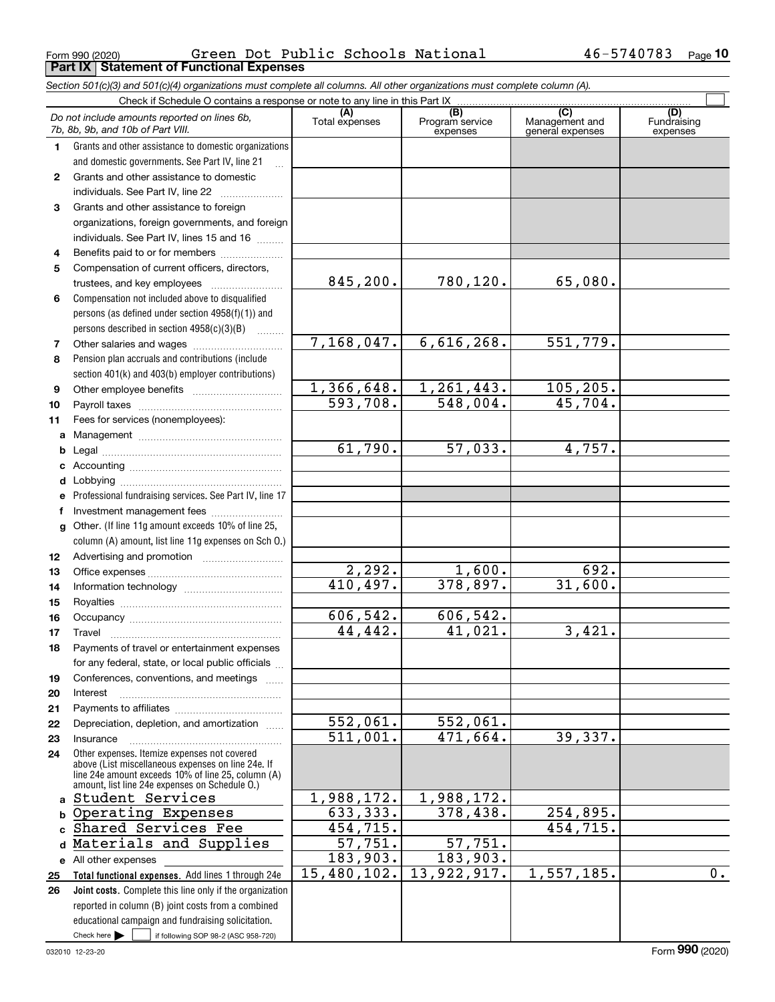Form 990 (2020) Page **Part IX Statement of Functional Expenses** Green Dot Public Schools National 46-5740783

*Section 501(c)(3) and 501(c)(4) organizations must complete all columns. All other organizations must complete column (A).*

|              | Do not include amounts reported on lines 6b,<br>7b, 8b, 9b, and 10b of Part VIII.                              | (A)<br>Total expenses | (B)<br>Program service<br>expenses | $\overline{C}$<br>Management and<br>general expenses | (D)<br>Fundraising<br>expenses |
|--------------|----------------------------------------------------------------------------------------------------------------|-----------------------|------------------------------------|------------------------------------------------------|--------------------------------|
| 1.           | Grants and other assistance to domestic organizations                                                          |                       |                                    |                                                      |                                |
|              | and domestic governments. See Part IV, line 21                                                                 |                       |                                    |                                                      |                                |
| $\mathbf{2}$ | Grants and other assistance to domestic                                                                        |                       |                                    |                                                      |                                |
|              | individuals. See Part IV, line 22                                                                              |                       |                                    |                                                      |                                |
| 3            | Grants and other assistance to foreign                                                                         |                       |                                    |                                                      |                                |
|              | organizations, foreign governments, and foreign                                                                |                       |                                    |                                                      |                                |
|              | individuals. See Part IV, lines 15 and 16                                                                      |                       |                                    |                                                      |                                |
| 4            | Benefits paid to or for members                                                                                |                       |                                    |                                                      |                                |
| 5            | Compensation of current officers, directors,                                                                   |                       |                                    |                                                      |                                |
|              | trustees, and key employees                                                                                    | 845, 200.             | 780,120.                           | 65,080.                                              |                                |
| 6            | Compensation not included above to disqualified                                                                |                       |                                    |                                                      |                                |
|              | persons (as defined under section 4958(f)(1)) and                                                              |                       |                                    |                                                      |                                |
|              | persons described in section $4958(c)(3)(B)$                                                                   |                       |                                    |                                                      |                                |
| 7            |                                                                                                                | 7,168,047.            | 6,616,268.                         | 551,779.                                             |                                |
| 8            | Pension plan accruals and contributions (include                                                               |                       |                                    |                                                      |                                |
|              | section 401(k) and 403(b) employer contributions)                                                              |                       |                                    |                                                      |                                |
| 9            |                                                                                                                | 1,366,648.            | 1,261,443.                         | 105,205.                                             |                                |
| 10           |                                                                                                                | 593,708.              | 548,004.                           | 45,704.                                              |                                |
| 11           | Fees for services (nonemployees):                                                                              |                       |                                    |                                                      |                                |
| a            |                                                                                                                |                       |                                    |                                                      |                                |
| b            |                                                                                                                | 61,790.               | 57,033.                            | 4,757.                                               |                                |
| c            |                                                                                                                |                       |                                    |                                                      |                                |
| d            |                                                                                                                |                       |                                    |                                                      |                                |
| е            | Professional fundraising services. See Part IV, line 17                                                        |                       |                                    |                                                      |                                |
| f            | Investment management fees                                                                                     |                       |                                    |                                                      |                                |
| g            | Other. (If line 11g amount exceeds 10% of line 25,                                                             |                       |                                    |                                                      |                                |
|              | column (A) amount, list line 11g expenses on Sch O.)                                                           |                       |                                    |                                                      |                                |
| 12           |                                                                                                                |                       |                                    |                                                      |                                |
| 13           |                                                                                                                | 2,292.                | 1,600.                             | 692.                                                 |                                |
| 14           |                                                                                                                | 410,497.              | 378,897.                           | 31,600.                                              |                                |
| 15           |                                                                                                                |                       |                                    |                                                      |                                |
| 16           |                                                                                                                | 606,542.              | 606,542.                           |                                                      |                                |
| 17           | Travel                                                                                                         | 44, 442.              | 41,021.                            | 3,421.                                               |                                |
| 18           | Payments of travel or entertainment expenses                                                                   |                       |                                    |                                                      |                                |
|              | for any federal, state, or local public officials                                                              |                       |                                    |                                                      |                                |
| 19           | Conferences, conventions, and meetings                                                                         |                       |                                    |                                                      |                                |
| 20           | Interest                                                                                                       |                       |                                    |                                                      |                                |
| 21           |                                                                                                                |                       |                                    |                                                      |                                |
| 22           | Depreciation, depletion, and amortization                                                                      | 552,061.              | 552,061.                           |                                                      |                                |
| 23           | Insurance                                                                                                      | 511,001.              | 471,664.                           | 39,337.                                              |                                |
| 24           | Other expenses. Itemize expenses not covered<br>above (List miscellaneous expenses on line 24e. If             |                       |                                    |                                                      |                                |
|              | line 24e amount exceeds 10% of line 25, column (A)<br>amount, list line 24e expenses on Schedule O.)           |                       |                                    |                                                      |                                |
| a            | Student Services                                                                                               | 1,988,172.            | 1,988,172.                         |                                                      |                                |
| b            | Operating Expenses                                                                                             | 633,333.              | 378,438.                           | 254,895.                                             |                                |
| C.           | Shared Services Fee                                                                                            | 454, 715.             |                                    | 454, 715.                                            |                                |
| d            | Materials and Supplies                                                                                         | $\overline{57,751}$ . | 57,751.                            |                                                      |                                |
|              |                                                                                                                | 183,903.              | 183,903.                           |                                                      |                                |
|              | e All other expenses                                                                                           | 15,480,102.           | 13,922,917.                        | 1,557,185.                                           | $\overline{0}$ .               |
| 25           | Total functional expenses. Add lines 1 through 24e<br>Joint costs. Complete this line only if the organization |                       |                                    |                                                      |                                |
| 26           |                                                                                                                |                       |                                    |                                                      |                                |
|              | reported in column (B) joint costs from a combined<br>educational campaign and fundraising solicitation.       |                       |                                    |                                                      |                                |
|              | Check here $\blacktriangleright$<br>if following SOP 98-2 (ASC 958-720)                                        |                       |                                    |                                                      |                                |
|              |                                                                                                                |                       |                                    |                                                      |                                |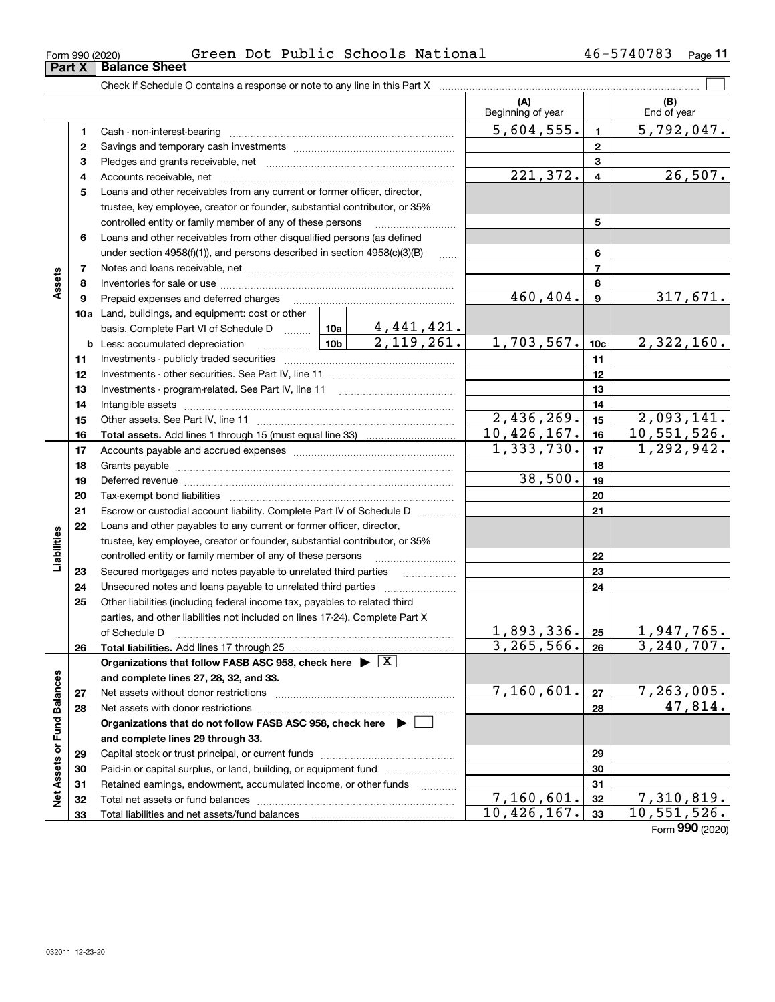| Form 990 (2020) |                               |  | Green Dot Public Schools National | 46-5740783 | Page |
|-----------------|-------------------------------|--|-----------------------------------|------------|------|
|                 | <b>Part X   Balance Sheet</b> |  |                                   |            |      |

| (A)<br>(B)<br>Beginning of year<br>End of year<br>5,604,555.<br>5,792,047.<br>$\mathbf{1}$<br>1<br>$\mathbf{2}$<br>2<br>3<br>З<br>26,507.<br>221,372.<br>$\overline{\mathbf{4}}$<br>4<br>Loans and other receivables from any current or former officer, director,<br>5<br>trustee, key employee, creator or founder, substantial contributor, or 35%<br>5<br>controlled entity or family member of any of these persons<br>Loans and other receivables from other disqualified persons (as defined<br>6<br>under section $4958(f)(1)$ , and persons described in section $4958(c)(3)(B)$<br>6<br>$\overline{7}$<br>7 |  |
|-----------------------------------------------------------------------------------------------------------------------------------------------------------------------------------------------------------------------------------------------------------------------------------------------------------------------------------------------------------------------------------------------------------------------------------------------------------------------------------------------------------------------------------------------------------------------------------------------------------------------|--|
|                                                                                                                                                                                                                                                                                                                                                                                                                                                                                                                                                                                                                       |  |
|                                                                                                                                                                                                                                                                                                                                                                                                                                                                                                                                                                                                                       |  |
|                                                                                                                                                                                                                                                                                                                                                                                                                                                                                                                                                                                                                       |  |
|                                                                                                                                                                                                                                                                                                                                                                                                                                                                                                                                                                                                                       |  |
|                                                                                                                                                                                                                                                                                                                                                                                                                                                                                                                                                                                                                       |  |
|                                                                                                                                                                                                                                                                                                                                                                                                                                                                                                                                                                                                                       |  |
|                                                                                                                                                                                                                                                                                                                                                                                                                                                                                                                                                                                                                       |  |
|                                                                                                                                                                                                                                                                                                                                                                                                                                                                                                                                                                                                                       |  |
|                                                                                                                                                                                                                                                                                                                                                                                                                                                                                                                                                                                                                       |  |
|                                                                                                                                                                                                                                                                                                                                                                                                                                                                                                                                                                                                                       |  |
|                                                                                                                                                                                                                                                                                                                                                                                                                                                                                                                                                                                                                       |  |
| Assets<br>8<br>8                                                                                                                                                                                                                                                                                                                                                                                                                                                                                                                                                                                                      |  |
| 317,671.<br>460,404.<br>$\mathbf{9}$<br>9<br>Prepaid expenses and deferred charges                                                                                                                                                                                                                                                                                                                                                                                                                                                                                                                                    |  |
| <b>10a</b> Land, buildings, and equipment: cost or other                                                                                                                                                                                                                                                                                                                                                                                                                                                                                                                                                              |  |
|                                                                                                                                                                                                                                                                                                                                                                                                                                                                                                                                                                                                                       |  |
| 1,703,567.<br>2,322,160.<br>10 <sub>c</sub>                                                                                                                                                                                                                                                                                                                                                                                                                                                                                                                                                                           |  |
| 11<br>11                                                                                                                                                                                                                                                                                                                                                                                                                                                                                                                                                                                                              |  |
| 12<br>12                                                                                                                                                                                                                                                                                                                                                                                                                                                                                                                                                                                                              |  |
| Investments - program-related. See Part IV, line 11<br>13<br>13                                                                                                                                                                                                                                                                                                                                                                                                                                                                                                                                                       |  |
| 14<br>14                                                                                                                                                                                                                                                                                                                                                                                                                                                                                                                                                                                                              |  |
| 2,436,269.<br>2,093,141.<br>15<br>15                                                                                                                                                                                                                                                                                                                                                                                                                                                                                                                                                                                  |  |
| 10,426,167.<br>10,551,526.<br>16<br>16                                                                                                                                                                                                                                                                                                                                                                                                                                                                                                                                                                                |  |
| 1,333,730.<br>1,292,942.<br>17<br>17                                                                                                                                                                                                                                                                                                                                                                                                                                                                                                                                                                                  |  |
| 18<br>18                                                                                                                                                                                                                                                                                                                                                                                                                                                                                                                                                                                                              |  |
| 38,500.<br>19<br>19<br>Deferred revenue information and contact the contract of the contract of the contract of the contract of the contract of the contract of the contract of the contract of the contract of the contract of the contract of the c                                                                                                                                                                                                                                                                                                                                                                 |  |
| 20<br>20                                                                                                                                                                                                                                                                                                                                                                                                                                                                                                                                                                                                              |  |
| 21<br>21<br>Escrow or custodial account liability. Complete Part IV of Schedule D<br>1.1.1.1.1.1.1.1.1.1                                                                                                                                                                                                                                                                                                                                                                                                                                                                                                              |  |
| Loans and other payables to any current or former officer, director,<br>22                                                                                                                                                                                                                                                                                                                                                                                                                                                                                                                                            |  |
| trustee, key employee, creator or founder, substantial contributor, or 35%                                                                                                                                                                                                                                                                                                                                                                                                                                                                                                                                            |  |
| Liabilities<br>controlled entity or family member of any of these persons<br>22                                                                                                                                                                                                                                                                                                                                                                                                                                                                                                                                       |  |
| 23<br>23                                                                                                                                                                                                                                                                                                                                                                                                                                                                                                                                                                                                              |  |
| 24<br>24                                                                                                                                                                                                                                                                                                                                                                                                                                                                                                                                                                                                              |  |
| Other liabilities (including federal income tax, payables to related third<br>25                                                                                                                                                                                                                                                                                                                                                                                                                                                                                                                                      |  |
| parties, and other liabilities not included on lines 17-24). Complete Part X                                                                                                                                                                                                                                                                                                                                                                                                                                                                                                                                          |  |
| <u>1,893,336. 25</u><br>3,265,566. 26<br>$\frac{1,947,765}{3,240,707}$<br>of Schedule D                                                                                                                                                                                                                                                                                                                                                                                                                                                                                                                               |  |
| Total liabilities. Add lines 17 through 25<br>26                                                                                                                                                                                                                                                                                                                                                                                                                                                                                                                                                                      |  |
| Organizations that follow FASB ASC 958, check here $\blacktriangleright \boxed{X}$                                                                                                                                                                                                                                                                                                                                                                                                                                                                                                                                    |  |
| and complete lines 27, 28, 32, and 33.<br>7,160,601.                                                                                                                                                                                                                                                                                                                                                                                                                                                                                                                                                                  |  |
| $\frac{7,263,005.}{47,814.}$<br>27<br>Net assets without donor restrictions<br>27                                                                                                                                                                                                                                                                                                                                                                                                                                                                                                                                     |  |
| 28<br>Net assets with donor restrictions<br>28                                                                                                                                                                                                                                                                                                                                                                                                                                                                                                                                                                        |  |
| Organizations that do not follow FASB ASC 958, check here $\blacktriangleright$                                                                                                                                                                                                                                                                                                                                                                                                                                                                                                                                       |  |
| and complete lines 29 through 33.<br>29                                                                                                                                                                                                                                                                                                                                                                                                                                                                                                                                                                               |  |
| 29<br>Paid-in or capital surplus, or land, building, or equipment fund<br>30<br>30                                                                                                                                                                                                                                                                                                                                                                                                                                                                                                                                    |  |
| Retained earnings, endowment, accumulated income, or other funds<br>31<br>31                                                                                                                                                                                                                                                                                                                                                                                                                                                                                                                                          |  |
| Net Assets or Fund Balances<br>7,160,601.<br><u>7,310,819.</u><br>32<br>32<br>Total net assets or fund balances                                                                                                                                                                                                                                                                                                                                                                                                                                                                                                       |  |
| 10, 551, 526.<br>10,426,167.<br>33<br>33                                                                                                                                                                                                                                                                                                                                                                                                                                                                                                                                                                              |  |

╤

**33** Form (2020) **990**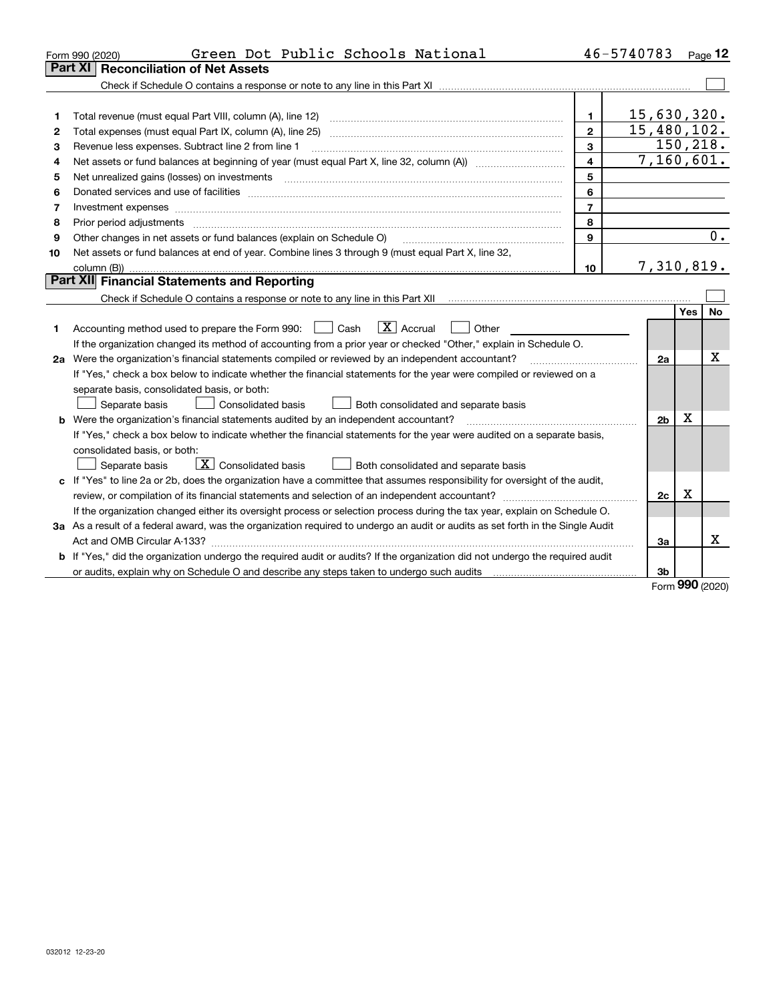|    | Green Dot Public Schools National<br>Form 990 (2020)                                                                                                                                                                                                                                                                                                                                                                                                                    |                         | 46-5740783     |            | Page 12   |
|----|-------------------------------------------------------------------------------------------------------------------------------------------------------------------------------------------------------------------------------------------------------------------------------------------------------------------------------------------------------------------------------------------------------------------------------------------------------------------------|-------------------------|----------------|------------|-----------|
|    | <b>Reconciliation of Net Assets</b><br>Part XI                                                                                                                                                                                                                                                                                                                                                                                                                          |                         |                |            |           |
|    |                                                                                                                                                                                                                                                                                                                                                                                                                                                                         |                         |                |            |           |
|    |                                                                                                                                                                                                                                                                                                                                                                                                                                                                         |                         |                |            |           |
| 1  | Total revenue (must equal Part VIII, column (A), line 12)                                                                                                                                                                                                                                                                                                                                                                                                               | $\mathbf{1}$            | 15,630,320.    |            |           |
| 2  | Total expenses (must equal Part IX, column (A), line 25)                                                                                                                                                                                                                                                                                                                                                                                                                | $\overline{2}$          | 15,480,102.    |            |           |
| 3  | Revenue less expenses. Subtract line 2 from line 1                                                                                                                                                                                                                                                                                                                                                                                                                      | 3                       |                |            | 150, 218. |
| 4  |                                                                                                                                                                                                                                                                                                                                                                                                                                                                         | $\overline{\mathbf{4}}$ | 7,160,601.     |            |           |
| 5  |                                                                                                                                                                                                                                                                                                                                                                                                                                                                         | 5                       |                |            |           |
| 6  |                                                                                                                                                                                                                                                                                                                                                                                                                                                                         | 6                       |                |            |           |
| 7  |                                                                                                                                                                                                                                                                                                                                                                                                                                                                         | $\overline{7}$          |                |            |           |
| 8  | Prior period adjustments<br>$\begin{minipage}{0.5\textwidth} \begin{tabular}{ l l l } \hline \multicolumn{1}{ l l l } \hline \multicolumn{1}{ l l } \multicolumn{1}{ l } \multicolumn{1}{ l } \multicolumn{1}{ l } \multicolumn{1}{ l } \multicolumn{1}{ l } \multicolumn{1}{ l } \multicolumn{1}{ l } \multicolumn{1}{ l } \multicolumn{1}{ l } \multicolumn{1}{ l } \multicolumn{1}{ l } \multicolumn{1}{ l } \multicolumn{1}{ l } \multicolumn{1}{ l } \multicolumn$ | 8                       |                |            |           |
| 9  | Other changes in net assets or fund balances (explain on Schedule O)                                                                                                                                                                                                                                                                                                                                                                                                    | 9                       |                |            | 0.        |
| 10 | Net assets or fund balances at end of year. Combine lines 3 through 9 (must equal Part X, line 32,                                                                                                                                                                                                                                                                                                                                                                      |                         |                |            |           |
|    |                                                                                                                                                                                                                                                                                                                                                                                                                                                                         | 10                      | 7,310,819.     |            |           |
|    | Part XII Financial Statements and Reporting                                                                                                                                                                                                                                                                                                                                                                                                                             |                         |                |            |           |
|    |                                                                                                                                                                                                                                                                                                                                                                                                                                                                         |                         |                |            |           |
|    |                                                                                                                                                                                                                                                                                                                                                                                                                                                                         |                         |                | <b>Yes</b> | <b>No</b> |
| 1  | $\boxed{\mathbf{X}}$ Accrual<br>Accounting method used to prepare the Form 990: <u>[</u> Cash<br>Other                                                                                                                                                                                                                                                                                                                                                                  |                         |                |            |           |
|    | If the organization changed its method of accounting from a prior year or checked "Other," explain in Schedule O.                                                                                                                                                                                                                                                                                                                                                       |                         |                |            |           |
|    | 2a Were the organization's financial statements compiled or reviewed by an independent accountant?                                                                                                                                                                                                                                                                                                                                                                      |                         | 2a             |            | x         |
|    | If "Yes," check a box below to indicate whether the financial statements for the year were compiled or reviewed on a                                                                                                                                                                                                                                                                                                                                                    |                         |                |            |           |
|    | separate basis, consolidated basis, or both:                                                                                                                                                                                                                                                                                                                                                                                                                            |                         |                |            |           |
|    | <b>Consolidated basis</b><br>Separate basis<br>Both consolidated and separate basis                                                                                                                                                                                                                                                                                                                                                                                     |                         |                |            |           |
|    | <b>b</b> Were the organization's financial statements audited by an independent accountant?                                                                                                                                                                                                                                                                                                                                                                             |                         | 2 <sub>b</sub> | х          |           |
|    | If "Yes," check a box below to indicate whether the financial statements for the year were audited on a separate basis,                                                                                                                                                                                                                                                                                                                                                 |                         |                |            |           |
|    | consolidated basis, or both:                                                                                                                                                                                                                                                                                                                                                                                                                                            |                         |                |            |           |
|    | $\overline{X}$ Consolidated basis<br>Separate basis<br>Both consolidated and separate basis                                                                                                                                                                                                                                                                                                                                                                             |                         |                |            |           |
|    | c If "Yes" to line 2a or 2b, does the organization have a committee that assumes responsibility for oversight of the audit,                                                                                                                                                                                                                                                                                                                                             |                         |                |            |           |
|    |                                                                                                                                                                                                                                                                                                                                                                                                                                                                         |                         | 2c             | x          |           |
|    | If the organization changed either its oversight process or selection process during the tax year, explain on Schedule O.                                                                                                                                                                                                                                                                                                                                               |                         |                |            |           |
|    | 3a As a result of a federal award, was the organization required to undergo an audit or audits as set forth in the Single Audit                                                                                                                                                                                                                                                                                                                                         |                         |                |            |           |
|    |                                                                                                                                                                                                                                                                                                                                                                                                                                                                         |                         | За             |            | X         |
|    | b If "Yes," did the organization undergo the required audit or audits? If the organization did not undergo the required audit                                                                                                                                                                                                                                                                                                                                           |                         |                |            |           |
|    |                                                                                                                                                                                                                                                                                                                                                                                                                                                                         |                         | 3b             | <b>000</b> |           |

Form (2020) **990**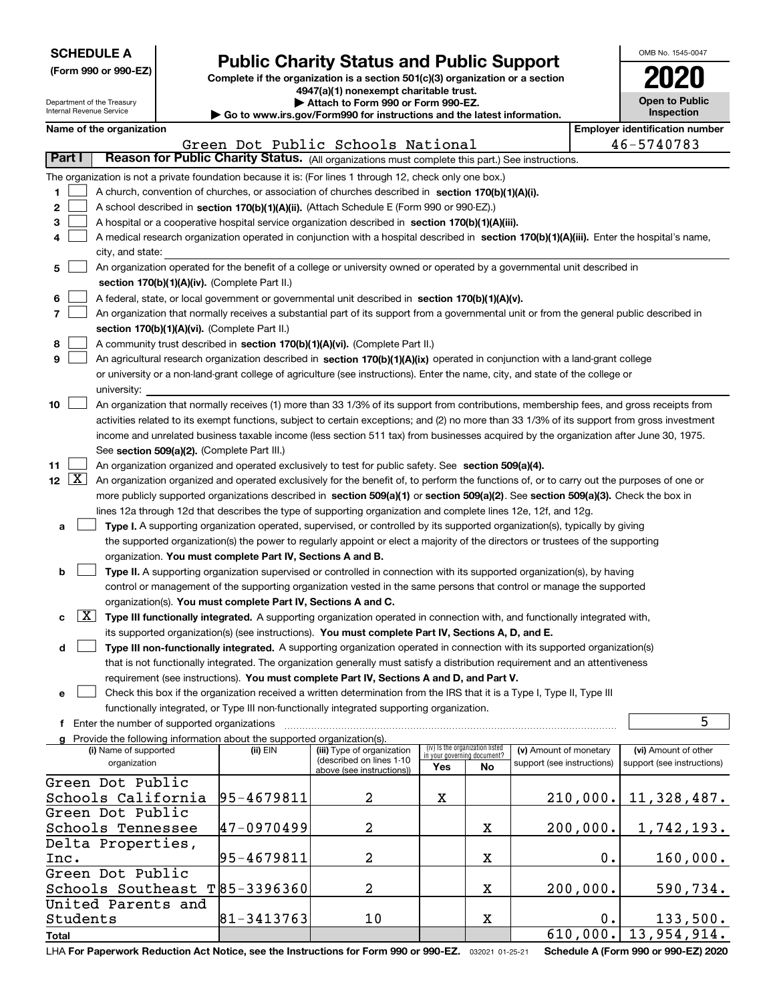| <b>SCHEDULE A</b> |  |
|-------------------|--|
|-------------------|--|

Department of the Treasury

|  |  |  | (Form 990 or 990-EZ) |
|--|--|--|----------------------|
|--|--|--|----------------------|

## **Public Charity Status and Public Support**

**Complete if the organization is a section 501(c)(3) organization or a section 4947(a)(1) nonexempt charitable trust. | Attach to Form 990 or Form 990-EZ.** 

|  | $\cdot$ www.irs.gov/Form990 for instructions and the latest information. |  |
|--|--------------------------------------------------------------------------|--|
|  |                                                                          |  |

| OMB No. 1545-0047     |
|-----------------------|
| 2020                  |
|                       |
| <b>Open to Public</b> |
| Inconcrice            |

| Internal Revenue Service<br>$\blacktriangleright$ Go to www.irs.gov/Form990 for instructions and the latest information.                                  |  |                                                               |                                                                                                                                              |                                                                | <b>Inspection</b> |                            |          |                                       |
|-----------------------------------------------------------------------------------------------------------------------------------------------------------|--|---------------------------------------------------------------|----------------------------------------------------------------------------------------------------------------------------------------------|----------------------------------------------------------------|-------------------|----------------------------|----------|---------------------------------------|
| Name of the organization                                                                                                                                  |  |                                                               |                                                                                                                                              |                                                                |                   |                            |          | <b>Employer identification number</b> |
|                                                                                                                                                           |  |                                                               | Green Dot Public Schools National                                                                                                            |                                                                |                   |                            |          | 46-5740783                            |
| Part I                                                                                                                                                    |  |                                                               | Reason for Public Charity Status. (All organizations must complete this part.) See instructions.                                             |                                                                |                   |                            |          |                                       |
| The organization is not a private foundation because it is: (For lines 1 through 12, check only one box.)                                                 |  |                                                               |                                                                                                                                              |                                                                |                   |                            |          |                                       |
| 1                                                                                                                                                         |  |                                                               | A church, convention of churches, or association of churches described in section 170(b)(1)(A)(i).                                           |                                                                |                   |                            |          |                                       |
| $\mathbf{2}$                                                                                                                                              |  |                                                               | A school described in section 170(b)(1)(A)(ii). (Attach Schedule E (Form 990 or 990-EZ).)                                                    |                                                                |                   |                            |          |                                       |
| 3                                                                                                                                                         |  |                                                               | A hospital or a cooperative hospital service organization described in section 170(b)(1)(A)(iii).                                            |                                                                |                   |                            |          |                                       |
| 4                                                                                                                                                         |  |                                                               | A medical research organization operated in conjunction with a hospital described in section 170(b)(1)(A)(iii). Enter the hospital's name,   |                                                                |                   |                            |          |                                       |
| city, and state:                                                                                                                                          |  |                                                               |                                                                                                                                              |                                                                |                   |                            |          |                                       |
| 5                                                                                                                                                         |  |                                                               | An organization operated for the benefit of a college or university owned or operated by a governmental unit described in                    |                                                                |                   |                            |          |                                       |
|                                                                                                                                                           |  | section 170(b)(1)(A)(iv). (Complete Part II.)                 |                                                                                                                                              |                                                                |                   |                            |          |                                       |
| 6                                                                                                                                                         |  |                                                               | A federal, state, or local government or governmental unit described in section 170(b)(1)(A)(v).                                             |                                                                |                   |                            |          |                                       |
| 7                                                                                                                                                         |  |                                                               | An organization that normally receives a substantial part of its support from a governmental unit or from the general public described in    |                                                                |                   |                            |          |                                       |
|                                                                                                                                                           |  | section 170(b)(1)(A)(vi). (Complete Part II.)                 |                                                                                                                                              |                                                                |                   |                            |          |                                       |
| 8                                                                                                                                                         |  |                                                               | A community trust described in section 170(b)(1)(A)(vi). (Complete Part II.)                                                                 |                                                                |                   |                            |          |                                       |
| 9                                                                                                                                                         |  |                                                               | An agricultural research organization described in section 170(b)(1)(A)(ix) operated in conjunction with a land-grant college                |                                                                |                   |                            |          |                                       |
|                                                                                                                                                           |  |                                                               | or university or a non-land-grant college of agriculture (see instructions). Enter the name, city, and state of the college or               |                                                                |                   |                            |          |                                       |
| university:                                                                                                                                               |  |                                                               |                                                                                                                                              |                                                                |                   |                            |          |                                       |
| 10                                                                                                                                                        |  |                                                               | An organization that normally receives (1) more than 33 1/3% of its support from contributions, membership fees, and gross receipts from     |                                                                |                   |                            |          |                                       |
|                                                                                                                                                           |  |                                                               | activities related to its exempt functions, subject to certain exceptions; and (2) no more than 33 1/3% of its support from gross investment |                                                                |                   |                            |          |                                       |
|                                                                                                                                                           |  |                                                               | income and unrelated business taxable income (less section 511 tax) from businesses acquired by the organization after June 30, 1975.        |                                                                |                   |                            |          |                                       |
|                                                                                                                                                           |  | See section 509(a)(2). (Complete Part III.)                   |                                                                                                                                              |                                                                |                   |                            |          |                                       |
| 11                                                                                                                                                        |  |                                                               | An organization organized and operated exclusively to test for public safety. See section 509(a)(4).                                         |                                                                |                   |                            |          |                                       |
| 12 $\boxed{X}$ An organization organized and operated exclusively for the benefit of, to perform the functions of, or to carry out the purposes of one or |  |                                                               |                                                                                                                                              |                                                                |                   |                            |          |                                       |
|                                                                                                                                                           |  |                                                               | more publicly supported organizations described in section 509(a)(1) or section 509(a)(2). See section 509(a)(3). Check the box in           |                                                                |                   |                            |          |                                       |
|                                                                                                                                                           |  |                                                               | lines 12a through 12d that describes the type of supporting organization and complete lines 12e, 12f, and 12g.                               |                                                                |                   |                            |          |                                       |
| а                                                                                                                                                         |  |                                                               | Type I. A supporting organization operated, supervised, or controlled by its supported organization(s), typically by giving                  |                                                                |                   |                            |          |                                       |
|                                                                                                                                                           |  |                                                               | the supported organization(s) the power to regularly appoint or elect a majority of the directors or trustees of the supporting              |                                                                |                   |                            |          |                                       |
|                                                                                                                                                           |  | organization. You must complete Part IV, Sections A and B.    |                                                                                                                                              |                                                                |                   |                            |          |                                       |
| b                                                                                                                                                         |  |                                                               | Type II. A supporting organization supervised or controlled in connection with its supported organization(s), by having                      |                                                                |                   |                            |          |                                       |
|                                                                                                                                                           |  |                                                               | control or management of the supporting organization vested in the same persons that control or manage the supported                         |                                                                |                   |                            |          |                                       |
|                                                                                                                                                           |  | organization(s). You must complete Part IV, Sections A and C. |                                                                                                                                              |                                                                |                   |                            |          |                                       |
| с                                                                                                                                                         |  |                                                               | $X$ Type III functionally integrated. A supporting organization operated in connection with, and functionally integrated with,               |                                                                |                   |                            |          |                                       |
|                                                                                                                                                           |  |                                                               | its supported organization(s) (see instructions). You must complete Part IV, Sections A, D, and E.                                           |                                                                |                   |                            |          |                                       |
| d                                                                                                                                                         |  |                                                               | Type III non-functionally integrated. A supporting organization operated in connection with its supported organization(s)                    |                                                                |                   |                            |          |                                       |
|                                                                                                                                                           |  |                                                               | that is not functionally integrated. The organization generally must satisfy a distribution requirement and an attentiveness                 |                                                                |                   |                            |          |                                       |
|                                                                                                                                                           |  |                                                               | requirement (see instructions). You must complete Part IV, Sections A and D, and Part V.                                                     |                                                                |                   |                            |          |                                       |
| е                                                                                                                                                         |  |                                                               | Check this box if the organization received a written determination from the IRS that it is a Type I, Type II, Type III                      |                                                                |                   |                            |          |                                       |
|                                                                                                                                                           |  |                                                               | functionally integrated, or Type III non-functionally integrated supporting organization.                                                    |                                                                |                   |                            |          |                                       |
| f Enter the number of supported organizations                                                                                                             |  |                                                               |                                                                                                                                              |                                                                |                   |                            |          | 5                                     |
| g Provide the following information about the supported organization(s).                                                                                  |  |                                                               |                                                                                                                                              |                                                                |                   |                            |          |                                       |
| (i) Name of supported                                                                                                                                     |  | (ii) EIN                                                      | (iii) Type of organization<br>(described on lines 1-10                                                                                       | (iv) Is the organization listed<br>in your governing document? |                   | (v) Amount of monetary     |          | (vi) Amount of other                  |
| organization                                                                                                                                              |  |                                                               | above (see instructions))                                                                                                                    | Yes                                                            | No                | support (see instructions) |          | support (see instructions)            |
| Green Dot Public                                                                                                                                          |  |                                                               |                                                                                                                                              |                                                                |                   |                            |          |                                       |
| Schools California                                                                                                                                        |  | 95-4679811                                                    | 2                                                                                                                                            | X                                                              |                   |                            | 210,000. | 11,328,487.                           |
| Green Dot Public                                                                                                                                          |  |                                                               |                                                                                                                                              |                                                                |                   |                            |          |                                       |
| Schools Tennessee                                                                                                                                         |  | 47-0970499                                                    | 2                                                                                                                                            |                                                                | X                 |                            | 200,000. | 1,742,193.                            |
| Delta Properties,                                                                                                                                         |  |                                                               |                                                                                                                                              |                                                                |                   |                            |          |                                       |
| Inc.                                                                                                                                                      |  | 95-4679811                                                    | 2                                                                                                                                            |                                                                | X                 |                            | 0.       | 160,000.                              |
| Green Dot Public                                                                                                                                          |  |                                                               |                                                                                                                                              |                                                                |                   |                            |          |                                       |
| Schools Southeast $T 85-3396360$                                                                                                                          |  |                                                               | 2                                                                                                                                            |                                                                | X                 |                            | 200,000. | 590,734.                              |
| United Parents and                                                                                                                                        |  |                                                               |                                                                                                                                              |                                                                |                   |                            |          |                                       |
| Students                                                                                                                                                  |  | 81-3413763                                                    | 10                                                                                                                                           |                                                                | X                 |                            | 0.       | 133,500.                              |
| <b>Total</b>                                                                                                                                              |  |                                                               |                                                                                                                                              |                                                                |                   |                            | 610,000. | 13,954,914.                           |

LHA For Paperwork Reduction Act Notice, see the Instructions for Form 990 or 990-EZ. <sub>032021</sub> o1-25-21 Schedule A (Form 990 or 990-EZ) 2020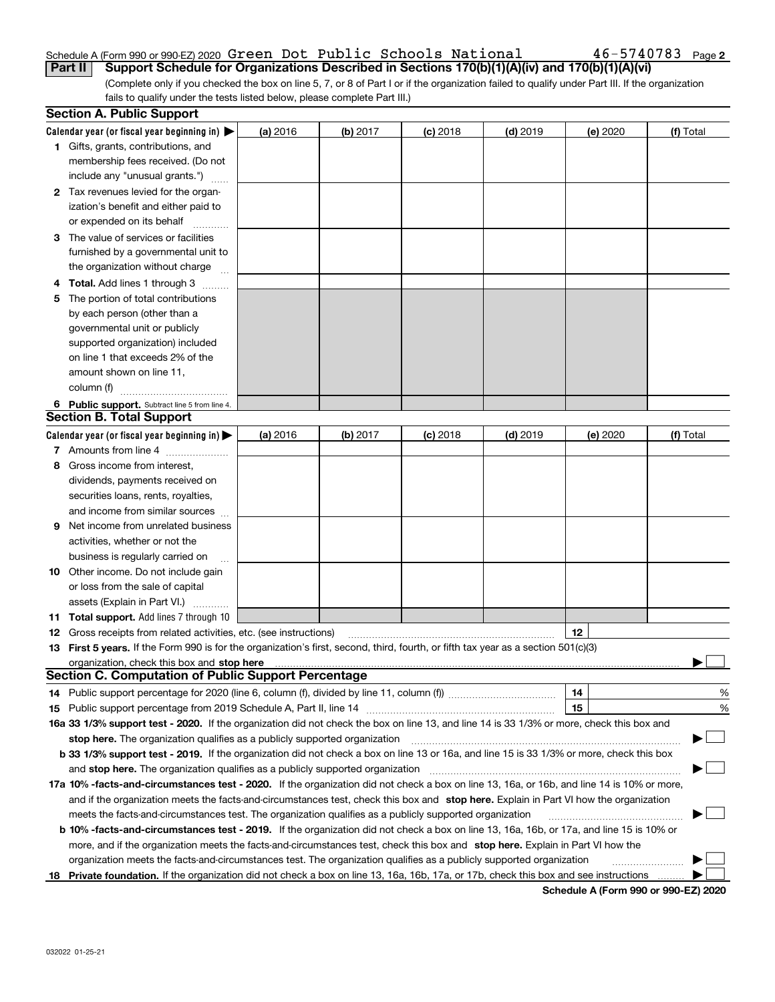### Schedule A (Form 990 or 990-EZ) 2020 Page Green Dot Public Schools National 46-5740783**Part II Support Schedule for Organizations Described in Sections 170(b)(1)(A)(iv) and 170(b)(1)(A)(vi)**

(Complete only if you checked the box on line 5, 7, or 8 of Part I or if the organization failed to qualify under Part III. If the organization fails to qualify under the tests listed below, please complete Part III.)

|    | <b>Section A. Public Support</b>                                                                                                               |          |            |            |            |          |           |
|----|------------------------------------------------------------------------------------------------------------------------------------------------|----------|------------|------------|------------|----------|-----------|
|    | Calendar year (or fiscal year beginning in) $\blacktriangleright$                                                                              | (a) 2016 | $(b)$ 2017 | $(c)$ 2018 | $(d)$ 2019 | (e) 2020 | (f) Total |
|    | <b>1</b> Gifts, grants, contributions, and                                                                                                     |          |            |            |            |          |           |
|    | membership fees received. (Do not                                                                                                              |          |            |            |            |          |           |
|    | include any "unusual grants.")                                                                                                                 |          |            |            |            |          |           |
|    | 2 Tax revenues levied for the organ-                                                                                                           |          |            |            |            |          |           |
|    | ization's benefit and either paid to                                                                                                           |          |            |            |            |          |           |
|    | or expended on its behalf                                                                                                                      |          |            |            |            |          |           |
|    | 3 The value of services or facilities                                                                                                          |          |            |            |            |          |           |
|    | furnished by a governmental unit to                                                                                                            |          |            |            |            |          |           |
|    | the organization without charge                                                                                                                |          |            |            |            |          |           |
|    | 4 Total. Add lines 1 through 3                                                                                                                 |          |            |            |            |          |           |
| 5. | The portion of total contributions                                                                                                             |          |            |            |            |          |           |
|    | by each person (other than a                                                                                                                   |          |            |            |            |          |           |
|    | governmental unit or publicly                                                                                                                  |          |            |            |            |          |           |
|    | supported organization) included                                                                                                               |          |            |            |            |          |           |
|    | on line 1 that exceeds 2% of the                                                                                                               |          |            |            |            |          |           |
|    | amount shown on line 11,                                                                                                                       |          |            |            |            |          |           |
|    | column (f)                                                                                                                                     |          |            |            |            |          |           |
|    | 6 Public support. Subtract line 5 from line 4.                                                                                                 |          |            |            |            |          |           |
|    | <b>Section B. Total Support</b>                                                                                                                |          |            |            |            |          |           |
|    | Calendar year (or fiscal year beginning in) $\blacktriangleright$                                                                              | (a) 2016 | (b) 2017   | $(c)$ 2018 | $(d)$ 2019 | (e) 2020 | (f) Total |
|    | 7 Amounts from line 4                                                                                                                          |          |            |            |            |          |           |
|    | 8 Gross income from interest,                                                                                                                  |          |            |            |            |          |           |
|    | dividends, payments received on                                                                                                                |          |            |            |            |          |           |
|    | securities loans, rents, royalties,                                                                                                            |          |            |            |            |          |           |
|    | and income from similar sources                                                                                                                |          |            |            |            |          |           |
| 9. | Net income from unrelated business                                                                                                             |          |            |            |            |          |           |
|    | activities, whether or not the                                                                                                                 |          |            |            |            |          |           |
|    | business is regularly carried on                                                                                                               |          |            |            |            |          |           |
|    | <b>10</b> Other income. Do not include gain                                                                                                    |          |            |            |            |          |           |
|    | or loss from the sale of capital                                                                                                               |          |            |            |            |          |           |
|    | assets (Explain in Part VI.)                                                                                                                   |          |            |            |            |          |           |
|    | 11 Total support. Add lines 7 through 10                                                                                                       |          |            |            |            |          |           |
|    | <b>12</b> Gross receipts from related activities, etc. (see instructions)                                                                      |          |            |            |            | 12       |           |
|    | 13 First 5 years. If the Form 990 is for the organization's first, second, third, fourth, or fifth tax year as a section 501(c)(3)             |          |            |            |            |          |           |
|    |                                                                                                                                                |          |            |            |            |          |           |
|    | <b>Section C. Computation of Public Support Percentage</b>                                                                                     |          |            |            |            |          |           |
|    |                                                                                                                                                |          |            |            |            | 14       | %         |
|    |                                                                                                                                                |          |            |            |            | 15       | %         |
|    | 16a 33 1/3% support test - 2020. If the organization did not check the box on line 13, and line 14 is 33 1/3% or more, check this box and      |          |            |            |            |          |           |
|    | stop here. The organization qualifies as a publicly supported organization                                                                     |          |            |            |            |          | ▔▁∣       |
|    | b 33 1/3% support test - 2019. If the organization did not check a box on line 13 or 16a, and line 15 is 33 1/3% or more, check this box       |          |            |            |            |          |           |
|    | and stop here. The organization qualifies as a publicly supported organization                                                                 |          |            |            |            |          |           |
|    | 17a 10% -facts-and-circumstances test - 2020. If the organization did not check a box on line 13, 16a, or 16b, and line 14 is 10% or more,     |          |            |            |            |          |           |
|    | and if the organization meets the facts-and-circumstances test, check this box and stop here. Explain in Part VI how the organization          |          |            |            |            |          |           |
|    | meets the facts-and-circumstances test. The organization qualifies as a publicly supported organization                                        |          |            |            |            |          |           |
|    | <b>b 10% -facts-and-circumstances test - 2019.</b> If the organization did not check a box on line 13, 16a, 16b, or 17a, and line 15 is 10% or |          |            |            |            |          |           |
|    | more, and if the organization meets the facts-and-circumstances test, check this box and stop here. Explain in Part VI how the                 |          |            |            |            |          |           |
|    | organization meets the facts-and-circumstances test. The organization qualifies as a publicly supported organization                           |          |            |            |            |          |           |
| 18 | Private foundation. If the organization did not check a box on line 13, 16a, 16b, 17a, or 17b, check this box and see instructions             |          |            |            |            |          |           |

**Schedule A (Form 990 or 990-EZ) 2020**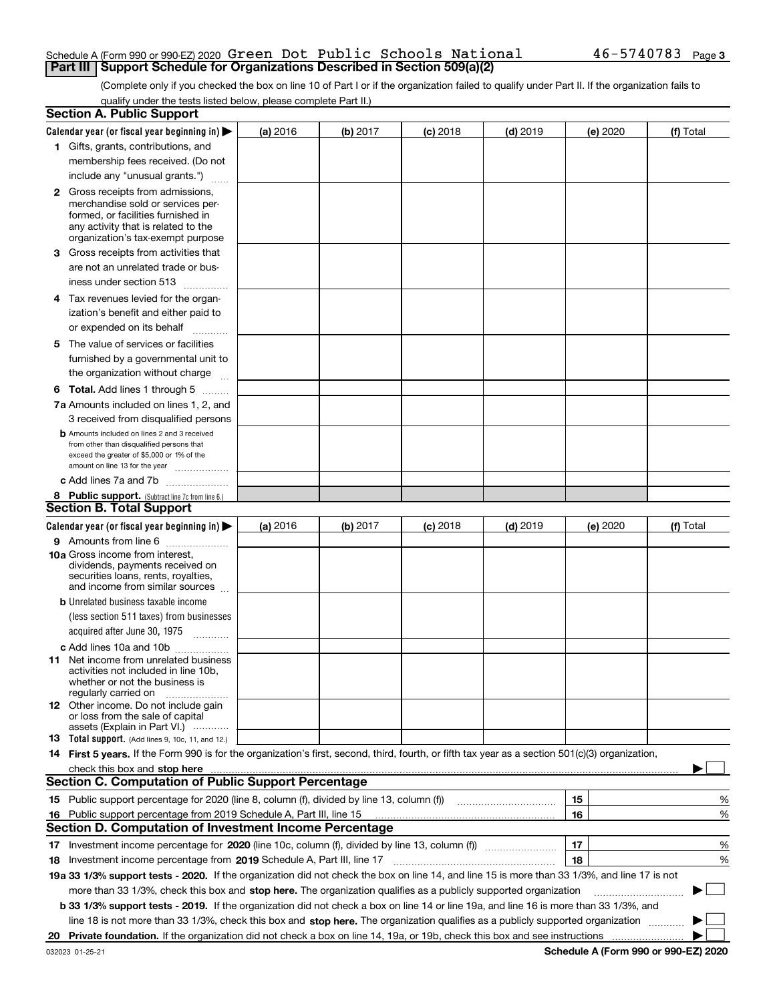#### Schedule A (Form 990 or 990-EZ) 2020 Page Green Dot Public Schools National 46-5740783**Part III | Support Schedule for Organizations Described in Section 509(a)(2)**

(Complete only if you checked the box on line 10 of Part I or if the organization failed to qualify under Part II. If the organization fails to qualify under the tests listed below, please complete Part II.)

|    | <b>Section A. Public Support</b>                                                                                                                                                                                               |          |          |                 |            |          |             |
|----|--------------------------------------------------------------------------------------------------------------------------------------------------------------------------------------------------------------------------------|----------|----------|-----------------|------------|----------|-------------|
|    | Calendar year (or fiscal year beginning in) $\blacktriangleright$                                                                                                                                                              | (a) 2016 | (b) 2017 | <b>(c)</b> 2018 | $(d)$ 2019 | (e) 2020 | (f) Total   |
|    | 1 Gifts, grants, contributions, and                                                                                                                                                                                            |          |          |                 |            |          |             |
|    | membership fees received. (Do not                                                                                                                                                                                              |          |          |                 |            |          |             |
|    | include any "unusual grants.")                                                                                                                                                                                                 |          |          |                 |            |          |             |
|    | 2 Gross receipts from admissions,                                                                                                                                                                                              |          |          |                 |            |          |             |
|    | merchandise sold or services per-                                                                                                                                                                                              |          |          |                 |            |          |             |
|    | formed, or facilities furnished in                                                                                                                                                                                             |          |          |                 |            |          |             |
|    | any activity that is related to the<br>organization's tax-exempt purpose                                                                                                                                                       |          |          |                 |            |          |             |
|    | 3 Gross receipts from activities that                                                                                                                                                                                          |          |          |                 |            |          |             |
|    | are not an unrelated trade or bus-                                                                                                                                                                                             |          |          |                 |            |          |             |
|    | iness under section 513                                                                                                                                                                                                        |          |          |                 |            |          |             |
|    | 4 Tax revenues levied for the organ-                                                                                                                                                                                           |          |          |                 |            |          |             |
|    | ization's benefit and either paid to                                                                                                                                                                                           |          |          |                 |            |          |             |
|    | or expended on its behalf                                                                                                                                                                                                      |          |          |                 |            |          |             |
|    |                                                                                                                                                                                                                                |          |          |                 |            |          |             |
|    | 5 The value of services or facilities                                                                                                                                                                                          |          |          |                 |            |          |             |
|    | furnished by a governmental unit to                                                                                                                                                                                            |          |          |                 |            |          |             |
|    | the organization without charge                                                                                                                                                                                                |          |          |                 |            |          |             |
|    | <b>6 Total.</b> Add lines 1 through 5                                                                                                                                                                                          |          |          |                 |            |          |             |
|    | 7a Amounts included on lines 1, 2, and                                                                                                                                                                                         |          |          |                 |            |          |             |
|    | 3 received from disqualified persons                                                                                                                                                                                           |          |          |                 |            |          |             |
|    | <b>b</b> Amounts included on lines 2 and 3 received<br>from other than disqualified persons that                                                                                                                               |          |          |                 |            |          |             |
|    | exceed the greater of \$5,000 or 1% of the                                                                                                                                                                                     |          |          |                 |            |          |             |
|    | amount on line 13 for the year                                                                                                                                                                                                 |          |          |                 |            |          |             |
|    | c Add lines 7a and 7b                                                                                                                                                                                                          |          |          |                 |            |          |             |
|    | 8 Public support. (Subtract line 7c from line 6.)                                                                                                                                                                              |          |          |                 |            |          |             |
|    | <b>Section B. Total Support</b>                                                                                                                                                                                                |          |          |                 |            |          |             |
|    | Calendar year (or fiscal year beginning in) $\blacktriangleright$                                                                                                                                                              | (a) 2016 | (b) 2017 | $(c)$ 2018      | $(d)$ 2019 | (e) 2020 | (f) Total   |
|    | 9 Amounts from line 6                                                                                                                                                                                                          |          |          |                 |            |          |             |
|    | <b>10a</b> Gross income from interest,                                                                                                                                                                                         |          |          |                 |            |          |             |
|    | dividends, payments received on<br>securities loans, rents, royalties,                                                                                                                                                         |          |          |                 |            |          |             |
|    | and income from similar sources                                                                                                                                                                                                |          |          |                 |            |          |             |
|    | <b>b</b> Unrelated business taxable income                                                                                                                                                                                     |          |          |                 |            |          |             |
|    | (less section 511 taxes) from businesses                                                                                                                                                                                       |          |          |                 |            |          |             |
|    | acquired after June 30, 1975                                                                                                                                                                                                   |          |          |                 |            |          |             |
|    | c Add lines 10a and 10b                                                                                                                                                                                                        |          |          |                 |            |          |             |
|    | 11 Net income from unrelated business                                                                                                                                                                                          |          |          |                 |            |          |             |
|    | activities not included in line 10b.                                                                                                                                                                                           |          |          |                 |            |          |             |
|    | whether or not the business is<br>regularly carried on                                                                                                                                                                         |          |          |                 |            |          |             |
|    | <b>12</b> Other income. Do not include gain                                                                                                                                                                                    |          |          |                 |            |          |             |
|    | or loss from the sale of capital                                                                                                                                                                                               |          |          |                 |            |          |             |
|    | assets (Explain in Part VI.)                                                                                                                                                                                                   |          |          |                 |            |          |             |
|    | <b>13</b> Total support. (Add lines 9, 10c, 11, and 12.)                                                                                                                                                                       |          |          |                 |            |          |             |
|    | 14 First 5 years. If the Form 990 is for the organization's first, second, third, fourth, or fifth tax year as a section 501(c)(3) organization,                                                                               |          |          |                 |            |          |             |
|    | check this box and stop here measurements and stop here contained and stop here measurement and stop here measurements and stop here measurements and stop here measurements and stop here are all the state of the state of t |          |          |                 |            |          |             |
|    | <b>Section C. Computation of Public Support Percentage</b>                                                                                                                                                                     |          |          |                 |            |          |             |
|    | 15 Public support percentage for 2020 (line 8, column (f), divided by line 13, column (f))                                                                                                                                     |          |          |                 |            | 15       | %           |
|    | 16 Public support percentage from 2019 Schedule A, Part III, line 15                                                                                                                                                           |          |          |                 |            | 16       | %           |
|    | <b>Section D. Computation of Investment Income Percentage</b>                                                                                                                                                                  |          |          |                 |            |          |             |
|    | 17 Investment income percentage for 2020 (line 10c, column (f), divided by line 13, column (f))                                                                                                                                |          |          |                 |            | 17       | %           |
|    | 18 Investment income percentage from 2019 Schedule A, Part III, line 17                                                                                                                                                        |          |          |                 |            | 18       | %           |
|    | 19a 33 1/3% support tests - 2020. If the organization did not check the box on line 14, and line 15 is more than 33 1/3%, and line 17 is not                                                                                   |          |          |                 |            |          |             |
|    | more than 33 1/3%, check this box and stop here. The organization qualifies as a publicly supported organization                                                                                                               |          |          |                 |            |          | $\sim$<br>▶ |
|    | b 33 1/3% support tests - 2019. If the organization did not check a box on line 14 or line 19a, and line 16 is more than 33 1/3%, and                                                                                          |          |          |                 |            |          |             |
|    | line 18 is not more than 33 1/3%, check this box and stop here. The organization qualifies as a publicly supported organization                                                                                                |          |          |                 |            |          |             |
| 20 |                                                                                                                                                                                                                                |          |          |                 |            |          |             |

**Schedule A (Form 990 or 990-EZ) 2020**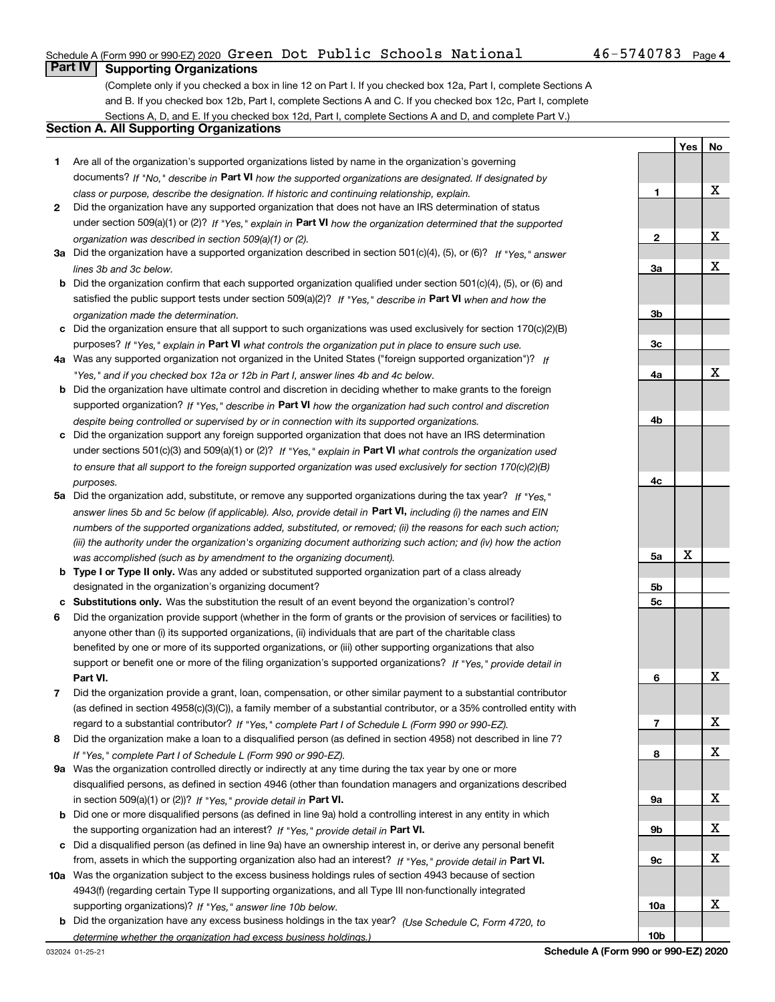## Schedule A (Form 990 or 990-EZ) 2020 Page Green Dot Public Schools National 46-5740783

**YesNo**

## **Part IV Supporting Organizations**

(Complete only if you checked a box in line 12 on Part I. If you checked box 12a, Part I, complete Sections A and B. If you checked box 12b, Part I, complete Sections A and C. If you checked box 12c, Part I, complete Sections A, D, and E. If you checked box 12d, Part I, complete Sections A and D, and complete Part V.)

## **Section A. All Supporting Organizations**

- **1** Are all of the organization's supported organizations listed by name in the organization's governing documents? If "No," describe in **Part VI** how the supported organizations are designated. If designated by *class or purpose, describe the designation. If historic and continuing relationship, explain.*
- **2** Did the organization have any supported organization that does not have an IRS determination of status under section 509(a)(1) or (2)? If "Yes," explain in Part VI how the organization determined that the supported *organization was described in section 509(a)(1) or (2).*
- **3a** Did the organization have a supported organization described in section 501(c)(4), (5), or (6)? If "Yes," answer *lines 3b and 3c below.*
- **b** Did the organization confirm that each supported organization qualified under section 501(c)(4), (5), or (6) and satisfied the public support tests under section 509(a)(2)? If "Yes," describe in **Part VI** when and how the *organization made the determination.*
- **c**Did the organization ensure that all support to such organizations was used exclusively for section 170(c)(2)(B) purposes? If "Yes," explain in **Part VI** what controls the organization put in place to ensure such use.
- **4a***If* Was any supported organization not organized in the United States ("foreign supported organization")? *"Yes," and if you checked box 12a or 12b in Part I, answer lines 4b and 4c below.*
- **b** Did the organization have ultimate control and discretion in deciding whether to make grants to the foreign supported organization? If "Yes," describe in **Part VI** how the organization had such control and discretion *despite being controlled or supervised by or in connection with its supported organizations.*
- **c** Did the organization support any foreign supported organization that does not have an IRS determination under sections 501(c)(3) and 509(a)(1) or (2)? If "Yes," explain in **Part VI** what controls the organization used *to ensure that all support to the foreign supported organization was used exclusively for section 170(c)(2)(B) purposes.*
- **5a***If "Yes,"* Did the organization add, substitute, or remove any supported organizations during the tax year? answer lines 5b and 5c below (if applicable). Also, provide detail in **Part VI,** including (i) the names and EIN *numbers of the supported organizations added, substituted, or removed; (ii) the reasons for each such action; (iii) the authority under the organization's organizing document authorizing such action; and (iv) how the action was accomplished (such as by amendment to the organizing document).*
- **b** Type I or Type II only. Was any added or substituted supported organization part of a class already designated in the organization's organizing document?
- **cSubstitutions only.**  Was the substitution the result of an event beyond the organization's control?
- **6** Did the organization provide support (whether in the form of grants or the provision of services or facilities) to **Part VI.** *If "Yes," provide detail in* support or benefit one or more of the filing organization's supported organizations? anyone other than (i) its supported organizations, (ii) individuals that are part of the charitable class benefited by one or more of its supported organizations, or (iii) other supporting organizations that also
- **7**Did the organization provide a grant, loan, compensation, or other similar payment to a substantial contributor *If "Yes," complete Part I of Schedule L (Form 990 or 990-EZ).* regard to a substantial contributor? (as defined in section 4958(c)(3)(C)), a family member of a substantial contributor, or a 35% controlled entity with
- **8** Did the organization make a loan to a disqualified person (as defined in section 4958) not described in line 7? *If "Yes," complete Part I of Schedule L (Form 990 or 990-EZ).*
- **9a** Was the organization controlled directly or indirectly at any time during the tax year by one or more in section 509(a)(1) or (2))? If "Yes," *provide detail in* <code>Part VI.</code> disqualified persons, as defined in section 4946 (other than foundation managers and organizations described
- **b**the supporting organization had an interest? If "Yes," provide detail in P**art VI**. Did one or more disqualified persons (as defined in line 9a) hold a controlling interest in any entity in which
- **c**Did a disqualified person (as defined in line 9a) have an ownership interest in, or derive any personal benefit from, assets in which the supporting organization also had an interest? If "Yes," provide detail in P**art VI.**
- **10a** Was the organization subject to the excess business holdings rules of section 4943 because of section supporting organizations)? If "Yes," answer line 10b below. 4943(f) (regarding certain Type II supporting organizations, and all Type III non-functionally integrated
- **b** Did the organization have any excess business holdings in the tax year? (Use Schedule C, Form 4720, to *determine whether the organization had excess business holdings.)*

| $\mathbf{1}$    |   | X |
|-----------------|---|---|
|                 |   |   |
|                 |   |   |
|                 |   | X |
| $\overline{2}$  |   |   |
|                 |   |   |
| <u>3a</u>       |   | X |
|                 |   |   |
|                 |   |   |
| 3 <sub>b</sub>  |   |   |
|                 |   |   |
| $\frac{3c}{2}$  |   |   |
|                 |   |   |
|                 |   | X |
| <u>4a</u>       |   |   |
|                 |   |   |
|                 |   |   |
| <u>4b</u>       |   |   |
|                 |   |   |
|                 |   |   |
|                 |   |   |
| 4c              |   |   |
|                 |   |   |
|                 |   |   |
|                 |   |   |
|                 |   |   |
|                 |   |   |
| <u>5a</u>       | X |   |
|                 |   |   |
| 5 <sub>b</sub>  |   |   |
|                 |   |   |
|                 |   |   |
| $rac{5c}{2}$    |   |   |
|                 |   |   |
|                 |   |   |
|                 |   |   |
|                 |   |   |
| $\overline{6}$  |   | X |
|                 |   |   |
|                 |   |   |
|                 |   | X |
| $\overline{1}$  |   |   |
|                 |   |   |
| 8               |   | X |
|                 |   |   |
|                 |   |   |
| <u>9a</u>       |   | X |
|                 |   |   |
| <u>9b</u>       |   | X |
|                 |   |   |
| $\frac{9c}{2}$  |   | X |
|                 |   |   |
|                 |   |   |
|                 |   |   |
| <u>10a</u>      |   | X |
| 10 <sub>b</sub> |   |   |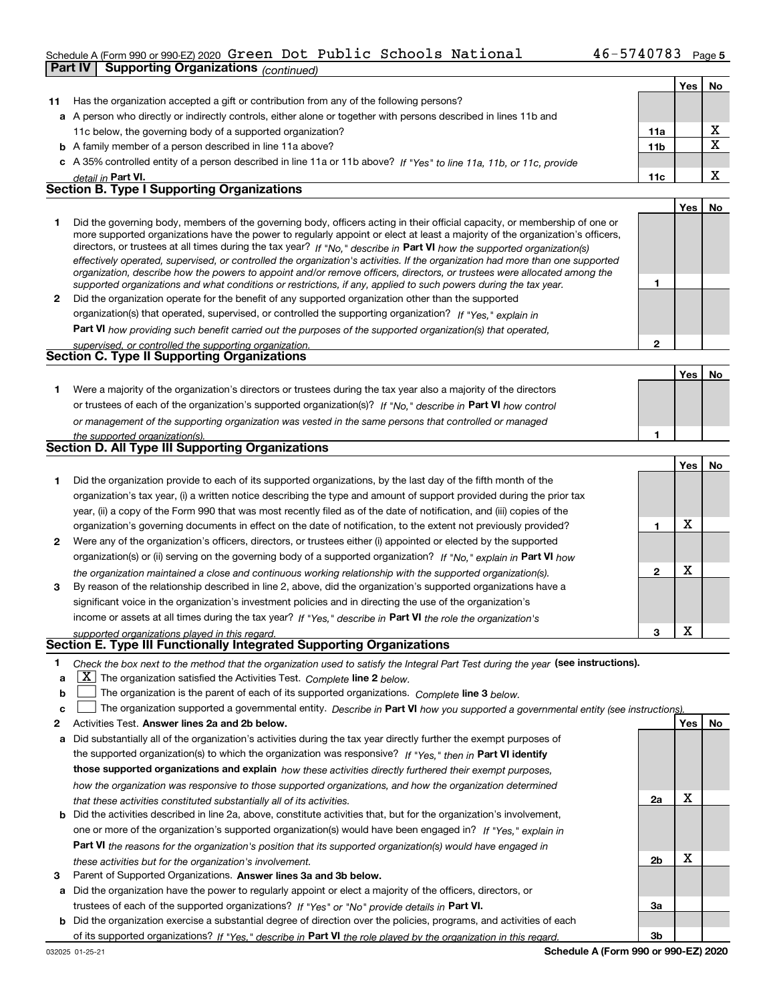## Schedule A (Form 990 or 990-EZ) 2020 Page Green Dot Public Schools National 46-5740783

|              | Part IV<br><b>Supporting Organizations (continued)</b>                                                                                                                                                                                                      |              |     |                         |
|--------------|-------------------------------------------------------------------------------------------------------------------------------------------------------------------------------------------------------------------------------------------------------------|--------------|-----|-------------------------|
|              |                                                                                                                                                                                                                                                             |              | Yes | No                      |
| 11           | Has the organization accepted a gift or contribution from any of the following persons?                                                                                                                                                                     |              |     |                         |
|              | a A person who directly or indirectly controls, either alone or together with persons described in lines 11b and                                                                                                                                            |              |     |                         |
|              | 11c below, the governing body of a supported organization?                                                                                                                                                                                                  | 11a          |     | x                       |
|              | <b>b</b> A family member of a person described in line 11a above?                                                                                                                                                                                           | 11b          |     | $\overline{\mathtt{x}}$ |
|              | c A 35% controlled entity of a person described in line 11a or 11b above? If "Yes" to line 11a, 11b, or 11c, provide                                                                                                                                        |              |     |                         |
|              | detail in Part VI.                                                                                                                                                                                                                                          | 11c          |     | X                       |
|              | <b>Section B. Type I Supporting Organizations</b>                                                                                                                                                                                                           |              |     |                         |
|              |                                                                                                                                                                                                                                                             |              | Yes | No                      |
| 1            | Did the governing body, members of the governing body, officers acting in their official capacity, or membership of one or<br>more supported organizations have the power to regularly appoint or elect at least a majority of the organization's officers, |              |     |                         |
|              | directors, or trustees at all times during the tax year? If "No," describe in Part VI how the supported organization(s)                                                                                                                                     |              |     |                         |
|              | effectively operated, supervised, or controlled the organization's activities. If the organization had more than one supported<br>organization, describe how the powers to appoint and/or remove officers, directors, or trustees were allocated among the  |              |     |                         |
|              | supported organizations and what conditions or restrictions, if any, applied to such powers during the tax year.                                                                                                                                            | 1            |     |                         |
| $\mathbf{2}$ | Did the organization operate for the benefit of any supported organization other than the supported                                                                                                                                                         |              |     |                         |
|              | organization(s) that operated, supervised, or controlled the supporting organization? If "Yes," explain in                                                                                                                                                  |              |     |                         |
|              | Part VI how providing such benefit carried out the purposes of the supported organization(s) that operated,                                                                                                                                                 |              |     |                         |
|              | supervised, or controlled the supporting organization.                                                                                                                                                                                                      | $\mathbf{2}$ |     |                         |
|              | <b>Section C. Type II Supporting Organizations</b>                                                                                                                                                                                                          |              |     |                         |
|              |                                                                                                                                                                                                                                                             |              | Yes | No                      |
| 1.           | Were a majority of the organization's directors or trustees during the tax year also a majority of the directors                                                                                                                                            |              |     |                         |
|              | or trustees of each of the organization's supported organization(s)? If "No," describe in Part VI how control                                                                                                                                               |              |     |                         |
|              | or management of the supporting organization was vested in the same persons that controlled or managed                                                                                                                                                      |              |     |                         |
|              | the supported organization(s).                                                                                                                                                                                                                              | 1            |     |                         |
|              | Section D. All Type III Supporting Organizations                                                                                                                                                                                                            |              |     |                         |
|              |                                                                                                                                                                                                                                                             |              | Yes | No                      |
| 1            | Did the organization provide to each of its supported organizations, by the last day of the fifth month of the                                                                                                                                              |              |     |                         |
|              | organization's tax year, (i) a written notice describing the type and amount of support provided during the prior tax                                                                                                                                       |              |     |                         |
|              | year, (ii) a copy of the Form 990 that was most recently filed as of the date of notification, and (iii) copies of the                                                                                                                                      |              |     |                         |
|              | organization's governing documents in effect on the date of notification, to the extent not previously provided?                                                                                                                                            | 1            | X   |                         |
| 2            | Were any of the organization's officers, directors, or trustees either (i) appointed or elected by the supported                                                                                                                                            |              |     |                         |
|              | organization(s) or (ii) serving on the governing body of a supported organization? If "No," explain in Part VI how                                                                                                                                          |              |     |                         |
|              | the organization maintained a close and continuous working relationship with the supported organization(s).                                                                                                                                                 | $\mathbf{2}$ | X   |                         |
| 3            | By reason of the relationship described in line 2, above, did the organization's supported organizations have a                                                                                                                                             |              |     |                         |
|              | significant voice in the organization's investment policies and in directing the use of the organization's                                                                                                                                                  |              |     |                         |
|              | income or assets at all times during the tax year? If "Yes," describe in Part VI the role the organization's                                                                                                                                                |              |     |                         |
|              | supported organizations played in this regard.                                                                                                                                                                                                              | з            | X   |                         |
|              | Section E. Type III Functionally Integrated Supporting Organizations                                                                                                                                                                                        |              |     |                         |
| 1            | Check the box next to the method that the organization used to satisfy the Integral Part Test during the year (see instructions).                                                                                                                           |              |     |                         |
| a            | $X$ The organization satisfied the Activities Test. Complete line 2 below.                                                                                                                                                                                  |              |     |                         |
| b            | The organization is the parent of each of its supported organizations. Complete line 3 below.                                                                                                                                                               |              |     |                         |
| c            | The organization supported a governmental entity. Describe in Part VI how you supported a governmental entity (see instructions)                                                                                                                            |              |     |                         |
| 2            | Activities Test. Answer lines 2a and 2b below.                                                                                                                                                                                                              |              | Yes | No.                     |
|              |                                                                                                                                                                                                                                                             |              |     |                         |

- **a** Did substantially all of the organization's activities during the tax year directly further the exempt purposes of **b** Did the activities described in line 2a, above, constitute activities that, but for the organization's involvement, the supported organization(s) to which the organization was responsive? If "Yes," then in **Part VI identify those supported organizations and explain**  *how these activities directly furthered their exempt purposes, how the organization was responsive to those supported organizations, and how the organization determined that these activities constituted substantially all of its activities.* one or more of the organization's supported organization(s) would have been engaged in? If "Yes," e*xplain in* 
	- **Part VI**  *the reasons for the organization's position that its supported organization(s) would have engaged in these activities but for the organization's involvement.*
- **3** Parent of Supported Organizations. Answer lines 3a and 3b below.
- **a** Did the organization have the power to regularly appoint or elect a majority of the officers, directors, or trustees of each of the supported organizations? If "Yes" or "No" provide details in **Part VI.**
- **b** Did the organization exercise a substantial degree of direction over the policies, programs, and activities of each of its supported organizations? If "Yes," describe in Part VI the role played by the organization in this regard.

**2a**

X

X

**2b**

**3a**

**3b**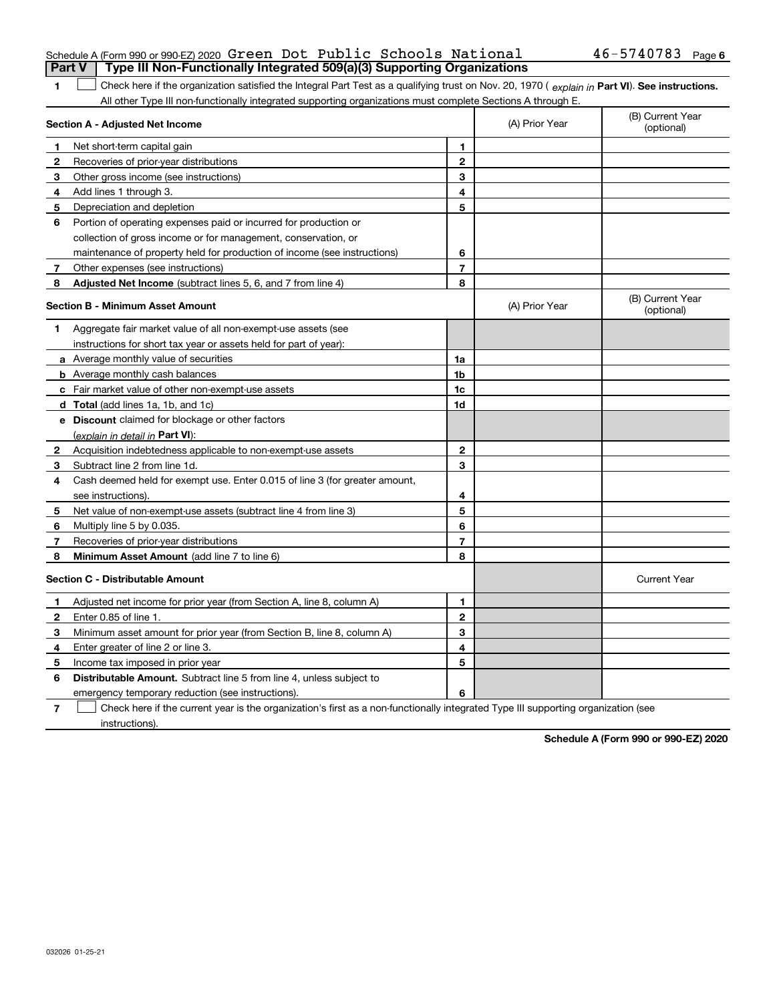| Schedule A (Form 990 or 990 EZ) 2020 Green Dot Public Schools National                |  |  | $46 - 5740783$ Page 6 |  |
|---------------------------------------------------------------------------------------|--|--|-----------------------|--|
| <b>Part V</b> Type III Non-Functionally Integrated 509(a)(3) Supporting Organizations |  |  |                       |  |

1 Check here if the organization satisfied the Integral Part Test as a qualifying trust on Nov. 20, 1970 (explain in Part VI). See instructions. All other Type III non-functionally integrated supporting organizations must complete Sections A through E.

| Section A - Adjusted Net Income         |                                                                             | (A) Prior Year | (B) Current Year<br>(optional) |                                |
|-----------------------------------------|-----------------------------------------------------------------------------|----------------|--------------------------------|--------------------------------|
| 1                                       | Net short-term capital gain                                                 | 1              |                                |                                |
| $\mathbf{2}$                            | Recoveries of prior-year distributions                                      | $\overline{2}$ |                                |                                |
| 3                                       | Other gross income (see instructions)                                       | 3              |                                |                                |
| 4                                       | Add lines 1 through 3.                                                      | 4              |                                |                                |
| 5                                       | Depreciation and depletion                                                  | 5              |                                |                                |
| 6                                       | Portion of operating expenses paid or incurred for production or            |                |                                |                                |
|                                         | collection of gross income or for management, conservation, or              |                |                                |                                |
|                                         | maintenance of property held for production of income (see instructions)    | 6              |                                |                                |
| 7                                       | Other expenses (see instructions)                                           | $\overline{7}$ |                                |                                |
| 8                                       | <b>Adjusted Net Income</b> (subtract lines 5, 6, and 7 from line 4)         | 8              |                                |                                |
| <b>Section B - Minimum Asset Amount</b> |                                                                             |                | (A) Prior Year                 | (B) Current Year<br>(optional) |
| 1                                       | Aggregate fair market value of all non-exempt-use assets (see               |                |                                |                                |
|                                         | instructions for short tax year or assets held for part of year):           |                |                                |                                |
|                                         | a Average monthly value of securities                                       | 1a             |                                |                                |
|                                         | <b>b</b> Average monthly cash balances                                      | 1 <sub>b</sub> |                                |                                |
|                                         | c Fair market value of other non-exempt-use assets                          | 1c             |                                |                                |
|                                         | <b>d</b> Total (add lines 1a, 1b, and 1c)                                   | 1d             |                                |                                |
|                                         | e Discount claimed for blockage or other factors                            |                |                                |                                |
|                                         | (explain in detail in Part VI):                                             |                |                                |                                |
| 2                                       | Acquisition indebtedness applicable to non-exempt-use assets                | $\mathbf{2}$   |                                |                                |
| 3                                       | Subtract line 2 from line 1d.                                               | 3              |                                |                                |
| 4                                       | Cash deemed held for exempt use. Enter 0.015 of line 3 (for greater amount, |                |                                |                                |
|                                         | see instructions).                                                          | 4              |                                |                                |
| 5                                       | Net value of non-exempt-use assets (subtract line 4 from line 3)            | 5              |                                |                                |
| 6                                       | Multiply line 5 by 0.035.                                                   | 6              |                                |                                |
| 7                                       | Recoveries of prior-year distributions                                      | $\overline{7}$ |                                |                                |
| 8                                       | Minimum Asset Amount (add line 7 to line 6)                                 | 8              |                                |                                |
|                                         | <b>Section C - Distributable Amount</b>                                     |                |                                | <b>Current Year</b>            |
| 1                                       | Adjusted net income for prior year (from Section A, line 8, column A)       | 1              |                                |                                |
| $\mathbf{2}$                            | Enter 0.85 of line 1.                                                       | $\overline{2}$ |                                |                                |
| 3                                       | Minimum asset amount for prior year (from Section B, line 8, column A)      | 3              |                                |                                |
| 4                                       | Enter greater of line 2 or line 3.                                          | 4              |                                |                                |
| 5                                       | Income tax imposed in prior year                                            | 5              |                                |                                |
| 6                                       | <b>Distributable Amount.</b> Subtract line 5 from line 4, unless subject to |                |                                |                                |
|                                         | emergency temporary reduction (see instructions).                           | 6              |                                |                                |

**7**Check here if the current year is the organization's first as a non-functionally integrated Type III supporting organization (see instructions).

**Schedule A (Form 990 or 990-EZ) 2020**

**1**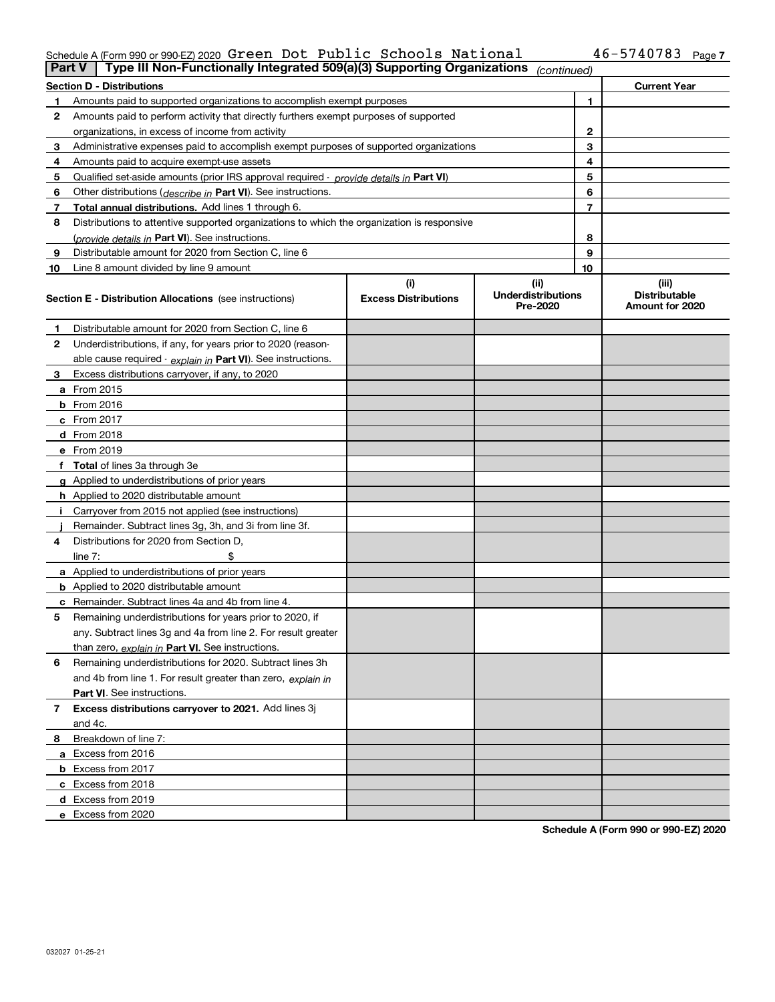#### Schedule A (Form 990 or 990-EZ) 2020 <code>Green Dot Public</code> <code>Schools National</code>  $46-5740783$  Page Green Dot Public Schools National 46-5740783

| <b>Part V</b> | Type III Non-Functionally Integrated 509(a)(3) Supporting Organizations                    |                             | (continued)                           |    |                                         |  |  |  |  |
|---------------|--------------------------------------------------------------------------------------------|-----------------------------|---------------------------------------|----|-----------------------------------------|--|--|--|--|
|               | <b>Section D - Distributions</b><br><b>Current Year</b>                                    |                             |                                       |    |                                         |  |  |  |  |
| 1             | Amounts paid to supported organizations to accomplish exempt purposes                      |                             | 1                                     |    |                                         |  |  |  |  |
| 2             | Amounts paid to perform activity that directly furthers exempt purposes of supported       |                             |                                       |    |                                         |  |  |  |  |
|               | organizations, in excess of income from activity                                           |                             | $\mathbf{2}$                          |    |                                         |  |  |  |  |
| 3             | Administrative expenses paid to accomplish exempt purposes of supported organizations      |                             |                                       | 3  |                                         |  |  |  |  |
| 4             | Amounts paid to acquire exempt-use assets                                                  |                             |                                       | 4  |                                         |  |  |  |  |
| 5             | Qualified set-aside amounts (prior IRS approval required - provide details in Part VI)     |                             |                                       | 5  |                                         |  |  |  |  |
| 6             | Other distributions ( <i>describe in</i> Part VI). See instructions.                       |                             |                                       | 6  |                                         |  |  |  |  |
| 7             | Total annual distributions. Add lines 1 through 6.                                         |                             |                                       | 7  |                                         |  |  |  |  |
| 8             | Distributions to attentive supported organizations to which the organization is responsive |                             |                                       |    |                                         |  |  |  |  |
|               | (provide details in Part VI). See instructions.                                            |                             |                                       | 8  |                                         |  |  |  |  |
| 9             | Distributable amount for 2020 from Section C, line 6                                       |                             |                                       | 9  |                                         |  |  |  |  |
| 10            | Line 8 amount divided by line 9 amount                                                     |                             |                                       | 10 |                                         |  |  |  |  |
|               |                                                                                            | (i)                         | (ii)                                  |    | (iii)                                   |  |  |  |  |
|               | Section E - Distribution Allocations (see instructions)                                    | <b>Excess Distributions</b> | <b>Underdistributions</b><br>Pre-2020 |    | <b>Distributable</b><br>Amount for 2020 |  |  |  |  |
| 1             | Distributable amount for 2020 from Section C, line 6                                       |                             |                                       |    |                                         |  |  |  |  |
| 2             | Underdistributions, if any, for years prior to 2020 (reason-                               |                             |                                       |    |                                         |  |  |  |  |
|               | able cause required - explain in Part VI). See instructions.                               |                             |                                       |    |                                         |  |  |  |  |
| 3             | Excess distributions carryover, if any, to 2020                                            |                             |                                       |    |                                         |  |  |  |  |
|               | <b>a</b> From 2015                                                                         |                             |                                       |    |                                         |  |  |  |  |
|               | <b>b</b> From 2016                                                                         |                             |                                       |    |                                         |  |  |  |  |
|               | c From 2017                                                                                |                             |                                       |    |                                         |  |  |  |  |
|               | <b>d</b> From 2018                                                                         |                             |                                       |    |                                         |  |  |  |  |
|               | e From 2019                                                                                |                             |                                       |    |                                         |  |  |  |  |
|               | f Total of lines 3a through 3e                                                             |                             |                                       |    |                                         |  |  |  |  |
|               | g Applied to underdistributions of prior years                                             |                             |                                       |    |                                         |  |  |  |  |
|               | <b>h</b> Applied to 2020 distributable amount                                              |                             |                                       |    |                                         |  |  |  |  |
|               | Carryover from 2015 not applied (see instructions)                                         |                             |                                       |    |                                         |  |  |  |  |
|               | Remainder. Subtract lines 3g, 3h, and 3i from line 3f.                                     |                             |                                       |    |                                         |  |  |  |  |
| 4             | Distributions for 2020 from Section D,                                                     |                             |                                       |    |                                         |  |  |  |  |
|               | line $7:$                                                                                  |                             |                                       |    |                                         |  |  |  |  |
|               | a Applied to underdistributions of prior years                                             |                             |                                       |    |                                         |  |  |  |  |
|               | <b>b</b> Applied to 2020 distributable amount                                              |                             |                                       |    |                                         |  |  |  |  |
|               | c Remainder. Subtract lines 4a and 4b from line 4.                                         |                             |                                       |    |                                         |  |  |  |  |
| 5             | Remaining underdistributions for years prior to 2020, if                                   |                             |                                       |    |                                         |  |  |  |  |
|               | any. Subtract lines 3g and 4a from line 2. For result greater                              |                             |                                       |    |                                         |  |  |  |  |
|               | than zero, explain in Part VI. See instructions.                                           |                             |                                       |    |                                         |  |  |  |  |
| 6             | Remaining underdistributions for 2020. Subtract lines 3h                                   |                             |                                       |    |                                         |  |  |  |  |
|               | and 4b from line 1. For result greater than zero, explain in                               |                             |                                       |    |                                         |  |  |  |  |
|               | Part VI. See instructions.                                                                 |                             |                                       |    |                                         |  |  |  |  |
| 7             | Excess distributions carryover to 2021. Add lines 3j                                       |                             |                                       |    |                                         |  |  |  |  |
|               | and 4c.                                                                                    |                             |                                       |    |                                         |  |  |  |  |
| 8             | Breakdown of line 7:                                                                       |                             |                                       |    |                                         |  |  |  |  |
|               | a Excess from 2016                                                                         |                             |                                       |    |                                         |  |  |  |  |
|               | <b>b</b> Excess from 2017                                                                  |                             |                                       |    |                                         |  |  |  |  |
|               | c Excess from 2018                                                                         |                             |                                       |    |                                         |  |  |  |  |
|               | d Excess from 2019                                                                         |                             |                                       |    |                                         |  |  |  |  |
|               | e Excess from 2020                                                                         |                             |                                       |    |                                         |  |  |  |  |

**Schedule A (Form 990 or 990-EZ) 2020**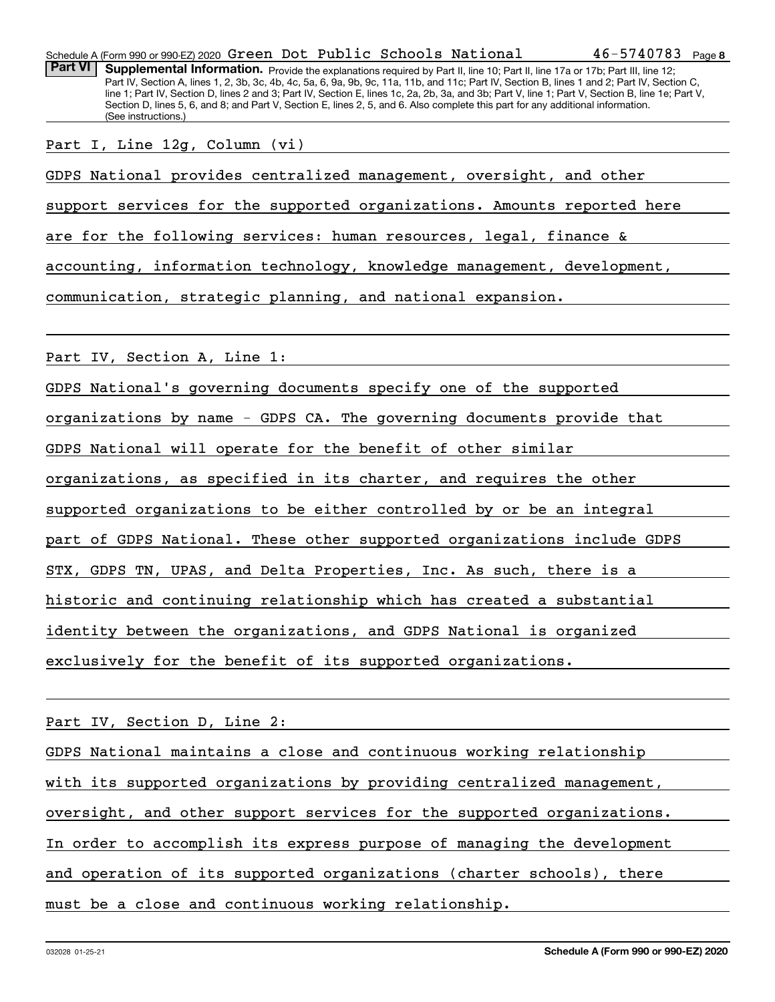Part VI | Supplemental Information. Provide the explanations required by Part II, line 10; Part II, line 17a or 17b; Part III, line 12; Part IV, Section A, lines 1, 2, 3b, 3c, 4b, 4c, 5a, 6, 9a, 9b, 9c, 11a, 11b, and 11c; Part IV, Section B, lines 1 and 2; Part IV, Section C, line 1; Part IV, Section D, lines 2 and 3; Part IV, Section E, lines 1c, 2a, 2b, 3a, and 3b; Part V, line 1; Part V, Section B, line 1e; Part V, Section D, lines 5, 6, and 8; and Part V, Section E, lines 2, 5, and 6. Also complete this part for any additional information. (See instructions.)

Part I, Line 12g, Column (vi)

GDPS National provides centralized management, oversight, and other

support services for the supported organizations. Amounts reported here

are for the following services: human resources, legal, finance &

accounting, information technology, knowledge management, development,

communication, strategic planning, and national expansion.

Part IV, Section A, Line 1:

GDPS National's governing documents specify one of the supported

organizations by name - GDPS CA. The governing documents provide that

GDPS National will operate for the benefit of other similar

organizations, as specified in its charter, and requires the other

supported organizations to be either controlled by or be an integral

part of GDPS National. These other supported organizations include GDPS

STX, GDPS TN, UPAS, and Delta Properties, Inc. As such, there is a

historic and continuing relationship which has created a substantial

identity between the organizations, and GDPS National is organized

exclusively for the benefit of its supported organizations.

Part IV, Section D, Line 2:

GDPS National maintains a close and continuous working relationship with its supported organizations by providing centralized management, oversight, and other support services for the supported organizations. In order to accomplish its express purpose of managing the development and operation of its supported organizations (charter schools), there must be a close and continuous working relationship.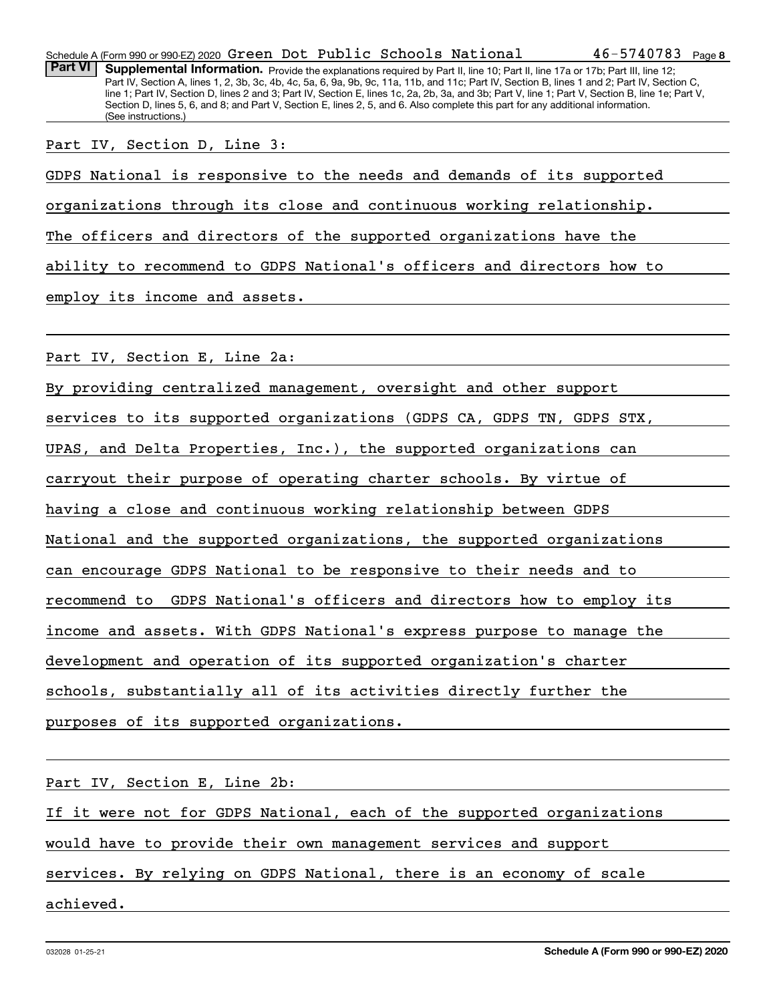Part VI | Supplemental Information. Provide the explanations required by Part II, line 10; Part II, line 17a or 17b; Part III, line 12; Part IV, Section A, lines 1, 2, 3b, 3c, 4b, 4c, 5a, 6, 9a, 9b, 9c, 11a, 11b, and 11c; Part IV, Section B, lines 1 and 2; Part IV, Section C, line 1; Part IV, Section D, lines 2 and 3; Part IV, Section E, lines 1c, 2a, 2b, 3a, and 3b; Part V, line 1; Part V, Section B, line 1e; Part V, Section D, lines 5, 6, and 8; and Part V, Section E, lines 2, 5, and 6. Also complete this part for any additional information. (See instructions.)

Part IV, Section D, Line 3:

GDPS National is responsive to the needs and demands of its supported

organizations through its close and continuous working relationship.

The officers and directors of the supported organizations have the

ability to recommend to GDPS National's officers and directors how to

employ its income and assets.

Part IV, Section E, Line 2a:

By providing centralized management, oversight and other support

services to its supported organizations (GDPS CA, GDPS TN, GDPS STX,

UPAS, and Delta Properties, Inc.), the supported organizations can

carryout their purpose of operating charter schools. By virtue of

having a close and continuous working relationship between GDPS

National and the supported organizations, the supported organizations

can encourage GDPS National to be responsive to their needs and to

recommend to GDPS National's officers and directors how to employ its

income and assets. With GDPS National's express purpose to manage the

development and operation of its supported organization's charter

schools, substantially all of its activities directly further the

purposes of its supported organizations.

Part IV, Section E, Line 2b:

If it were not for GDPS National, each of the supported organizations

would have to provide their own management services and support

services. By relying on GDPS National, there is an economy of scale

achieved.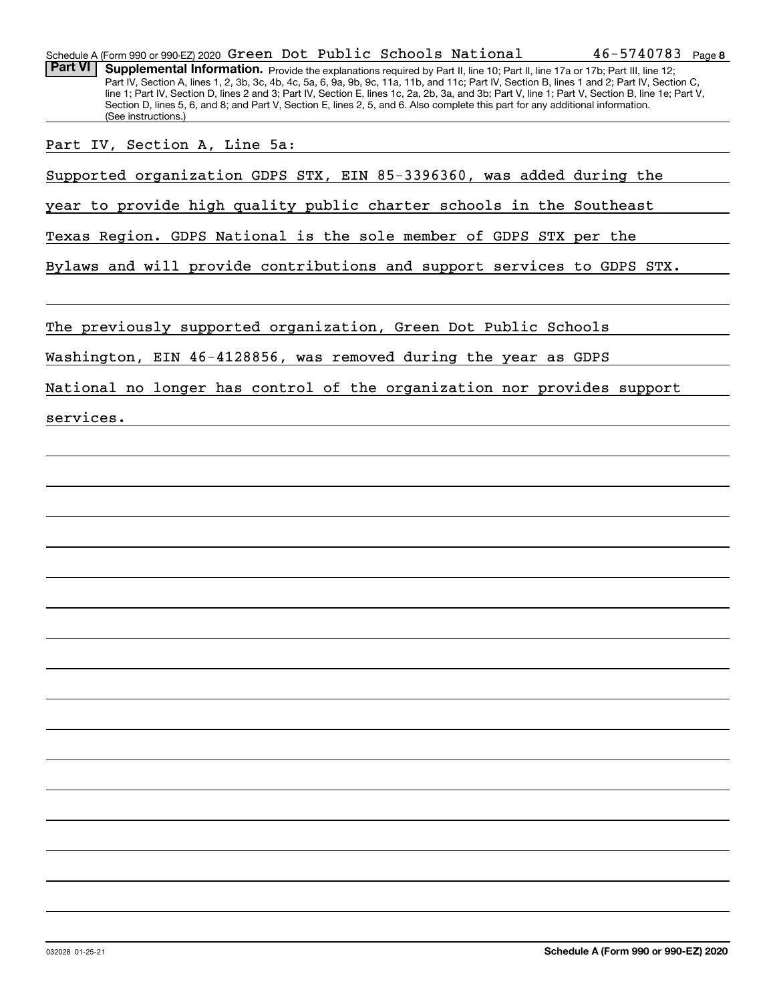| Schedule A (Form 990 or 990-EZ) 2020 Green Dot Public Schools National                                                                                                                                                                                                                                                                                                                                                                                                                                                                                                                 | $46 - 5740783$ Page 8 |
|----------------------------------------------------------------------------------------------------------------------------------------------------------------------------------------------------------------------------------------------------------------------------------------------------------------------------------------------------------------------------------------------------------------------------------------------------------------------------------------------------------------------------------------------------------------------------------------|-----------------------|
| <b>Part VI</b><br>Supplemental Information. Provide the explanations required by Part II, line 10; Part II, line 17a or 17b; Part III, line 12;<br>Part IV, Section A, lines 1, 2, 3b, 3c, 4b, 4c, 5a, 6, 9a, 9b, 9c, 11a, 11b, and 11c; Part IV, Section B, lines 1 and 2; Part IV, Section C,<br>line 1; Part IV, Section D, lines 2 and 3; Part IV, Section E, lines 1c, 2a, 2b, 3a, and 3b; Part V, line 1; Part V, Section B, line 1e; Part V,<br>Section D, lines 5, 6, and 8; and Part V, Section E, lines 2, 5, and 6. Also complete this part for any additional information. |                       |
| (See instructions.)                                                                                                                                                                                                                                                                                                                                                                                                                                                                                                                                                                    |                       |
| Part IV, Section A, Line 5a:                                                                                                                                                                                                                                                                                                                                                                                                                                                                                                                                                           |                       |
| Supported organization GDPS STX, EIN 85-3396360, was added during the                                                                                                                                                                                                                                                                                                                                                                                                                                                                                                                  |                       |
| year to provide high quality public charter schools in the Southeast                                                                                                                                                                                                                                                                                                                                                                                                                                                                                                                   |                       |
| Texas Region. GDPS National is the sole member of GDPS STX per the                                                                                                                                                                                                                                                                                                                                                                                                                                                                                                                     |                       |
| Bylaws and will provide contributions and support services to GDPS STX.                                                                                                                                                                                                                                                                                                                                                                                                                                                                                                                |                       |
| The previously supported organization, Green Dot Public Schools                                                                                                                                                                                                                                                                                                                                                                                                                                                                                                                        |                       |
| Washington, EIN 46-4128856, was removed during the year as GDPS                                                                                                                                                                                                                                                                                                                                                                                                                                                                                                                        |                       |
| National no longer has control of the organization nor provides support                                                                                                                                                                                                                                                                                                                                                                                                                                                                                                                |                       |
| services.                                                                                                                                                                                                                                                                                                                                                                                                                                                                                                                                                                              |                       |
|                                                                                                                                                                                                                                                                                                                                                                                                                                                                                                                                                                                        |                       |
|                                                                                                                                                                                                                                                                                                                                                                                                                                                                                                                                                                                        |                       |
|                                                                                                                                                                                                                                                                                                                                                                                                                                                                                                                                                                                        |                       |
|                                                                                                                                                                                                                                                                                                                                                                                                                                                                                                                                                                                        |                       |
|                                                                                                                                                                                                                                                                                                                                                                                                                                                                                                                                                                                        |                       |
|                                                                                                                                                                                                                                                                                                                                                                                                                                                                                                                                                                                        |                       |
|                                                                                                                                                                                                                                                                                                                                                                                                                                                                                                                                                                                        |                       |
|                                                                                                                                                                                                                                                                                                                                                                                                                                                                                                                                                                                        |                       |
|                                                                                                                                                                                                                                                                                                                                                                                                                                                                                                                                                                                        |                       |
|                                                                                                                                                                                                                                                                                                                                                                                                                                                                                                                                                                                        |                       |
|                                                                                                                                                                                                                                                                                                                                                                                                                                                                                                                                                                                        |                       |
|                                                                                                                                                                                                                                                                                                                                                                                                                                                                                                                                                                                        |                       |
|                                                                                                                                                                                                                                                                                                                                                                                                                                                                                                                                                                                        |                       |
|                                                                                                                                                                                                                                                                                                                                                                                                                                                                                                                                                                                        |                       |
|                                                                                                                                                                                                                                                                                                                                                                                                                                                                                                                                                                                        |                       |
|                                                                                                                                                                                                                                                                                                                                                                                                                                                                                                                                                                                        |                       |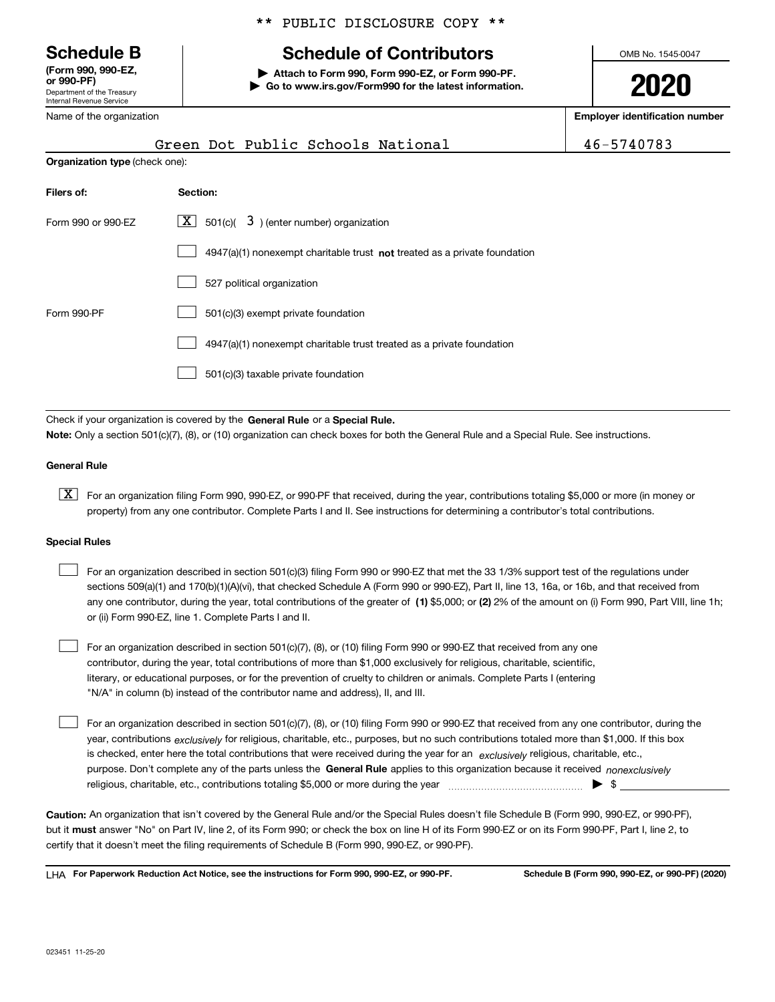Department of the Treasury Internal Revenue Service **(Form 990, 990-EZ, or 990-PF)**

Name of the organization

## \*\* PUBLIC DISCLOSURE COPY \*\*

## **Schedule B Schedule of Contributors**

**| Attach to Form 990, Form 990-EZ, or Form 990-PF. | Go to www.irs.gov/Form990 for the latest information.** OMB No. 1545-0047

**2020**

**Employer identification number**

|                                       | Green Dot Public Schools National                                         | 46-5740783 |
|---------------------------------------|---------------------------------------------------------------------------|------------|
| <b>Organization type (check one):</b> |                                                                           |            |
| Filers of:                            | Section:                                                                  |            |
| Form 990 or 990-EZ                    | $\lfloor x \rfloor$ 501(c)( 3) (enter number) organization                |            |
|                                       | 4947(a)(1) nonexempt charitable trust not treated as a private foundation |            |
|                                       | 527 political organization                                                |            |
| Form 990-PF                           | 501(c)(3) exempt private foundation                                       |            |

4947(a)(1) nonexempt charitable trust treated as a private foundation  $\mathcal{L}^{\text{max}}$ 

501(c)(3) taxable private foundation  $\mathcal{L}^{\text{max}}$ 

Check if your organization is covered by the **General Rule** or a **Special Rule. Note:**  Only a section 501(c)(7), (8), or (10) organization can check boxes for both the General Rule and a Special Rule. See instructions.

## **General Rule**

 $\boxed{\textbf{X}}$  For an organization filing Form 990, 990-EZ, or 990-PF that received, during the year, contributions totaling \$5,000 or more (in money or property) from any one contributor. Complete Parts I and II. See instructions for determining a contributor's total contributions.

#### **Special Rules**

| For an organization described in section 501(c)(3) filing Form 990 or 990-EZ that met the 33 1/3% support test of the regulations under               |
|-------------------------------------------------------------------------------------------------------------------------------------------------------|
| sections 509(a)(1) and 170(b)(1)(A)(vi), that checked Schedule A (Form 990 or 990-EZ), Part II, line 13, 16a, or 16b, and that received from          |
| any one contributor, during the year, total contributions of the greater of (1) \$5,000; or (2) 2% of the amount on (i) Form 990, Part VIII, line 1h; |
| or (ii) Form 990-EZ, line 1. Complete Parts I and II.                                                                                                 |

For an organization described in section 501(c)(7), (8), or (10) filing Form 990 or 990-EZ that received from any one contributor, during the year, total contributions of more than \$1,000 exclusively for religious, charitable, scientific, literary, or educational purposes, or for the prevention of cruelty to children or animals. Complete Parts I (entering "N/A" in column (b) instead of the contributor name and address), II, and III.  $\mathcal{L}^{\text{max}}$ 

purpose. Don't complete any of the parts unless the **General Rule** applies to this organization because it received *nonexclusively* year, contributions <sub>exclusively</sub> for religious, charitable, etc., purposes, but no such contributions totaled more than \$1,000. If this box is checked, enter here the total contributions that were received during the year for an  $\;$ exclusively religious, charitable, etc., For an organization described in section 501(c)(7), (8), or (10) filing Form 990 or 990-EZ that received from any one contributor, during the religious, charitable, etc., contributions totaling \$5,000 or more during the year  $\Box$ — $\Box$   $\Box$  $\mathcal{L}^{\text{max}}$ 

**Caution:**  An organization that isn't covered by the General Rule and/or the Special Rules doesn't file Schedule B (Form 990, 990-EZ, or 990-PF),  **must** but it answer "No" on Part IV, line 2, of its Form 990; or check the box on line H of its Form 990-EZ or on its Form 990-PF, Part I, line 2, to certify that it doesn't meet the filing requirements of Schedule B (Form 990, 990-EZ, or 990-PF).

**For Paperwork Reduction Act Notice, see the instructions for Form 990, 990-EZ, or 990-PF. Schedule B (Form 990, 990-EZ, or 990-PF) (2020)** LHA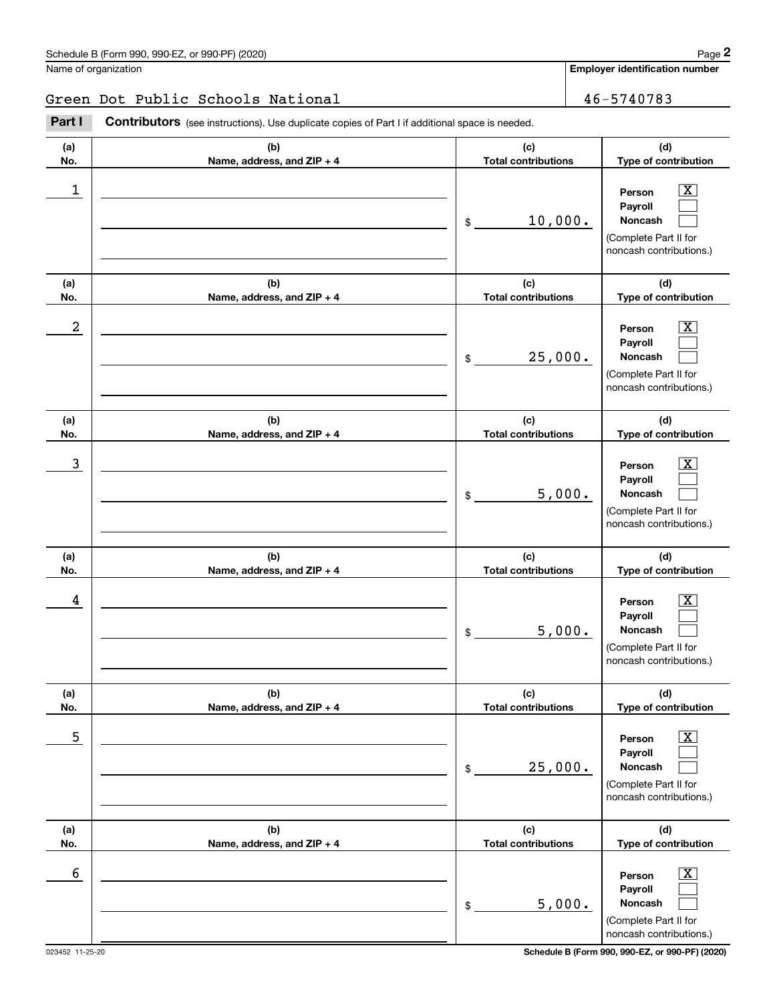$|X|$  $\mathcal{L}^{\text{max}}$  $\mathcal{L}^{\text{max}}$ 

 $\boxed{\text{X}}$  $\mathcal{L}^{\text{max}}$  $\mathcal{L}^{\text{max}}$ 

 $|X|$  $\mathcal{L}^{\text{max}}$  $\mathcal{L}^{\text{max}}$ 

 $|X|$  $\mathcal{L}^{\text{max}}$  $\mathcal{L}^{\text{max}}$ 

 $|X|$  $\mathcal{L}^{\text{max}}$  $\mathcal{L}^{\text{max}}$ 

**Employer identification number**

**(a)No.(b)Name, address, and ZIP + 4 (c)Total contributions (d)Type of contribution PersonPayrollNoncash (a)No.(b)Name, address, and ZIP + 4 (c)Total contributions (d)Type of contribution PersonPayrollNoncash (a)No.(b)Name, address, and ZIP + 4 (c)Total contributions (d)Type of contribution PersonPayrollNoncash (a) No.(b) Name, address, and ZIP + 4 (c) Total contributions (d) Type of contribution Person Payroll Noncash (a) No.(b) Name, address, and ZIP + 4 (c) Total contributions (d) Type of contribution PersonPayrollNoncash (a) No.(b)Name, address, and ZIP + 4 (c) Total contributions (d) Type of contribution** Schedule B (Form 990, 990-EZ, or 990-PF) (2020) **Page 2** Page 2 and the state of the state of the state of the state of the state of the state of the state of the state of the state of the state of the state of the state o Name of organization Contributors (see instructions). Use duplicate copies of Part I if additional space is needed. \$(Complete Part II for noncash contributions.) \$(Complete Part II for noncash contributions.) \$(Complete Part II for noncash contributions.) \$(Complete Part II for noncash contributions.) \$(Complete Part II for noncash contributions.) Chedule B (Form 990, 990-EZ, or 990-PF) (2020)<br>
alame of organization<br> **2Part I 2Part I Contributors** (see instructions). Use duplicate copies of Part I if additional space is needed.  $\begin{array}{c|c|c|c|c|c} 1 & \hspace{1.5cm} & \hspace{1.5cm} & \hspace{1.5cm} & \hspace{1.5cm} & \hspace{1.5cm} & \hspace{1.5cm} & \hspace{1.5cm} & \hspace{1.5cm} & \hspace{1.5cm} & \hspace{1.5cm} & \hspace{1.5cm} & \hspace{1.5cm} & \hspace{1.5cm} & \hspace{1.5cm} & \hspace{1.5cm} & \hspace{1.5cm} & \hspace{1.5cm} & \hspace{1.5cm} & \hspace{1.5cm} & \hspace{1.5cm} &$ 10,000.  $2$  | Person  $\overline{\text{X}}$ 25,000.  $\overline{3}$  | Person  $\overline{X}$ 5,000.  $4$  | Person  $\overline{\text{X}}$ 5,000.  $\sim$  5 | Person X 25,000. Green Dot Public Schools National 46-5740783

**PersonPayrollNoncash** (Complete Part II for noncash contributions.)  $\boxed{\text{X}}$  $\mathcal{L}^{\text{max}}$  $\mathcal{L}^{\text{max}}$  $\sim$  6 | Person X 5,000.

\$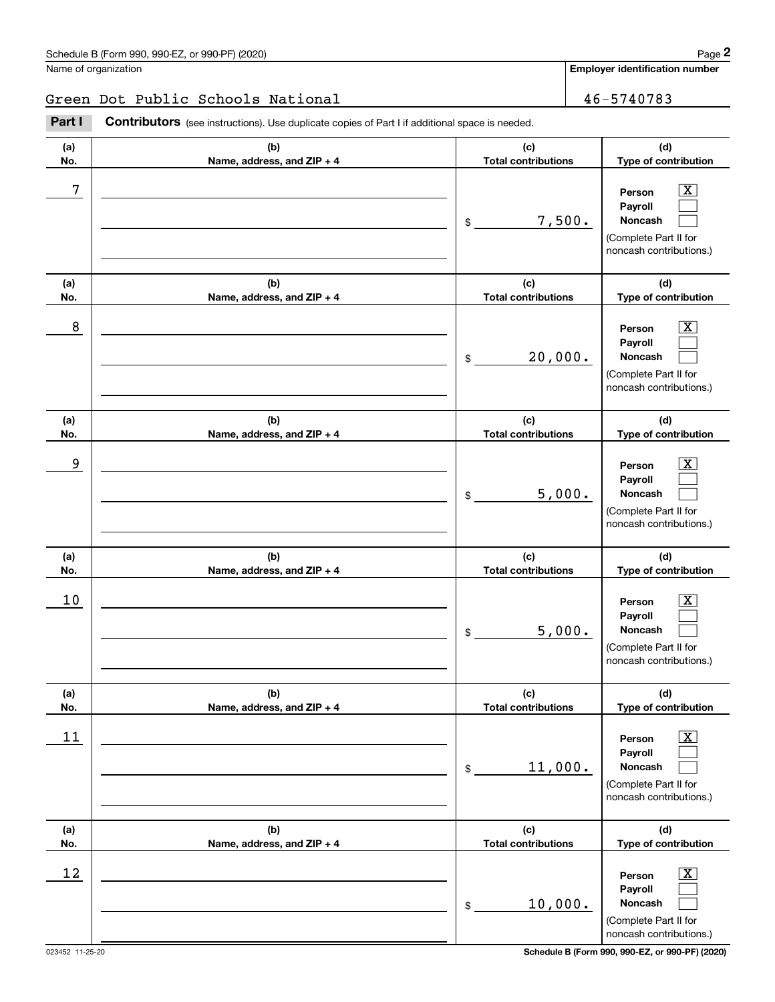$|X|$  $\mathcal{L}^{\text{max}}$  $\mathcal{L}^{\text{max}}$ 

 $\boxed{\text{X}}$  $\mathcal{L}^{\text{max}}$  $\mathcal{L}^{\text{max}}$ 

 $|X|$  $\mathcal{L}^{\text{max}}$  $\mathcal{L}^{\text{max}}$ 

 $|X|$  $\mathcal{L}^{\text{max}}$  $\mathcal{L}^{\text{max}}$ 

 $|X|$  $\mathcal{L}^{\text{max}}$  $\mathcal{L}^{\text{max}}$ 

**Employer identification number**

**(a)No.(b)Name, address, and ZIP + 4 (c)Total contributions (d)Type of contribution PersonPayrollNoncash (a)No.(b)Name, address, and ZIP + 4 (c)Total contributions (d)Type of contribution PersonPayrollNoncash (a)No.(b)Name, address, and ZIP + 4 (c)Total contributions (d)Type of contribution PersonPayrollNoncash (a) No.(b) Name, address, and ZIP + 4 (c) Total contributions (d) Type of contribution PersonPayrollNoncash (a) No.(b) Name, address, and ZIP + 4 (c) Total contributions (d) Type of contribution PersonPayrollNoncash (a) (b)**Schedule B (Form 990, 990-EZ, or 990-PF) (2020) **Page 2** Page 2 and the state of the state of the state of the state of the state of the state of the state of the state of the state of the state of the state of the state o Name of organization Contributors (see instructions). Use duplicate copies of Part I if additional space is needed. \$(Complete Part II for noncash contributions.) \$(Complete Part II for noncash contributions.) \$(Complete Part II for noncash contributions.) \$(Complete Part II for noncash contributions.) \$(Complete Part II for noncash contributions.) Chedule B (Form 990, 990-EZ, or 990-PF) (2020)<br>
alame of organization<br> **2Part I 2Part I Contributors** (see instructions). Use duplicate copies of Part I if additional space is needed. 7 X 7,500. 8 X 20,000. example and the set of the set of the set of the set of the set of the set of the set of the set of the set of 5,000.  $10$  Person  $\overline{\text{X}}$ 5,000.  $11$  Person X 11,000. Green Dot Public Schools National 46-5740783

**Name, address, and ZIP + 4 (c) Total contributions (d) Type of contribution PersonPayrollNoncash** \$(Complete Part II for noncash contributions.)  $\boxed{\text{X}}$  $\mathcal{L}^{\text{max}}$  $\mathcal{L}^{\text{max}}$  $12$  Person X 10,000.

**No.**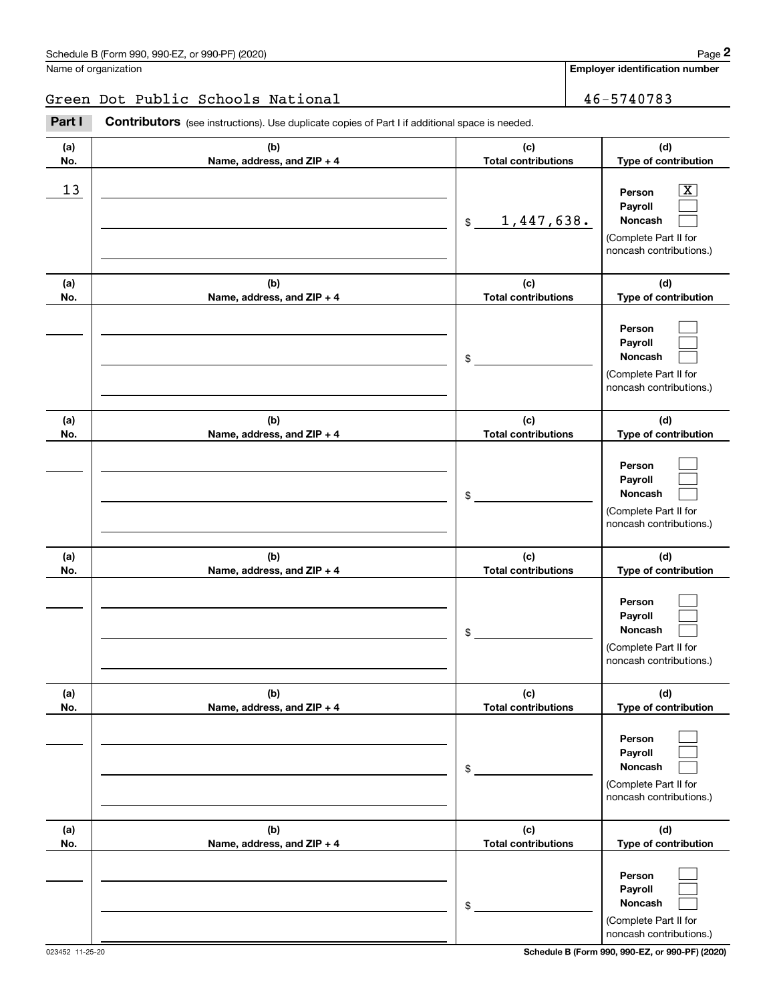**Employer identification number**

## Green Dot Public Schools National 46-5740783

**(a)No.(b)Name, address, and ZIP + 4 (c)Total contributions (d)Type of contribution PersonPayrollNoncash (a)No.(b)Name, address, and ZIP + 4 (c)Total contributions (d)Type of contribution PersonPayrollNoncash (a)No.(b)Name, address, and ZIP + 4 (c)Total contributions (d)Type of contribution PersonPayrollNoncash (a) No.(b) Name, address, and ZIP + 4 (c) Total contributions (d) Type of contribution PersonPayrollNoncash(a) No.(b) Name, address, and ZIP + 4 (c) Total contributions (d) Type of contribution PersonPayrollNoncash (a) No.(b)Name, address, and ZIP + 4 (c) Total contributions (d) Type of contribution PersonPayrollNoncash** Contributors (see instructions). Use duplicate copies of Part I if additional space is needed. \$(Complete Part II for noncash contributions.) \$(Complete Part II for noncash contributions.) \$(Complete Part II for noncash contributions.) \$(Complete Part II for noncash contributions.) \$(Complete Part II for noncash contributions.) \$(Complete Part II for noncash contributions.) Chedule B (Form 990, 990-EZ, or 990-PF) (2020)<br>
alame of organization<br> **2Part I 2Part I Contributors** (see instructions). Use duplicate copies of Part I if additional space is needed.  $\lceil \text{X} \rceil$  $\mathcal{L}^{\text{max}}$  $\mathcal{L}^{\text{max}}$  $\mathcal{L}^{\text{max}}$  $\mathcal{L}^{\text{max}}$  $\mathcal{L}^{\text{max}}$  $\mathcal{L}^{\text{max}}$  $\mathcal{L}^{\text{max}}$  $\mathcal{L}^{\text{max}}$  $\mathcal{L}^{\text{max}}$  $\mathcal{L}^{\text{max}}$  $\mathcal{L}^{\text{max}}$  $\mathcal{L}^{\text{max}}$  $\mathcal{L}^{\text{max}}$  $\mathcal{L}^{\text{max}}$  $\mathcal{L}^{\text{max}}$  $\mathcal{L}^{\text{max}}$  $\mathcal{L}^{\text{max}}$  $13$  Person X 1,447,638.

023452 11-25-20 **Schedule B (Form 990, 990-EZ, or 990-PF) (2020)**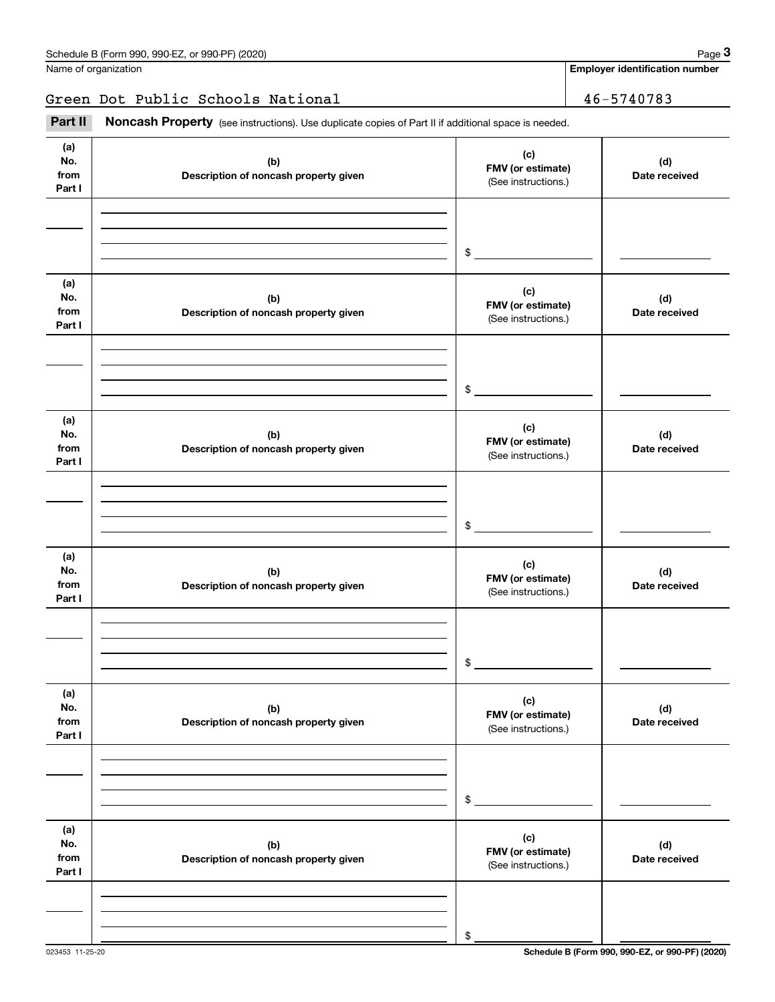**Employer identification number**

Green Dot Public Schools National 16-5740783

Fage 3 (schedule B (Form 990, 990-EZ, or 990-PF) (2020)<br>
Jame of organization<br> **3Part II if additional space is needed.**<br> **3Part II if additional space is needed.** 

| (a)<br>No.<br>from<br>Part I | (b)<br>Description of noncash property given | (c)<br>FMV (or estimate)<br>(See instructions.) | (d)<br>Date received |
|------------------------------|----------------------------------------------|-------------------------------------------------|----------------------|
|                              |                                              |                                                 |                      |
|                              |                                              | $\$$                                            |                      |
| (a)<br>No.<br>from<br>Part I | (b)<br>Description of noncash property given | (c)<br>FMV (or estimate)<br>(See instructions.) | (d)<br>Date received |
|                              |                                              |                                                 |                      |
|                              |                                              |                                                 |                      |
|                              |                                              | $\,$                                            |                      |
| (a)<br>No.<br>from<br>Part I | (b)<br>Description of noncash property given | (c)<br>FMV (or estimate)<br>(See instructions.) | (d)<br>Date received |
|                              |                                              |                                                 |                      |
|                              |                                              |                                                 |                      |
|                              |                                              | $\,$                                            |                      |
| (a)<br>No.<br>from<br>Part I | (b)<br>Description of noncash property given | (c)<br>FMV (or estimate)<br>(See instructions.) | (d)<br>Date received |
|                              |                                              |                                                 |                      |
|                              |                                              |                                                 |                      |
|                              |                                              | $\,$                                            |                      |
| (a)<br>No.<br>from<br>Part I | (b)<br>Description of noncash property given | (c)<br>FMV (or estimate)<br>(See instructions.) | (d)<br>Date received |
|                              |                                              |                                                 |                      |
|                              |                                              |                                                 |                      |
|                              |                                              | $\$$                                            |                      |
| (a)<br>No.<br>from<br>Part I | (b)<br>Description of noncash property given | (c)<br>FMV (or estimate)<br>(See instructions.) | (d)<br>Date received |
|                              |                                              |                                                 |                      |
|                              |                                              |                                                 |                      |
|                              |                                              | \$                                              |                      |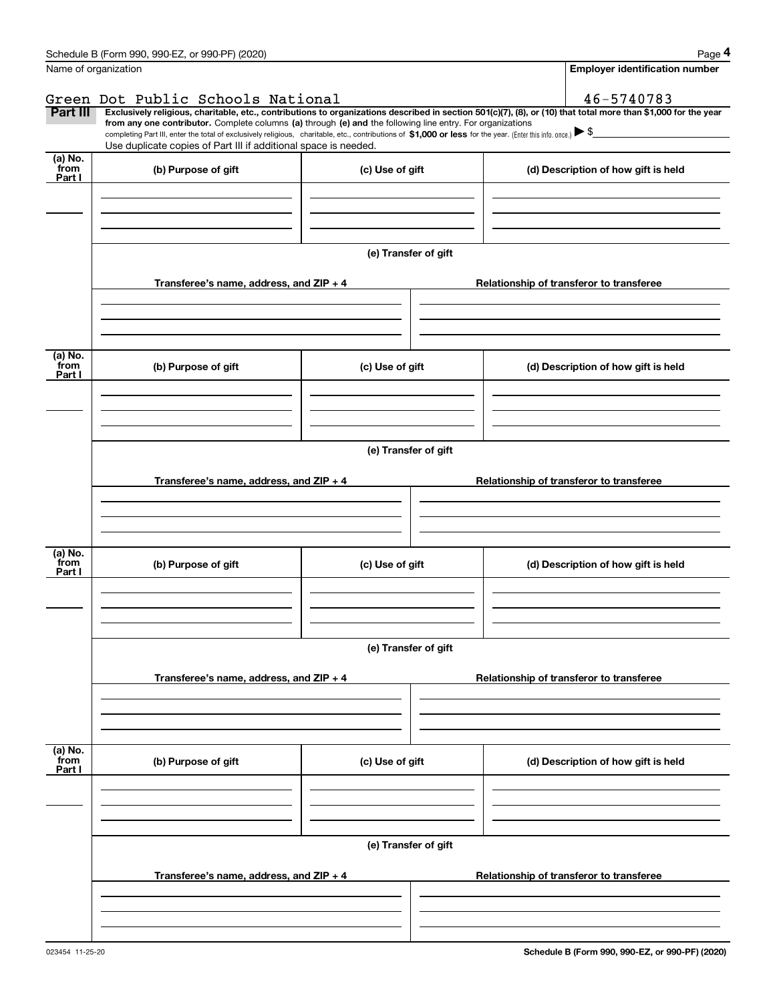|                           | Schedule B (Form 990, 990-EZ, or 990-PF) (2020)                                                                                                              |                      | Page 4                                                                                                                                                         |  |  |  |  |  |  |
|---------------------------|--------------------------------------------------------------------------------------------------------------------------------------------------------------|----------------------|----------------------------------------------------------------------------------------------------------------------------------------------------------------|--|--|--|--|--|--|
|                           | Name of organization                                                                                                                                         |                      | <b>Employer identification number</b>                                                                                                                          |  |  |  |  |  |  |
|                           | Green Dot Public Schools National                                                                                                                            |                      | 46-5740783                                                                                                                                                     |  |  |  |  |  |  |
| Part III                  | from any one contributor. Complete columns (a) through (e) and the following line entry. For organizations                                                   |                      | Exclusively religious, charitable, etc., contributions to organizations described in section 501(c)(7), (8), or (10) that total more than \$1,000 for the year |  |  |  |  |  |  |
|                           | completing Part III, enter the total of exclusively religious, charitable, etc., contributions of \$1,000 or less for the year. (Enter this info. once.) \\$ |                      |                                                                                                                                                                |  |  |  |  |  |  |
| (a) No.                   | Use duplicate copies of Part III if additional space is needed.                                                                                              |                      |                                                                                                                                                                |  |  |  |  |  |  |
| from<br>Part I            | (b) Purpose of gift                                                                                                                                          | (c) Use of gift      | (d) Description of how gift is held                                                                                                                            |  |  |  |  |  |  |
|                           |                                                                                                                                                              |                      |                                                                                                                                                                |  |  |  |  |  |  |
|                           |                                                                                                                                                              |                      |                                                                                                                                                                |  |  |  |  |  |  |
|                           |                                                                                                                                                              |                      |                                                                                                                                                                |  |  |  |  |  |  |
|                           |                                                                                                                                                              | (e) Transfer of gift |                                                                                                                                                                |  |  |  |  |  |  |
|                           | Transferee's name, address, and $ZIP + 4$                                                                                                                    |                      | Relationship of transferor to transferee                                                                                                                       |  |  |  |  |  |  |
|                           |                                                                                                                                                              |                      |                                                                                                                                                                |  |  |  |  |  |  |
|                           |                                                                                                                                                              |                      |                                                                                                                                                                |  |  |  |  |  |  |
|                           |                                                                                                                                                              |                      |                                                                                                                                                                |  |  |  |  |  |  |
| (a) No.<br>from<br>Part I | (b) Purpose of gift                                                                                                                                          | (c) Use of gift      | (d) Description of how gift is held                                                                                                                            |  |  |  |  |  |  |
|                           |                                                                                                                                                              |                      |                                                                                                                                                                |  |  |  |  |  |  |
|                           |                                                                                                                                                              |                      |                                                                                                                                                                |  |  |  |  |  |  |
|                           |                                                                                                                                                              |                      |                                                                                                                                                                |  |  |  |  |  |  |
|                           | (e) Transfer of gift                                                                                                                                         |                      |                                                                                                                                                                |  |  |  |  |  |  |
|                           |                                                                                                                                                              |                      |                                                                                                                                                                |  |  |  |  |  |  |
|                           | Transferee's name, address, and ZIP + 4                                                                                                                      |                      | Relationship of transferor to transferee                                                                                                                       |  |  |  |  |  |  |
|                           |                                                                                                                                                              |                      |                                                                                                                                                                |  |  |  |  |  |  |
|                           |                                                                                                                                                              |                      |                                                                                                                                                                |  |  |  |  |  |  |
| (a) No.                   |                                                                                                                                                              |                      |                                                                                                                                                                |  |  |  |  |  |  |
| from<br>Part I            | (b) Purpose of gift                                                                                                                                          | (c) Use of gift      | (d) Description of how gift is held                                                                                                                            |  |  |  |  |  |  |
|                           |                                                                                                                                                              |                      |                                                                                                                                                                |  |  |  |  |  |  |
|                           |                                                                                                                                                              |                      |                                                                                                                                                                |  |  |  |  |  |  |
|                           |                                                                                                                                                              |                      |                                                                                                                                                                |  |  |  |  |  |  |
|                           | (e) Transfer of gift                                                                                                                                         |                      |                                                                                                                                                                |  |  |  |  |  |  |
|                           |                                                                                                                                                              |                      |                                                                                                                                                                |  |  |  |  |  |  |
|                           | Transferee's name, address, and ZIP + 4                                                                                                                      |                      | Relationship of transferor to transferee                                                                                                                       |  |  |  |  |  |  |
|                           |                                                                                                                                                              |                      |                                                                                                                                                                |  |  |  |  |  |  |
|                           |                                                                                                                                                              |                      |                                                                                                                                                                |  |  |  |  |  |  |
|                           |                                                                                                                                                              |                      |                                                                                                                                                                |  |  |  |  |  |  |
| (a) No.<br>from           | (b) Purpose of gift                                                                                                                                          | (c) Use of gift      | (d) Description of how gift is held                                                                                                                            |  |  |  |  |  |  |
| Part I                    |                                                                                                                                                              |                      |                                                                                                                                                                |  |  |  |  |  |  |
|                           |                                                                                                                                                              |                      |                                                                                                                                                                |  |  |  |  |  |  |
|                           |                                                                                                                                                              |                      |                                                                                                                                                                |  |  |  |  |  |  |
|                           | (e) Transfer of gift                                                                                                                                         |                      |                                                                                                                                                                |  |  |  |  |  |  |
|                           |                                                                                                                                                              |                      |                                                                                                                                                                |  |  |  |  |  |  |
|                           | Transferee's name, address, and ZIP + 4                                                                                                                      |                      | Relationship of transferor to transferee                                                                                                                       |  |  |  |  |  |  |
|                           |                                                                                                                                                              |                      |                                                                                                                                                                |  |  |  |  |  |  |
|                           |                                                                                                                                                              |                      |                                                                                                                                                                |  |  |  |  |  |  |
|                           |                                                                                                                                                              |                      |                                                                                                                                                                |  |  |  |  |  |  |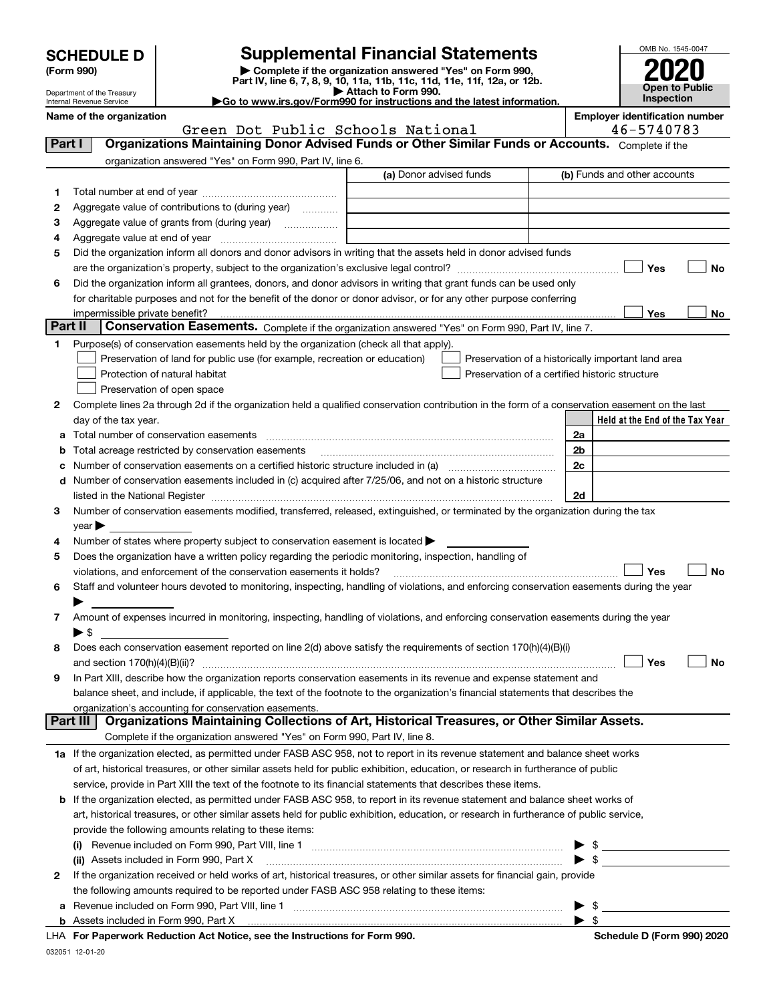| <b>SCHEDULE D</b> |  |
|-------------------|--|
|-------------------|--|

Department of the Treasury Internal Revenue Service

## **SCHEDULE D Supplemental Financial Statements**

(Form 990)<br>
Pepartment of the Treasury<br>
Department of the Treasury<br>
Department of the Treasury<br>
Department of the Treasury<br> **Co to www.irs.gov/Form990 for instructions and the latest information.**<br> **Co to www.irs.gov/Form9** 

|  |  |  | Go to www.irs.gov/Form990 for instructions and the latest informati |  |  |  |
|--|--|--|---------------------------------------------------------------------|--|--|--|
|  |  |  |                                                                     |  |  |  |



|        | Name of the organization<br>Green Dot Public Schools National                                                                                  |                         | <b>Employer identification number</b><br>46-5740783 |
|--------|------------------------------------------------------------------------------------------------------------------------------------------------|-------------------------|-----------------------------------------------------|
| Part I | Organizations Maintaining Donor Advised Funds or Other Similar Funds or Accounts. Complete if the                                              |                         |                                                     |
|        | organization answered "Yes" on Form 990, Part IV, line 6.                                                                                      |                         |                                                     |
|        |                                                                                                                                                | (a) Donor advised funds | (b) Funds and other accounts                        |
| 1.     |                                                                                                                                                |                         |                                                     |
| 2      | Aggregate value of contributions to (during year)                                                                                              |                         |                                                     |
| з      | Aggregate value of grants from (during year)                                                                                                   |                         |                                                     |
| 4      |                                                                                                                                                |                         |                                                     |
| 5      | Did the organization inform all donors and donor advisors in writing that the assets held in donor advised funds                               |                         |                                                     |
|        |                                                                                                                                                |                         | Yes<br>No                                           |
| 6      | Did the organization inform all grantees, donors, and donor advisors in writing that grant funds can be used only                              |                         |                                                     |
|        | for charitable purposes and not for the benefit of the donor or donor advisor, or for any other purpose conferring                             |                         |                                                     |
|        |                                                                                                                                                |                         | Yes<br>No                                           |
|        | Part II<br>Conservation Easements. Complete if the organization answered "Yes" on Form 990, Part IV, line 7.                                   |                         |                                                     |
| 1.     | Purpose(s) of conservation easements held by the organization (check all that apply).                                                          |                         |                                                     |
|        | Preservation of land for public use (for example, recreation or education)                                                                     |                         | Preservation of a historically important land area  |
|        | Protection of natural habitat                                                                                                                  |                         | Preservation of a certified historic structure      |
|        | Preservation of open space                                                                                                                     |                         |                                                     |
| 2      | Complete lines 2a through 2d if the organization held a qualified conservation contribution in the form of a conservation easement on the last |                         |                                                     |
|        | day of the tax year.                                                                                                                           |                         | Held at the End of the Tax Year                     |
| a      | Total number of conservation easements                                                                                                         |                         | 2a                                                  |
| b      | Total acreage restricted by conservation easements                                                                                             |                         | 2b                                                  |
| с      |                                                                                                                                                |                         | 2c                                                  |
|        | d Number of conservation easements included in (c) acquired after 7/25/06, and not on a historic structure                                     |                         |                                                     |
|        |                                                                                                                                                |                         | 2d                                                  |
| 3      | Number of conservation easements modified, transferred, released, extinguished, or terminated by the organization during the tax               |                         |                                                     |
|        | $\mathsf{year}$                                                                                                                                |                         |                                                     |
| 4      | Number of states where property subject to conservation easement is located $\blacktriangleright$                                              |                         |                                                     |
| 5      | Does the organization have a written policy regarding the periodic monitoring, inspection, handling of                                         |                         |                                                     |
|        | violations, and enforcement of the conservation easements it holds?                                                                            |                         | Yes<br><b>No</b>                                    |
| 6      | Staff and volunteer hours devoted to monitoring, inspecting, handling of violations, and enforcing conservation easements during the year      |                         |                                                     |
|        |                                                                                                                                                |                         |                                                     |
| 7      | Amount of expenses incurred in monitoring, inspecting, handling of violations, and enforcing conservation easements during the year            |                         |                                                     |
|        | $\blacktriangleright$ \$                                                                                                                       |                         |                                                     |
| 8      | Does each conservation easement reported on line $2(d)$ above satisfy the requirements of section $170(h)(4)(B)(i)$                            |                         |                                                     |
|        |                                                                                                                                                |                         | Yes<br>No                                           |
| 9      | In Part XIII, describe how the organization reports conservation easements in its revenue and expense statement and                            |                         |                                                     |
|        | balance sheet, and include, if applicable, the text of the footnote to the organization's financial statements that describes the              |                         |                                                     |
|        | organization's accounting for conservation easements.                                                                                          |                         |                                                     |
|        | Organizations Maintaining Collections of Art, Historical Treasures, or Other Similar Assets.<br>Part III                                       |                         |                                                     |
|        | Complete if the organization answered "Yes" on Form 990, Part IV, line 8.                                                                      |                         |                                                     |
|        | 1a If the organization elected, as permitted under FASB ASC 958, not to report in its revenue statement and balance sheet works                |                         |                                                     |
|        | of art, historical treasures, or other similar assets held for public exhibition, education, or research in furtherance of public              |                         |                                                     |
|        | service, provide in Part XIII the text of the footnote to its financial statements that describes these items.                                 |                         |                                                     |
|        | <b>b</b> If the organization elected, as permitted under FASB ASC 958, to report in its revenue statement and balance sheet works of           |                         |                                                     |
|        | art, historical treasures, or other similar assets held for public exhibition, education, or research in furtherance of public service,        |                         |                                                     |
|        | provide the following amounts relating to these items:                                                                                         |                         |                                                     |
|        | $\left( 1\right)$                                                                                                                              |                         | $\blacktriangleright$ \$                            |
|        | (ii) Assets included in Form 990, Part X                                                                                                       |                         | $\blacktriangleright$ \$                            |
| 2      | If the organization received or held works of art, historical treasures, or other similar assets for financial gain, provide                   |                         |                                                     |
|        | the following amounts required to be reported under FASB ASC 958 relating to these items:                                                      |                         |                                                     |
|        |                                                                                                                                                |                         | $\blacktriangleright$ \$                            |
|        |                                                                                                                                                |                         | $\blacktriangleright$ \$                            |

032051 12-01-20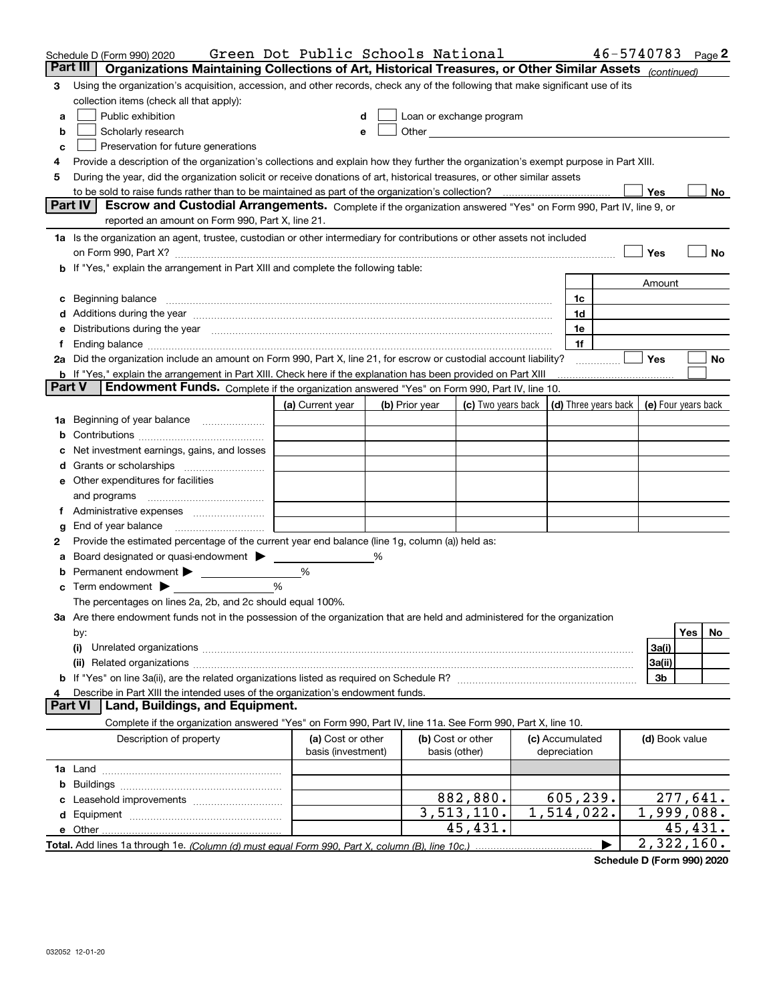|               | Schedule D (Form 990) 2020                                                                                                                                                                                                     | Green Dot Public Schools National |   |                |                                                                                                                                                                                                                                |                          | 46-5740783           |                     | Page 2   |    |
|---------------|--------------------------------------------------------------------------------------------------------------------------------------------------------------------------------------------------------------------------------|-----------------------------------|---|----------------|--------------------------------------------------------------------------------------------------------------------------------------------------------------------------------------------------------------------------------|--------------------------|----------------------|---------------------|----------|----|
|               | Organizations Maintaining Collections of Art, Historical Treasures, or Other Similar Assets (continued)<br>Part III                                                                                                            |                                   |   |                |                                                                                                                                                                                                                                |                          |                      |                     |          |    |
| 3             | Using the organization's acquisition, accession, and other records, check any of the following that make significant use of its                                                                                                |                                   |   |                |                                                                                                                                                                                                                                |                          |                      |                     |          |    |
|               | collection items (check all that apply):                                                                                                                                                                                       |                                   |   |                |                                                                                                                                                                                                                                |                          |                      |                     |          |    |
| a             | Public exhibition                                                                                                                                                                                                              |                                   |   |                | Loan or exchange program                                                                                                                                                                                                       |                          |                      |                     |          |    |
| b             | Scholarly research                                                                                                                                                                                                             | е                                 |   |                | Other experiences and the state of the state of the state of the state of the state of the state of the state of the state of the state of the state of the state of the state of the state of the state of the state of the s |                          |                      |                     |          |    |
| c             | Preservation for future generations                                                                                                                                                                                            |                                   |   |                |                                                                                                                                                                                                                                |                          |                      |                     |          |    |
| 4             | Provide a description of the organization's collections and explain how they further the organization's exempt purpose in Part XIII.                                                                                           |                                   |   |                |                                                                                                                                                                                                                                |                          |                      |                     |          |    |
| 5             | During the year, did the organization solicit or receive donations of art, historical treasures, or other similar assets                                                                                                       |                                   |   |                |                                                                                                                                                                                                                                |                          |                      |                     |          |    |
|               | to be sold to raise funds rather than to be maintained as part of the organization's collection?                                                                                                                               |                                   |   |                |                                                                                                                                                                                                                                |                          |                      | Yes                 |          | No |
|               | <b>Part IV</b><br>Escrow and Custodial Arrangements. Complete if the organization answered "Yes" on Form 990, Part IV, line 9, or                                                                                              |                                   |   |                |                                                                                                                                                                                                                                |                          |                      |                     |          |    |
|               | reported an amount on Form 990, Part X, line 21.                                                                                                                                                                               |                                   |   |                |                                                                                                                                                                                                                                |                          |                      |                     |          |    |
|               | 1a Is the organization an agent, trustee, custodian or other intermediary for contributions or other assets not included                                                                                                       |                                   |   |                |                                                                                                                                                                                                                                |                          |                      |                     |          |    |
|               | on Form 990, Part X? [11] matter contracts and contracts and contracts are contracted as a function of the set of the set of the set of the set of the set of the set of the set of the set of the set of the set of the set o |                                   |   |                |                                                                                                                                                                                                                                |                          |                      | Yes                 |          | No |
|               | b If "Yes," explain the arrangement in Part XIII and complete the following table:                                                                                                                                             |                                   |   |                |                                                                                                                                                                                                                                |                          |                      |                     |          |    |
|               |                                                                                                                                                                                                                                |                                   |   |                |                                                                                                                                                                                                                                |                          |                      | Amount              |          |    |
| c             | Beginning balance                                                                                                                                                                                                              |                                   |   |                |                                                                                                                                                                                                                                | 1c                       |                      |                     |          |    |
|               | Additions during the year manufactured and an annual contract of the year manufactured and a set of the year manufactured and a set of the year manufactured and a set of the year manufactured and a set of the set of the se |                                   |   |                |                                                                                                                                                                                                                                | 1d                       |                      |                     |          |    |
| е             | Distributions during the year measurement contains and all the state of the state of the state of the state of                                                                                                                 |                                   |   |                |                                                                                                                                                                                                                                | 1e                       |                      |                     |          |    |
|               |                                                                                                                                                                                                                                |                                   |   |                |                                                                                                                                                                                                                                | 1f                       |                      |                     |          |    |
|               | 2a Did the organization include an amount on Form 990, Part X, line 21, for escrow or custodial account liability?                                                                                                             |                                   |   |                |                                                                                                                                                                                                                                |                          |                      | Yes                 |          | No |
| <b>Part V</b> | <b>b</b> If "Yes," explain the arrangement in Part XIII. Check here if the explanation has been provided on Part XIII                                                                                                          |                                   |   |                |                                                                                                                                                                                                                                |                          |                      |                     |          |    |
|               | Endowment Funds. Complete if the organization answered "Yes" on Form 990, Part IV, line 10.                                                                                                                                    |                                   |   |                |                                                                                                                                                                                                                                |                          |                      |                     |          |    |
|               |                                                                                                                                                                                                                                | (a) Current year                  |   | (b) Prior year | (c) Two years back                                                                                                                                                                                                             |                          | (d) Three years back | (e) Four years back |          |    |
| 1a            | Beginning of year balance                                                                                                                                                                                                      |                                   |   |                |                                                                                                                                                                                                                                |                          |                      |                     |          |    |
|               |                                                                                                                                                                                                                                |                                   |   |                |                                                                                                                                                                                                                                |                          |                      |                     |          |    |
|               | Net investment earnings, gains, and losses                                                                                                                                                                                     |                                   |   |                |                                                                                                                                                                                                                                |                          |                      |                     |          |    |
|               |                                                                                                                                                                                                                                |                                   |   |                |                                                                                                                                                                                                                                |                          |                      |                     |          |    |
|               | e Other expenditures for facilities                                                                                                                                                                                            |                                   |   |                |                                                                                                                                                                                                                                |                          |                      |                     |          |    |
|               | and programs                                                                                                                                                                                                                   |                                   |   |                |                                                                                                                                                                                                                                |                          |                      |                     |          |    |
|               |                                                                                                                                                                                                                                |                                   |   |                |                                                                                                                                                                                                                                |                          |                      |                     |          |    |
| g             | End of year balance<br>Provide the estimated percentage of the current year end balance (line 1g, column (a)) held as:                                                                                                         |                                   |   |                |                                                                                                                                                                                                                                |                          |                      |                     |          |    |
| 2             | Board designated or quasi-endowment > ____                                                                                                                                                                                     |                                   | % |                |                                                                                                                                                                                                                                |                          |                      |                     |          |    |
| b             |                                                                                                                                                                                                                                | %                                 |   |                |                                                                                                                                                                                                                                |                          |                      |                     |          |    |
| c             | Term endowment $\blacktriangleright$                                                                                                                                                                                           | %                                 |   |                |                                                                                                                                                                                                                                |                          |                      |                     |          |    |
|               | The percentages on lines 2a, 2b, and 2c should equal 100%.                                                                                                                                                                     |                                   |   |                |                                                                                                                                                                                                                                |                          |                      |                     |          |    |
|               | 3a Are there endowment funds not in the possession of the organization that are held and administered for the organization                                                                                                     |                                   |   |                |                                                                                                                                                                                                                                |                          |                      |                     |          |    |
|               | by:                                                                                                                                                                                                                            |                                   |   |                |                                                                                                                                                                                                                                |                          |                      |                     | Yes      | No |
|               | (i)                                                                                                                                                                                                                            |                                   |   |                |                                                                                                                                                                                                                                |                          |                      | 3a(i)               |          |    |
|               |                                                                                                                                                                                                                                |                                   |   |                |                                                                                                                                                                                                                                |                          |                      | 3a(ii)              |          |    |
|               |                                                                                                                                                                                                                                |                                   |   |                |                                                                                                                                                                                                                                |                          |                      | 3b                  |          |    |
| 4             | Describe in Part XIII the intended uses of the organization's endowment funds.                                                                                                                                                 |                                   |   |                |                                                                                                                                                                                                                                |                          |                      |                     |          |    |
|               | Land, Buildings, and Equipment.<br><b>Part VI</b>                                                                                                                                                                              |                                   |   |                |                                                                                                                                                                                                                                |                          |                      |                     |          |    |
|               | Complete if the organization answered "Yes" on Form 990, Part IV, line 11a. See Form 990, Part X, line 10.                                                                                                                     |                                   |   |                |                                                                                                                                                                                                                                |                          |                      |                     |          |    |
|               | Description of property                                                                                                                                                                                                        | (a) Cost or other                 |   |                | (b) Cost or other                                                                                                                                                                                                              | (c) Accumulated          |                      | (d) Book value      |          |    |
|               |                                                                                                                                                                                                                                | basis (investment)                |   |                | basis (other)                                                                                                                                                                                                                  | depreciation             |                      |                     |          |    |
|               |                                                                                                                                                                                                                                |                                   |   |                |                                                                                                                                                                                                                                |                          |                      |                     |          |    |
| b             |                                                                                                                                                                                                                                |                                   |   |                |                                                                                                                                                                                                                                |                          |                      |                     |          |    |
|               |                                                                                                                                                                                                                                |                                   |   |                | 882,880.                                                                                                                                                                                                                       | 605,239.                 |                      |                     | 277,641. |    |
|               |                                                                                                                                                                                                                                |                                   |   |                | 3, 513, 110.                                                                                                                                                                                                                   | $\overline{1,514,022}$ . |                      | 1,999,088.          |          |    |
|               | e Other                                                                                                                                                                                                                        |                                   |   |                | 45,431.                                                                                                                                                                                                                        |                          |                      |                     | 45,431.  |    |
|               | Total. Add lines 1a through 1e. (Column (d) must equal Form 990. Part X, column (B), line 10c.)                                                                                                                                |                                   |   |                |                                                                                                                                                                                                                                |                          |                      | 2,322,160.          |          |    |

**Schedule D (Form 990) 2020**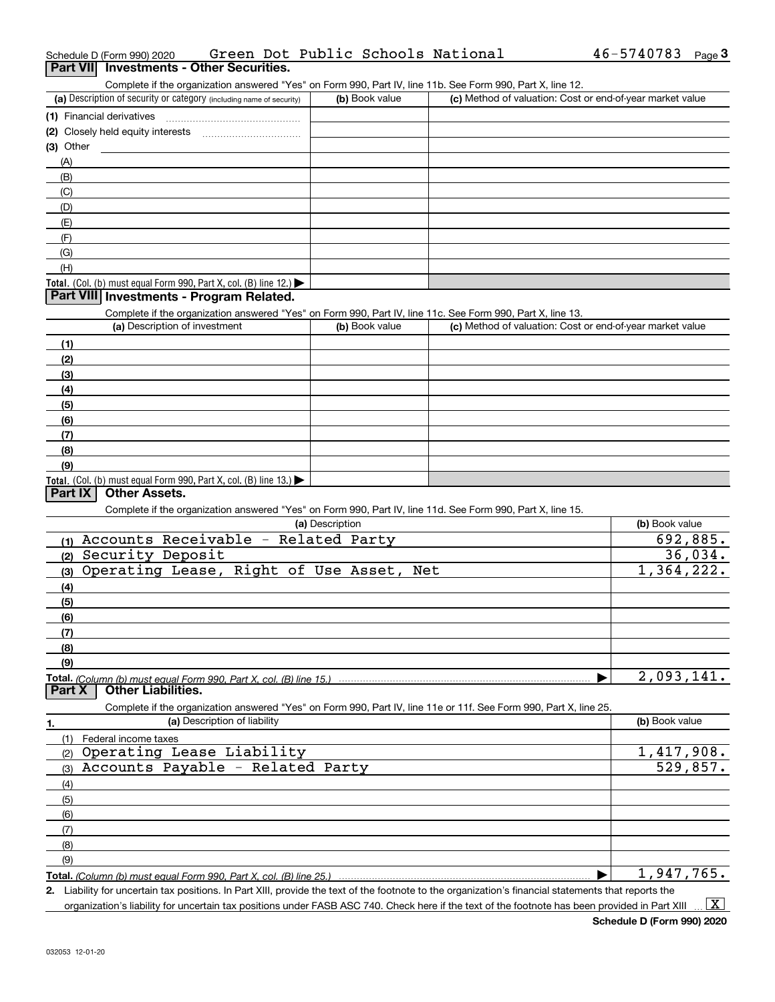|             | Schedule D (Form 990) 2020                                                                                        |                              |                 |                | Green Dot Public Schools National | 46-5740783                                                | Page $3$ |
|-------------|-------------------------------------------------------------------------------------------------------------------|------------------------------|-----------------|----------------|-----------------------------------|-----------------------------------------------------------|----------|
|             | Part VII Investments - Other Securities.                                                                          |                              |                 |                |                                   |                                                           |          |
|             | Complete if the organization answered "Yes" on Form 990, Part IV, line 11b. See Form 990, Part X, line 12.        |                              |                 |                |                                   |                                                           |          |
|             | (a) Description of security or category (including name of security)                                              |                              |                 | (b) Book value |                                   | (c) Method of valuation: Cost or end-of-year market value |          |
|             |                                                                                                                   |                              |                 |                |                                   |                                                           |          |
|             |                                                                                                                   |                              |                 |                |                                   |                                                           |          |
| $(3)$ Other |                                                                                                                   |                              |                 |                |                                   |                                                           |          |
| (A)         |                                                                                                                   |                              |                 |                |                                   |                                                           |          |
| (B)         |                                                                                                                   |                              |                 |                |                                   |                                                           |          |
| (C)         |                                                                                                                   |                              |                 |                |                                   |                                                           |          |
| (D)         |                                                                                                                   |                              |                 |                |                                   |                                                           |          |
| (E)         |                                                                                                                   |                              |                 |                |                                   |                                                           |          |
| (F)         |                                                                                                                   |                              |                 |                |                                   |                                                           |          |
| (G)         |                                                                                                                   |                              |                 |                |                                   |                                                           |          |
| (H)         |                                                                                                                   |                              |                 |                |                                   |                                                           |          |
|             | Total. (Col. (b) must equal Form 990, Part X, col. (B) line 12.) $\blacktriangleright$                            |                              |                 |                |                                   |                                                           |          |
|             | Part VIII Investments - Program Related.                                                                          |                              |                 |                |                                   |                                                           |          |
|             | Complete if the organization answered "Yes" on Form 990, Part IV, line 11c. See Form 990, Part X, line 13.        |                              |                 |                |                                   |                                                           |          |
|             | (a) Description of investment                                                                                     |                              |                 | (b) Book value |                                   | (c) Method of valuation: Cost or end-of-year market value |          |
| (1)         |                                                                                                                   |                              |                 |                |                                   |                                                           |          |
| (2)         |                                                                                                                   |                              |                 |                |                                   |                                                           |          |
| (3)         |                                                                                                                   |                              |                 |                |                                   |                                                           |          |
| (4)         |                                                                                                                   |                              |                 |                |                                   |                                                           |          |
| (5)         |                                                                                                                   |                              |                 |                |                                   |                                                           |          |
| (6)         |                                                                                                                   |                              |                 |                |                                   |                                                           |          |
| (7)         |                                                                                                                   |                              |                 |                |                                   |                                                           |          |
|             |                                                                                                                   |                              |                 |                |                                   |                                                           |          |
| (8)<br>(9)  |                                                                                                                   |                              |                 |                |                                   |                                                           |          |
|             | Total. (Col. (b) must equal Form 990, Part X, col. (B) line 13.)                                                  |                              |                 |                |                                   |                                                           |          |
| Part IX     | <b>Other Assets.</b>                                                                                              |                              |                 |                |                                   |                                                           |          |
|             | Complete if the organization answered "Yes" on Form 990, Part IV, line 11d. See Form 990, Part X, line 15.        |                              |                 |                |                                   |                                                           |          |
|             |                                                                                                                   |                              | (a) Description |                |                                   | (b) Book value                                            |          |
|             | (1) Accounts Receivable - Related Party                                                                           |                              |                 |                |                                   |                                                           | 692,885. |
|             | (2) Security Deposit                                                                                              |                              |                 |                |                                   |                                                           | 36,034.  |
|             | (3) Operating Lease, Right of Use Asset, Net                                                                      |                              |                 |                |                                   | 1,364,222.                                                |          |
|             |                                                                                                                   |                              |                 |                |                                   |                                                           |          |
| (4)         |                                                                                                                   |                              |                 |                |                                   |                                                           |          |
| (5)         |                                                                                                                   |                              |                 |                |                                   |                                                           |          |
| (6)         |                                                                                                                   |                              |                 |                |                                   |                                                           |          |
| (7)         |                                                                                                                   |                              |                 |                |                                   |                                                           |          |
| (8)         |                                                                                                                   |                              |                 |                |                                   |                                                           |          |
| (9)         |                                                                                                                   |                              |                 |                |                                   | 2,093,141.                                                |          |
| Part X      | Total. (Column (b) must equal Form 990. Part X, col. (B) line 15.)<br><b>Other Liabilities.</b>                   |                              |                 |                |                                   |                                                           |          |
|             | Complete if the organization answered "Yes" on Form 990, Part IV, line 11e or 11f. See Form 990, Part X, line 25. |                              |                 |                |                                   |                                                           |          |
|             |                                                                                                                   | (a) Description of liability |                 |                |                                   | (b) Book value                                            |          |
| 1.          |                                                                                                                   |                              |                 |                |                                   |                                                           |          |
| (1)         | Federal income taxes<br>Operating Lease Liability                                                                 |                              |                 |                |                                   | 1,417,908.                                                |          |
| (2)         |                                                                                                                   |                              |                 |                |                                   |                                                           |          |
| (3)         | Accounts Payable - Related Party                                                                                  |                              |                 |                |                                   |                                                           | 529,857. |
| (4)         |                                                                                                                   |                              |                 |                |                                   |                                                           |          |
| (5)         |                                                                                                                   |                              |                 |                |                                   |                                                           |          |
| (6)         |                                                                                                                   |                              |                 |                |                                   |                                                           |          |
| (7)         |                                                                                                                   |                              |                 |                |                                   |                                                           |          |
| (8)         |                                                                                                                   |                              |                 |                |                                   |                                                           |          |
| (9)         |                                                                                                                   |                              |                 |                |                                   |                                                           |          |
|             | Total. (Column (b) must equal Form 990, Part X, col. (B) line 25.)                                                |                              |                 |                |                                   | 1,947,765.                                                |          |

**2.** Liability for uncertain tax positions. In Part XIII, provide the text of the footnote to the organization's financial statements that reports the

organization's liability for uncertain tax positions under FASB ASC 740. Check here if the text of the footnote has been provided in Part XIII

 $\vert$  X  $\vert$ 

## 46-5740783 Page 3

| (a) Description of security or category (including name of security) | (b) Book value | (c) Method of valuation: Cost or end-of-year market value |
|----------------------------------------------------------------------|----------------|-----------------------------------------------------------|
| (1) Financial derivatives<br>.                                       |                |                                                           |
| (2) Closely held equity interests                                    |                |                                                           |
| (3) Other                                                            |                |                                                           |
| (A)                                                                  |                |                                                           |
| (B)                                                                  |                |                                                           |
| (C)                                                                  |                |                                                           |
| (D)                                                                  |                |                                                           |
| (E)                                                                  |                |                                                           |
| (F)                                                                  |                |                                                           |
| (G)                                                                  |                |                                                           |
| (H)                                                                  |                |                                                           |
|                                                                      |                |                                                           |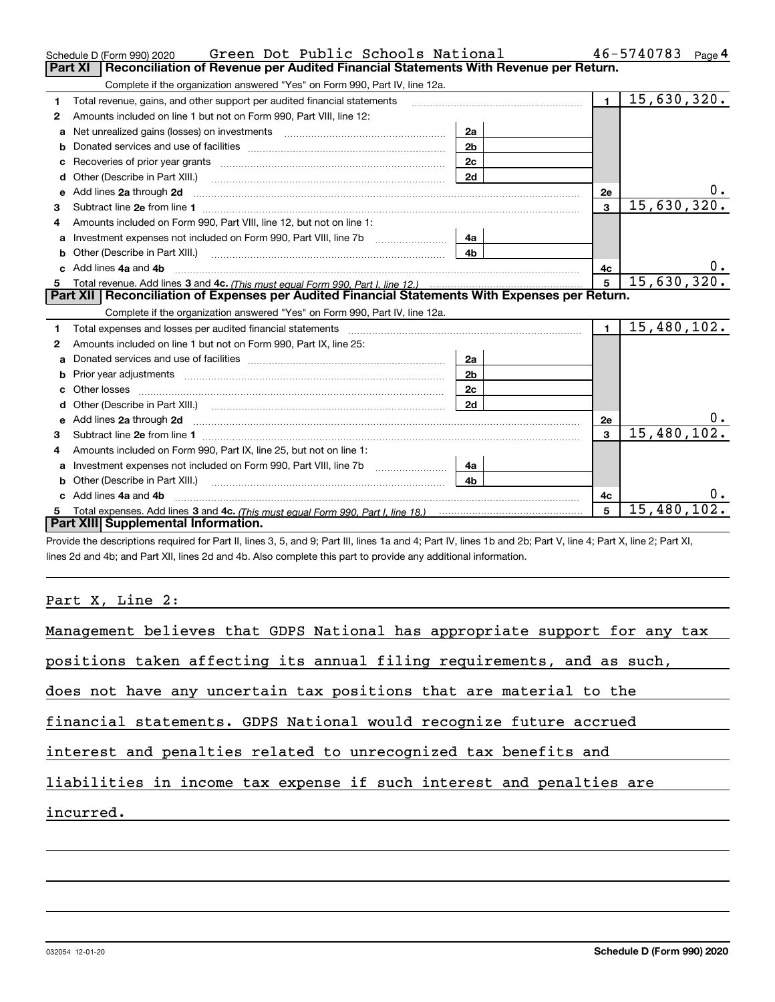|    | Green Dot Public Schools National<br>Schedule D (Form 990) 2020                                                                                                                                                                     |                |                         | 46-5740783<br>Page 4 |
|----|-------------------------------------------------------------------------------------------------------------------------------------------------------------------------------------------------------------------------------------|----------------|-------------------------|----------------------|
|    | <b>Part XI</b><br>Reconciliation of Revenue per Audited Financial Statements With Revenue per Return.                                                                                                                               |                |                         |                      |
|    | Complete if the organization answered "Yes" on Form 990, Part IV, line 12a.                                                                                                                                                         |                |                         |                      |
| 1  | Total revenue, gains, and other support per audited financial statements                                                                                                                                                            |                | $\blacksquare$          | 15,630,320.          |
| 2  | Amounts included on line 1 but not on Form 990, Part VIII, line 12:                                                                                                                                                                 |                |                         |                      |
| a  | Net unrealized gains (losses) on investments [11] matter contracts and the unrealized gains (losses) on investments                                                                                                                 | 2a             |                         |                      |
|    |                                                                                                                                                                                                                                     | 2 <sub>b</sub> |                         |                      |
| C  |                                                                                                                                                                                                                                     | 2c             |                         |                      |
| d  | Other (Describe in Part XIII.) <b>2006</b> 2007 2010 2010 2010 2010 2011 2012 2013 2014 2015 2016 2017 2018 2019 2016 2016 2017 2018 2019 2016 2017 2018 2019 2016 2017 2018 2019 2018 2019 2019 2016 2017 2018 2019 2019 2018 2019 | 2d             |                         |                      |
| е  | Add lines 2a through 2d <b>continuum continuum contract and continuum contract a</b> through 2d continuum contract and continuum contract a term of the contract and contract a term of the contract and contract a term of the con |                | 2e                      | 0.                   |
| З. |                                                                                                                                                                                                                                     |                | $\overline{\mathbf{3}}$ | 15,630,320.          |
| 4  | Amounts included on Form 990, Part VIII, line 12, but not on line 1:                                                                                                                                                                |                |                         |                      |
|    |                                                                                                                                                                                                                                     | 4a             |                         |                      |
| b  |                                                                                                                                                                                                                                     | 4 <sub>b</sub> |                         |                      |
|    | Add lines 4a and 4b                                                                                                                                                                                                                 |                | 4с                      |                      |
|    |                                                                                                                                                                                                                                     |                | $\overline{5}$          | 15,630,320.          |
|    |                                                                                                                                                                                                                                     |                |                         |                      |
|    | Part XII   Reconciliation of Expenses per Audited Financial Statements With Expenses per Return.                                                                                                                                    |                |                         |                      |
|    | Complete if the organization answered "Yes" on Form 990, Part IV, line 12a.                                                                                                                                                         |                |                         |                      |
| 1  | Total expenses and losses per audited financial statements [11] [11] Total expenses and losses per audited financial statements [11] [11] Total expenses and losses per audited financial statements                                |                | $\mathbf{1}$            | 15,480,102.          |
| 2  | Amounts included on line 1 but not on Form 990, Part IX, line 25:                                                                                                                                                                   |                |                         |                      |
| a  |                                                                                                                                                                                                                                     | 2a             |                         |                      |
|    | Prior year adjustments <i>communically contained and all examples</i> and the prior year adjustments and the set of the                                                                                                             | 2 <sub>b</sub> |                         |                      |
| c  |                                                                                                                                                                                                                                     | 2c             |                         |                      |
| d  |                                                                                                                                                                                                                                     | 2d             |                         |                      |
| е  | Add lines 2a through 2d <b>contained a contained a contained a contained a</b> contained a contact the set of the set of the set of the set of the set of the set of the set of the set of the set of the set of the set of the set |                | 2e                      | $0$ .                |
| 3  |                                                                                                                                                                                                                                     |                | 3                       | 15,480,102.          |
| 4  | Amounts included on Form 990, Part IX, line 25, but not on line 1:                                                                                                                                                                  |                |                         |                      |
| a  | Investment expenses not included on Form 990, Part VIII, line 7b [1000000000000000000000000000000000                                                                                                                                | 4a             |                         |                      |
| b  |                                                                                                                                                                                                                                     | 4b             |                         |                      |
|    | Add lines 4a and 4b                                                                                                                                                                                                                 |                | 4c                      |                      |
|    | Part XIII Supplemental Information.                                                                                                                                                                                                 |                | 5                       | 15,480,102.          |

Provide the descriptions required for Part II, lines 3, 5, and 9; Part III, lines 1a and 4; Part IV, lines 1b and 2b; Part V, line 4; Part X, line 2; Part XI, lines 2d and 4b; and Part XII, lines 2d and 4b. Also complete this part to provide any additional information.

## Part X, Line 2:

032054 12-01-20

| Management believes that GDPS National has appropriate support for any tax |
|----------------------------------------------------------------------------|
| positions taken affecting its annual filing requirements, and as such,     |
| does not have any uncertain tax positions that are material to the         |
| financial statements. GDPS National would recognize future accrued         |
| interest and penalties related to unrecognized tax benefits and            |
| liabilities in income tax expense if such interest and penalties are       |
| incurred.                                                                  |
|                                                                            |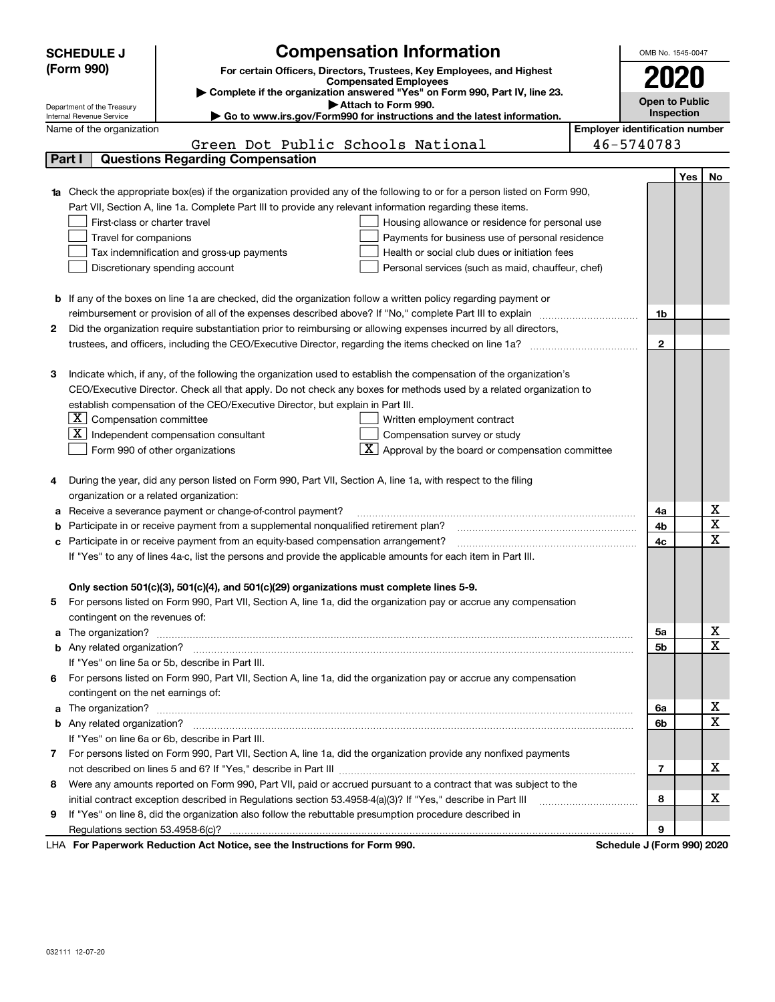|                                                                                                               | <b>SCHEDULE J</b>                                                                                                                                | <b>Compensation Information</b>                                                                                        |  | OMB No. 1545-0047     |     |             |  |  |
|---------------------------------------------------------------------------------------------------------------|--------------------------------------------------------------------------------------------------------------------------------------------------|------------------------------------------------------------------------------------------------------------------------|--|-----------------------|-----|-------------|--|--|
|                                                                                                               | (Form 990)<br>For certain Officers, Directors, Trustees, Key Employees, and Highest                                                              |                                                                                                                        |  |                       |     |             |  |  |
|                                                                                                               |                                                                                                                                                  | <b>Compensated Employees</b>                                                                                           |  | 2020                  |     |             |  |  |
|                                                                                                               |                                                                                                                                                  | Complete if the organization answered "Yes" on Form 990, Part IV, line 23.<br>Attach to Form 990.                      |  | <b>Open to Public</b> |     |             |  |  |
|                                                                                                               | Department of the Treasury<br>Inspection<br>► Go to www.irs.gov/Form990 for instructions and the latest information.<br>Internal Revenue Service |                                                                                                                        |  |                       |     |             |  |  |
|                                                                                                               | <b>Employer identification number</b><br>Name of the organization                                                                                |                                                                                                                        |  |                       |     |             |  |  |
|                                                                                                               |                                                                                                                                                  | Green Dot Public Schools National                                                                                      |  | 46-5740783            |     |             |  |  |
|                                                                                                               | Part I                                                                                                                                           | <b>Questions Regarding Compensation</b>                                                                                |  |                       |     |             |  |  |
|                                                                                                               |                                                                                                                                                  |                                                                                                                        |  |                       | Yes | No          |  |  |
|                                                                                                               |                                                                                                                                                  | Check the appropriate box(es) if the organization provided any of the following to or for a person listed on Form 990, |  |                       |     |             |  |  |
|                                                                                                               |                                                                                                                                                  | Part VII, Section A, line 1a. Complete Part III to provide any relevant information regarding these items.             |  |                       |     |             |  |  |
| First-class or charter travel<br>Housing allowance or residence for personal use                              |                                                                                                                                                  |                                                                                                                        |  |                       |     |             |  |  |
|                                                                                                               | Travel for companions                                                                                                                            | Payments for business use of personal residence                                                                        |  |                       |     |             |  |  |
|                                                                                                               |                                                                                                                                                  | Tax indemnification and gross-up payments<br>Health or social club dues or initiation fees                             |  |                       |     |             |  |  |
|                                                                                                               |                                                                                                                                                  | Discretionary spending account<br>Personal services (such as maid, chauffeur, chef)                                    |  |                       |     |             |  |  |
|                                                                                                               |                                                                                                                                                  |                                                                                                                        |  |                       |     |             |  |  |
| b                                                                                                             |                                                                                                                                                  | If any of the boxes on line 1a are checked, did the organization follow a written policy regarding payment or          |  |                       |     |             |  |  |
|                                                                                                               |                                                                                                                                                  | reimbursement or provision of all of the expenses described above? If "No," complete Part III to explain               |  | 1b                    |     |             |  |  |
| 2                                                                                                             |                                                                                                                                                  | Did the organization require substantiation prior to reimbursing or allowing expenses incurred by all directors,       |  |                       |     |             |  |  |
|                                                                                                               |                                                                                                                                                  |                                                                                                                        |  | $\mathbf{2}$          |     |             |  |  |
|                                                                                                               |                                                                                                                                                  |                                                                                                                        |  |                       |     |             |  |  |
| 3                                                                                                             |                                                                                                                                                  | Indicate which, if any, of the following the organization used to establish the compensation of the organization's     |  |                       |     |             |  |  |
|                                                                                                               |                                                                                                                                                  | CEO/Executive Director. Check all that apply. Do not check any boxes for methods used by a related organization to     |  |                       |     |             |  |  |
|                                                                                                               |                                                                                                                                                  | establish compensation of the CEO/Executive Director, but explain in Part III.                                         |  |                       |     |             |  |  |
|                                                                                                               | $X$ Compensation committee                                                                                                                       | Written employment contract                                                                                            |  |                       |     |             |  |  |
|                                                                                                               | $\mathbf{X}$                                                                                                                                     | Independent compensation consultant<br>Compensation survey or study                                                    |  |                       |     |             |  |  |
|                                                                                                               |                                                                                                                                                  | $\overline{X}$ Approval by the board or compensation committee<br>Form 990 of other organizations                      |  |                       |     |             |  |  |
|                                                                                                               |                                                                                                                                                  |                                                                                                                        |  |                       |     |             |  |  |
| 4                                                                                                             |                                                                                                                                                  | During the year, did any person listed on Form 990, Part VII, Section A, line 1a, with respect to the filing           |  |                       |     |             |  |  |
|                                                                                                               | organization or a related organization:                                                                                                          |                                                                                                                        |  |                       |     |             |  |  |
| а                                                                                                             |                                                                                                                                                  | Receive a severance payment or change-of-control payment?                                                              |  | 4a                    |     | х           |  |  |
| b                                                                                                             |                                                                                                                                                  | Participate in or receive payment from a supplemental nonqualified retirement plan?                                    |  | 4b                    |     | $\mathbf X$ |  |  |
| с                                                                                                             |                                                                                                                                                  | Participate in or receive payment from an equity-based compensation arrangement?                                       |  | 4c                    |     | X           |  |  |
| If "Yes" to any of lines 4a-c, list the persons and provide the applicable amounts for each item in Part III. |                                                                                                                                                  |                                                                                                                        |  |                       |     |             |  |  |
|                                                                                                               |                                                                                                                                                  |                                                                                                                        |  |                       |     |             |  |  |
|                                                                                                               |                                                                                                                                                  | Only section 501(c)(3), 501(c)(4), and 501(c)(29) organizations must complete lines 5-9.                               |  |                       |     |             |  |  |
| 5                                                                                                             |                                                                                                                                                  | For persons listed on Form 990, Part VII, Section A, line 1a, did the organization pay or accrue any compensation      |  |                       |     |             |  |  |
|                                                                                                               | contingent on the revenues of:                                                                                                                   |                                                                                                                        |  |                       |     |             |  |  |
| a                                                                                                             |                                                                                                                                                  |                                                                                                                        |  | 5а                    |     | х<br>X      |  |  |
|                                                                                                               |                                                                                                                                                  |                                                                                                                        |  | 5b                    |     |             |  |  |
|                                                                                                               |                                                                                                                                                  | If "Yes" on line 5a or 5b, describe in Part III.                                                                       |  |                       |     |             |  |  |
|                                                                                                               |                                                                                                                                                  | 6 For persons listed on Form 990, Part VII, Section A, line 1a, did the organization pay or accrue any compensation    |  |                       |     |             |  |  |
|                                                                                                               | contingent on the net earnings of:                                                                                                               |                                                                                                                        |  |                       |     |             |  |  |
| a                                                                                                             |                                                                                                                                                  |                                                                                                                        |  | 6a                    |     | x<br>X      |  |  |
|                                                                                                               |                                                                                                                                                  |                                                                                                                        |  | 6b                    |     |             |  |  |
|                                                                                                               |                                                                                                                                                  | If "Yes" on line 6a or 6b, describe in Part III.                                                                       |  |                       |     |             |  |  |
|                                                                                                               |                                                                                                                                                  | 7 For persons listed on Form 990, Part VII, Section A, line 1a, did the organization provide any nonfixed payments     |  |                       |     | x           |  |  |
|                                                                                                               |                                                                                                                                                  |                                                                                                                        |  | 7                     |     |             |  |  |
| 8                                                                                                             |                                                                                                                                                  | Were any amounts reported on Form 990, Part VII, paid or accrued pursuant to a contract that was subject to the        |  |                       |     | x           |  |  |
|                                                                                                               |                                                                                                                                                  | initial contract exception described in Regulations section 53.4958-4(a)(3)? If "Yes," describe in Part III            |  | 8                     |     |             |  |  |
| 9                                                                                                             |                                                                                                                                                  | If "Yes" on line 8, did the organization also follow the rebuttable presumption procedure described in                 |  |                       |     |             |  |  |
|                                                                                                               |                                                                                                                                                  | usting Ast Notice, and the Instructions for Form 000                                                                   |  | 9<br>Calcadola 17Fa   |     |             |  |  |

LHA For Paperwork Reduction Act Notice, see the Instructions for Form 990. Schedule J (Form 990) 2020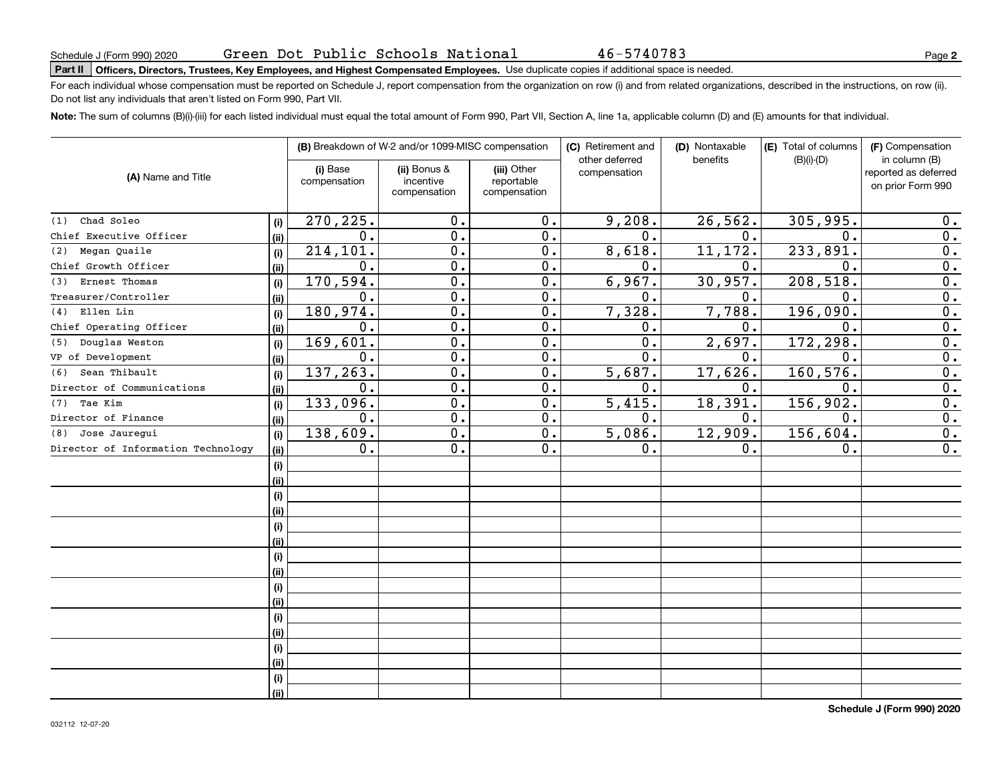# **Part II Officers, Directors, Trustees, Key Employees, and Highest Compensated Employees.**  Schedule J (Form 990) 2020 Page Use duplicate copies if additional space is needed.

For each individual whose compensation must be reported on Schedule J, report compensation from the organization on row (i) and from related organizations, described in the instructions, on row (ii). Do not list any individuals that aren't listed on Form 990, Part VII.

**Note:**  The sum of columns (B)(i)-(iii) for each listed individual must equal the total amount of Form 990, Part VII, Section A, line 1a, applicable column (D) and (E) amounts for that individual.

|                                    |             |                          | (B) Breakdown of W-2 and/or 1099-MISC compensation |                                           | (C) Retirement and<br>other deferred | (D) Nontaxable<br>benefits | (E) Total of columns<br>$(B)(i)-(D)$ | (F) Compensation<br>in column (B)         |  |
|------------------------------------|-------------|--------------------------|----------------------------------------------------|-------------------------------------------|--------------------------------------|----------------------------|--------------------------------------|-------------------------------------------|--|
| (A) Name and Title                 |             | (i) Base<br>compensation | (ii) Bonus &<br>incentive<br>compensation          | (iii) Other<br>reportable<br>compensation | compensation                         |                            |                                      | reported as deferred<br>on prior Form 990 |  |
| Chad Soleo<br>(1)                  |             | 270,225.                 | 0.                                                 | 0.                                        | 9,208.                               | 26, 562.                   | 305,995.                             | 0.                                        |  |
| Chief Executive Officer            | (i)<br>(ii) | $\mathbf 0$ .            | 0.                                                 | 0.                                        | 0.                                   | $\mathbf 0$ .              | 0.                                   | 0.                                        |  |
| Megan Quaile<br>(2)                | (i)         | 214, 101.                | $0$ .                                              | 0.                                        | 8,618.                               | 11,172.                    | 233,891.                             | $\overline{0}$ .                          |  |
| Chief Growth Officer               | (ii)        | $\mathbf 0$ .            | 0.                                                 | 0.                                        | О.                                   | 0.                         | $\Omega$ .                           | $\overline{0}$ .                          |  |
| Ernest Thomas<br>(3)               | (i)         | 170,594.                 | $\overline{0}$ .                                   | $\overline{0}$ .                          | 6,967.                               | 30,957.                    | 208,518                              | $\overline{0}$ .                          |  |
| Treasurer/Controller               | (ii)        | 0.                       | $\overline{0}$ .                                   | $\overline{0}$ .                          | $\mathbf 0$ .                        | $\mathbf{0}$ .             | $\mathbf{0}$ .                       | $\overline{0}$ .                          |  |
| Ellen Lin<br>(4)                   | (i)         | 180,974.                 | $\overline{0}$ .                                   | $\overline{0}$ .                          | 7,328.                               | 7,788.                     | 196,090                              | $\overline{0}$ .                          |  |
| Chief Operating Officer            | (ii)        | 0.                       | $\overline{0}$ .                                   | 0.                                        | $\mathbf 0$ .                        | 0.                         | $\mathbf{0}$ .                       | $\overline{0}$ .                          |  |
| Douglas Weston<br>(5)              | (i)         | 169,601.                 | $\overline{0}$ .                                   | $\overline{0}$ .                          | $\overline{0}$ .                     | 2,697.                     | 172,298.                             | $\overline{0}$ .                          |  |
| VP of Development                  | (ii)        | 0.                       | 0.                                                 | 0.                                        | $\mathbf{0}$ .                       | 0.                         | $\Omega$ .                           | $\overline{0}$ .                          |  |
| Sean Thibault<br>(6)               | (i)         | 137,263.                 | 0.                                                 | 0.                                        | 5,687.                               | 17,626.                    | 160, 576.                            | $\overline{0}$ .                          |  |
| Director of Communications         | (ii)        | 0.                       | 0.                                                 | 0.                                        | 0.                                   | 0.                         | 0.                                   | 0.                                        |  |
| Tae Kim<br>(7)                     | (i)         | 133,096.                 | 0.                                                 | 0.                                        | 5,415.                               | 18,391.                    | 156,902.                             | 0.                                        |  |
| Director of Finance                | (ii)        | $\mathbf 0$ .            | 0.                                                 | 0.                                        | $\mathbf 0$ .                        | $\mathbf 0$ .              | 0.                                   | 0.                                        |  |
| Jose Jaurequi<br>(8)               | (i)         | 138,609.                 | $\overline{0}$ .                                   | $\overline{0}$ .                          | 5,086.                               | 12,909.                    | 156,604.                             | $\overline{0}$ .                          |  |
| Director of Information Technology | (ii)        | 0.                       | $\overline{0}$ .                                   | 0.                                        | 0.                                   | 0.                         | $\mathbf 0$ .                        | $\overline{0}$ .                          |  |
|                                    | (i)         |                          |                                                    |                                           |                                      |                            |                                      |                                           |  |
|                                    | (ii)        |                          |                                                    |                                           |                                      |                            |                                      |                                           |  |
|                                    | (i)         |                          |                                                    |                                           |                                      |                            |                                      |                                           |  |
|                                    | (ii)        |                          |                                                    |                                           |                                      |                            |                                      |                                           |  |
|                                    | (i)         |                          |                                                    |                                           |                                      |                            |                                      |                                           |  |
|                                    | (ii)        |                          |                                                    |                                           |                                      |                            |                                      |                                           |  |
|                                    | (i)         |                          |                                                    |                                           |                                      |                            |                                      |                                           |  |
|                                    | (ii)        |                          |                                                    |                                           |                                      |                            |                                      |                                           |  |
|                                    | (i)         |                          |                                                    |                                           |                                      |                            |                                      |                                           |  |
|                                    | (ii)        |                          |                                                    |                                           |                                      |                            |                                      |                                           |  |
|                                    | (i)         |                          |                                                    |                                           |                                      |                            |                                      |                                           |  |
|                                    | (ii)        |                          |                                                    |                                           |                                      |                            |                                      |                                           |  |
|                                    | (i)         |                          |                                                    |                                           |                                      |                            |                                      |                                           |  |
|                                    | (ii)        |                          |                                                    |                                           |                                      |                            |                                      |                                           |  |
|                                    | (i)         |                          |                                                    |                                           |                                      |                            |                                      |                                           |  |
|                                    | (ii)        |                          |                                                    |                                           |                                      |                            |                                      |                                           |  |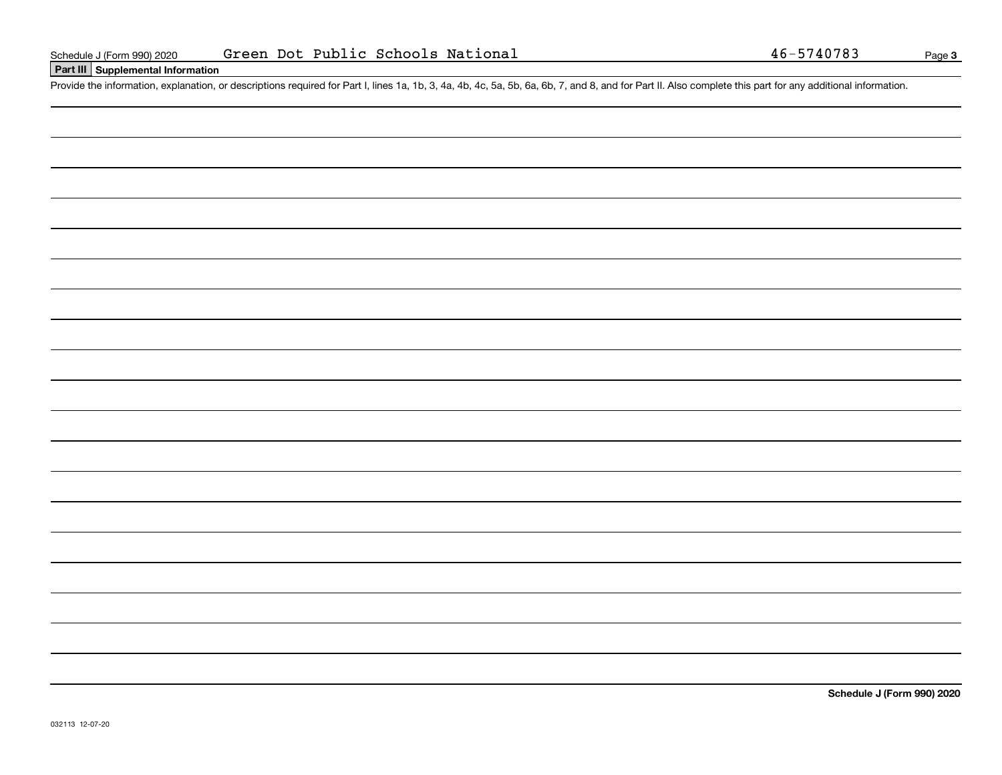## **Part III Supplemental Information**

Schedule J (Form 990) 2020 Green Dot Public Schools National 46-5740783<br>
Part III Supplemental Information<br>
Provide the information, explanation, or descriptions required for Part I, lines 1a, 1b, 3, 4a, 4b, 4c, 5a, 5b, 6a

**Schedule J (Form 990) 2020**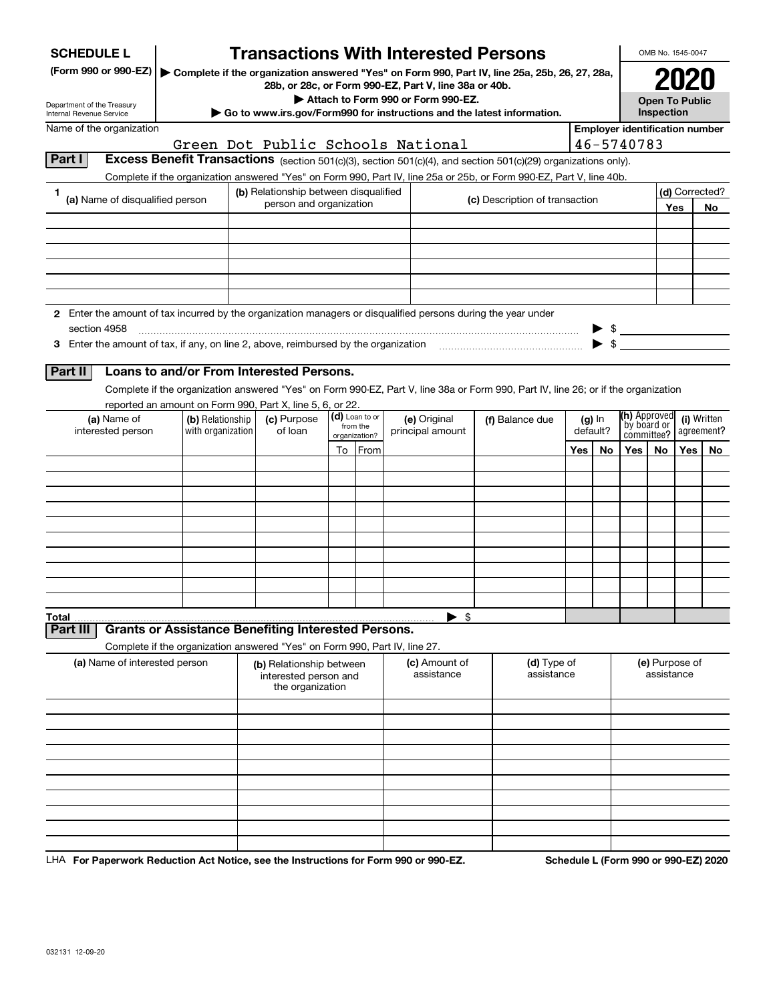| <b>SCHEDULE L</b>                                                                                             |                                       |                                                                            |                            | <b>Transactions With Interested Persons</b>           |                                                                                                                                    |          |                          |                                       | OMB No. 1545-0047            |            |                           |
|---------------------------------------------------------------------------------------------------------------|---------------------------------------|----------------------------------------------------------------------------|----------------------------|-------------------------------------------------------|------------------------------------------------------------------------------------------------------------------------------------|----------|--------------------------|---------------------------------------|------------------------------|------------|---------------------------|
| (Form 990 or 990-EZ)                                                                                          |                                       |                                                                            |                            | 28b, or 28c, or Form 990-EZ, Part V, line 38a or 40b. | Complete if the organization answered "Yes" on Form 990, Part IV, line 25a, 25b, 26, 27, 28a,                                      |          |                          |                                       |                              |            |                           |
| Department of the Treasury                                                                                    |                                       |                                                                            |                            | Attach to Form 990 or Form 990-EZ.                    |                                                                                                                                    |          |                          |                                       | <b>Open To Public</b>        |            |                           |
| Internal Revenue Service<br>Name of the organization                                                          |                                       |                                                                            |                            |                                                       | Go to www.irs.gov/Form990 for instructions and the latest information.                                                             |          |                          | <b>Employer identification number</b> | Inspection                   |            |                           |
|                                                                                                               |                                       |                                                                            |                            | Green Dot Public Schools National                     |                                                                                                                                    |          |                          | 46-5740783                            |                              |            |                           |
| Part I                                                                                                        |                                       |                                                                            |                            |                                                       | Excess Benefit Transactions (section 501(c)(3), section 501(c)(4), and section 501(c)(29) organizations only).                     |          |                          |                                       |                              |            |                           |
|                                                                                                               |                                       |                                                                            |                            |                                                       | Complete if the organization answered "Yes" on Form 990, Part IV, line 25a or 25b, or Form 990-EZ, Part V, line 40b.               |          |                          |                                       |                              |            |                           |
| 1<br>(a) Name of disqualified person                                                                          |                                       | (b) Relationship between disqualified                                      |                            |                                                       | (c) Description of transaction                                                                                                     |          |                          |                                       |                              |            | (d) Corrected?            |
|                                                                                                               |                                       | person and organization                                                    |                            |                                                       |                                                                                                                                    |          |                          |                                       |                              | <b>Yes</b> | No                        |
|                                                                                                               |                                       |                                                                            |                            |                                                       |                                                                                                                                    |          |                          |                                       |                              |            |                           |
|                                                                                                               |                                       |                                                                            |                            |                                                       |                                                                                                                                    |          |                          |                                       |                              |            |                           |
|                                                                                                               |                                       |                                                                            |                            |                                                       |                                                                                                                                    |          |                          |                                       |                              |            |                           |
|                                                                                                               |                                       |                                                                            |                            |                                                       |                                                                                                                                    |          |                          |                                       |                              |            |                           |
|                                                                                                               |                                       |                                                                            |                            |                                                       |                                                                                                                                    |          |                          |                                       |                              |            |                           |
| 2 Enter the amount of tax incurred by the organization managers or disqualified persons during the year under |                                       |                                                                            |                            |                                                       |                                                                                                                                    |          |                          |                                       |                              |            |                           |
| section 4958<br>3 Enter the amount of tax, if any, on line 2, above, reimbursed by the organization           |                                       |                                                                            |                            |                                                       |                                                                                                                                    |          | $\blacktriangleright$ \$ | $\triangleright$ \$                   |                              |            |                           |
|                                                                                                               |                                       |                                                                            |                            |                                                       |                                                                                                                                    |          |                          |                                       |                              |            |                           |
| Part II                                                                                                       |                                       | Loans to and/or From Interested Persons.                                   |                            |                                                       |                                                                                                                                    |          |                          |                                       |                              |            |                           |
|                                                                                                               |                                       |                                                                            |                            |                                                       | Complete if the organization answered "Yes" on Form 990-EZ, Part V, line 38a or Form 990, Part IV, line 26; or if the organization |          |                          |                                       |                              |            |                           |
|                                                                                                               |                                       | reported an amount on Form 990, Part X, line 5, 6, or 22.                  |                            |                                                       |                                                                                                                                    |          |                          |                                       |                              |            |                           |
| (a) Name of<br>interested person                                                                              | (b) Relationship<br>with organization | (c) Purpose<br>of loan                                                     | (d) Loan to or<br>from the | (e) Original<br>principal amount                      | (f) Balance due                                                                                                                    | default? | $(g)$ In                 | (h) Approved<br>by board or           |                              |            | (i) Written<br>agreement? |
|                                                                                                               |                                       |                                                                            | organization?              |                                                       |                                                                                                                                    |          |                          |                                       | committee?                   |            |                           |
|                                                                                                               |                                       |                                                                            | To From                    |                                                       |                                                                                                                                    | Yes      | No                       | Yes                                   | No.                          | Yes l      | No.                       |
|                                                                                                               |                                       |                                                                            |                            |                                                       |                                                                                                                                    |          |                          |                                       |                              |            |                           |
|                                                                                                               |                                       |                                                                            |                            |                                                       |                                                                                                                                    |          |                          |                                       |                              |            |                           |
|                                                                                                               |                                       |                                                                            |                            |                                                       |                                                                                                                                    |          |                          |                                       |                              |            |                           |
|                                                                                                               |                                       |                                                                            |                            |                                                       |                                                                                                                                    |          |                          |                                       |                              |            |                           |
|                                                                                                               |                                       |                                                                            |                            |                                                       |                                                                                                                                    |          |                          |                                       |                              |            |                           |
|                                                                                                               |                                       |                                                                            |                            |                                                       |                                                                                                                                    |          |                          |                                       |                              |            |                           |
|                                                                                                               |                                       |                                                                            |                            |                                                       |                                                                                                                                    |          |                          |                                       |                              |            |                           |
|                                                                                                               |                                       |                                                                            |                            |                                                       |                                                                                                                                    |          |                          |                                       |                              |            |                           |
| Total                                                                                                         |                                       |                                                                            |                            | $\blacktriangleright$ \$                              |                                                                                                                                    |          |                          |                                       |                              |            |                           |
| Part III                                                                                                      |                                       | <b>Grants or Assistance Benefiting Interested Persons.</b>                 |                            |                                                       |                                                                                                                                    |          |                          |                                       |                              |            |                           |
|                                                                                                               |                                       | Complete if the organization answered "Yes" on Form 990, Part IV, line 27. |                            |                                                       |                                                                                                                                    |          |                          |                                       |                              |            |                           |
| (a) Name of interested person                                                                                 |                                       | (b) Relationship between<br>interested person and<br>the organization      |                            | (c) Amount of<br>assistance                           | (d) Type of<br>assistance                                                                                                          |          |                          |                                       | (e) Purpose of<br>assistance |            |                           |
|                                                                                                               |                                       |                                                                            |                            |                                                       |                                                                                                                                    |          |                          |                                       |                              |            |                           |
|                                                                                                               |                                       |                                                                            |                            |                                                       |                                                                                                                                    |          |                          |                                       |                              |            |                           |
|                                                                                                               |                                       |                                                                            |                            |                                                       |                                                                                                                                    |          |                          |                                       |                              |            |                           |
|                                                                                                               |                                       |                                                                            |                            |                                                       |                                                                                                                                    |          |                          |                                       |                              |            |                           |
|                                                                                                               |                                       |                                                                            |                            |                                                       |                                                                                                                                    |          |                          |                                       |                              |            |                           |
|                                                                                                               |                                       |                                                                            |                            |                                                       |                                                                                                                                    |          |                          |                                       |                              |            |                           |
|                                                                                                               |                                       |                                                                            |                            |                                                       |                                                                                                                                    |          |                          |                                       |                              |            |                           |
|                                                                                                               |                                       |                                                                            |                            |                                                       |                                                                                                                                    |          |                          |                                       |                              |            |                           |
|                                                                                                               |                                       |                                                                            |                            |                                                       |                                                                                                                                    |          |                          |                                       |                              |            |                           |

LHA For Paperwork Reduction Act Notice, see the Instructions for Form 990 or 990-EZ. Schedule L (Form 990 or 990-EZ) 2020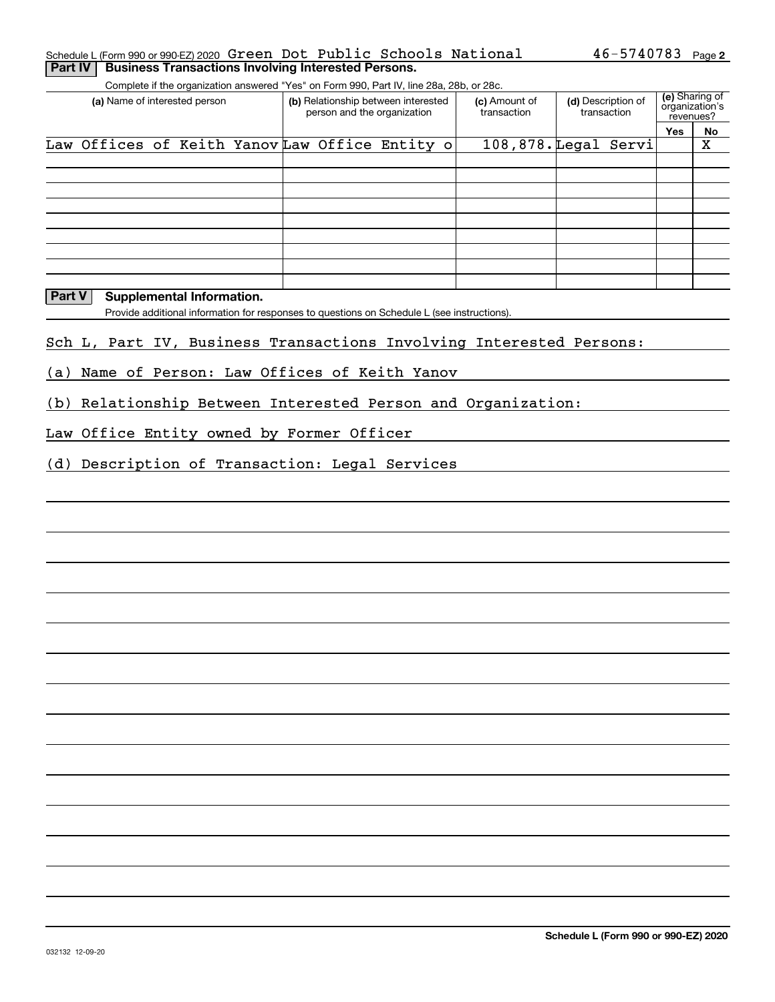#### Schedule L(Form 990 or 990-EZ) 2020 **Green Dot Public Schools National 46-5740783** Page **2 Part IV Business Transactions Involving Interested Persons.**

Complete if the organization answered "Yes" on Form 990, Part IV, line 28a, 28b, or 28c.

| (a) Name of interested person                 | (b) Relationship between interested<br>person and the organization | (c) Amount of<br>transaction | (d) Description of<br>transaction | (e) Sharing of<br>organization's<br>revenues? |    |
|-----------------------------------------------|--------------------------------------------------------------------|------------------------------|-----------------------------------|-----------------------------------------------|----|
|                                               |                                                                    |                              |                                   | Yes                                           | No |
| Law Offices of Keith YanovLaw Office Entity o |                                                                    |                              | 108,878. Legal Servi              |                                               | х  |
|                                               |                                                                    |                              |                                   |                                               |    |
|                                               |                                                                    |                              |                                   |                                               |    |
|                                               |                                                                    |                              |                                   |                                               |    |
|                                               |                                                                    |                              |                                   |                                               |    |
|                                               |                                                                    |                              |                                   |                                               |    |
|                                               |                                                                    |                              |                                   |                                               |    |
|                                               |                                                                    |                              |                                   |                                               |    |
|                                               |                                                                    |                              |                                   |                                               |    |
|                                               |                                                                    |                              |                                   |                                               |    |

## **Part V** Supplemental Information.

Provide additional information for responses to questions on Schedule L (see instructions).

## Sch L, Part IV, Business Transactions Involving Interested Persons:

(a) Name of Person: Law Offices of Keith Yanov

(b) Relationship Between Interested Person and Organization:

Law Office Entity owned by Former Officer

(d) Description of Transaction: Legal Services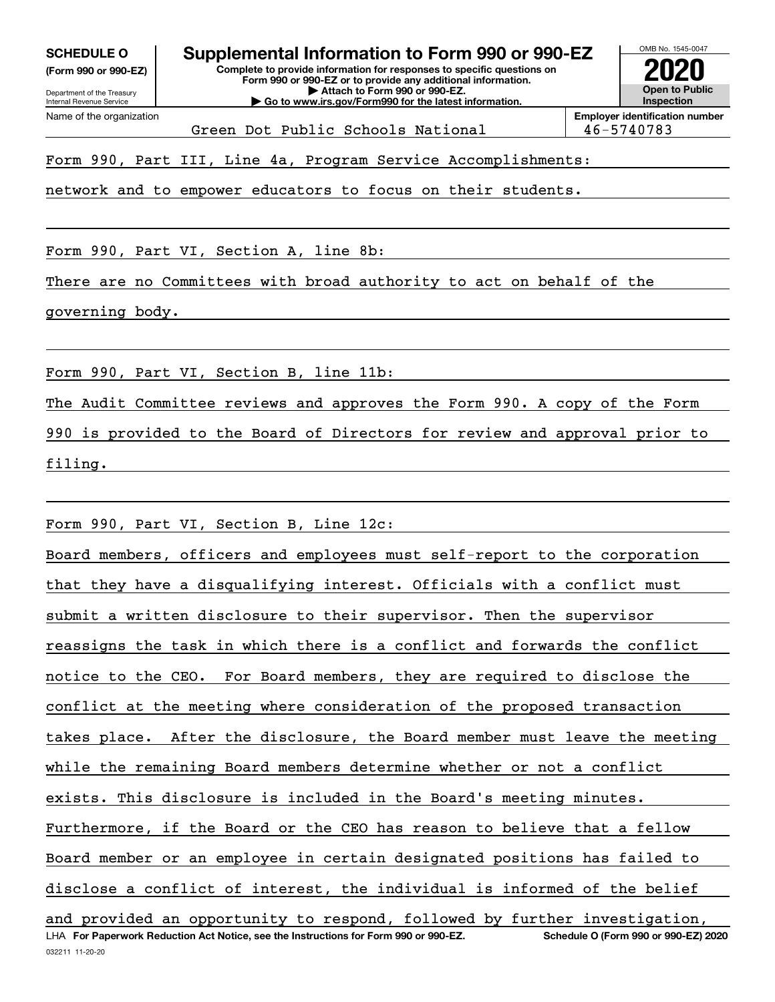**(Form 990 or 990-EZ)**

**Complete to provide information for responses to specific questions on Form 990 or 990-EZ or to provide any additional information. | Attach to Form 990 or 990-EZ. | Go to www.irs.gov/Form990 for the latest information. SCHEDULE O Supplemental Information to Form 990 or 990-EZ**



Green Dot Public Schools National 146-5740783

Form 990, Part III, Line 4a, Program Service Accomplishments:

network and to empower educators to focus on their students.

Form 990, Part VI, Section A, line 8b:

There are no Committees with broad authority to act on behalf of the

governing body.

Form 990, Part VI, Section B, line 11b:

The Audit Committee reviews and approves the Form 990. A copy of the Form

990 is provided to the Board of Directors for review and approval prior to

filing.

Form 990, Part VI, Section B, Line 12c:

032211 11-20-20 LHA For Paperwork Reduction Act Notice, see the Instructions for Form 990 or 990-EZ. Schedule O (Form 990 or 990-EZ) 2020 Board members, officers and employees must self-report to the corporation that they have a disqualifying interest. Officials with a conflict must submit a written disclosure to their supervisor. Then the supervisor reassigns the task in which there is a conflict and forwards the conflict notice to the CEO. For Board members, they are required to disclose the conflict at the meeting where consideration of the proposed transaction takes place. After the disclosure, the Board member must leave the meeting while the remaining Board members determine whether or not a conflict exists. This disclosure is included in the Board's meeting minutes. Furthermore, if the Board or the CEO has reason to believe that a fellow Board member or an employee in certain designated positions has failed to disclose a conflict of interest, the individual is informed of the belief and provided an opportunity to respond, followed by further investigation,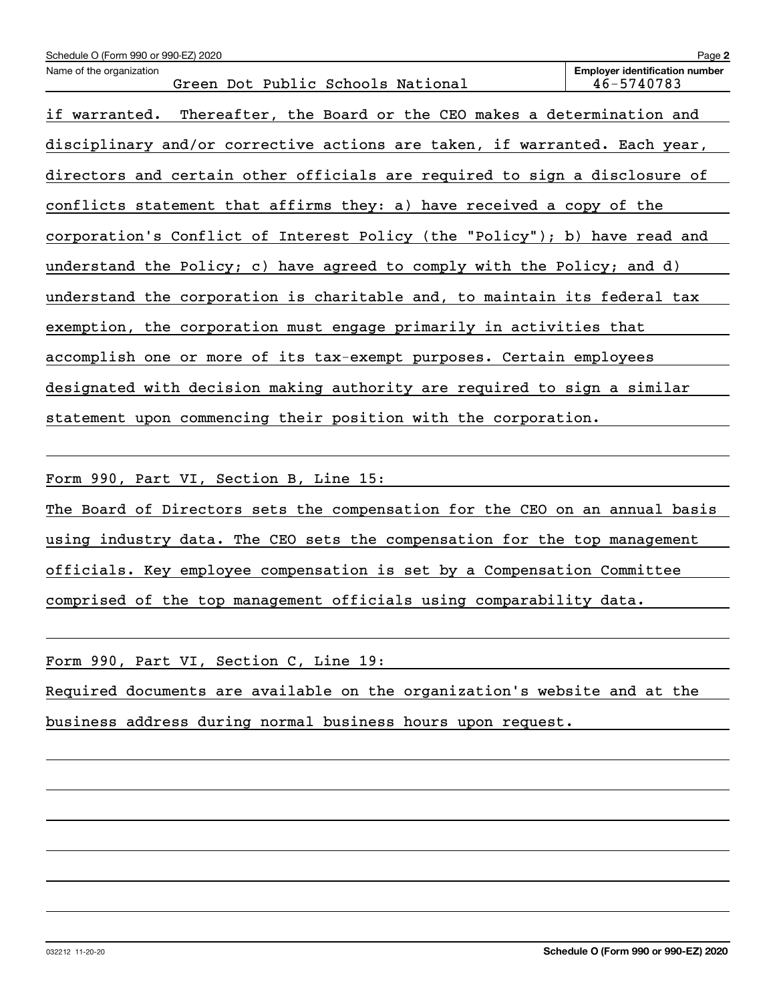| Schedule O (Form 990 or 990-EZ) 2020                                       | Page 2                                              |
|----------------------------------------------------------------------------|-----------------------------------------------------|
| Name of the organization<br>Green Dot Public Schools National              | <b>Employer identification number</b><br>46-5740783 |
| if warranted. Thereafter, the Board or the CEO makes a determination and   |                                                     |
| disciplinary and/or corrective actions are taken, if warranted. Each year, |                                                     |
| directors and certain other officials are required to sign a disclosure of |                                                     |
| conflicts statement that affirms they: a) have received a copy of the      |                                                     |
| corporation's Conflict of Interest Policy (the "Policy"); b) have read and |                                                     |
| understand the Policy; c) have agreed to comply with the Policy; and d)    |                                                     |
| understand the corporation is charitable and, to maintain its federal tax  |                                                     |
| exemption, the corporation must engage primarily in activities that        |                                                     |
| accomplish one or more of its tax-exempt purposes. Certain employees       |                                                     |
| designated with decision making authority are required to sign a similar   |                                                     |
| statement upon commencing their position with the corporation.             |                                                     |

Form 990, Part VI, Section B, Line 15:

The Board of Directors sets the compensation for the CEO on an annual basis using industry data. The CEO sets the compensation for the top management officials. Key employee compensation is set by a Compensation Committee comprised of the top management officials using comparability data.

Form 990, Part VI, Section C, Line 19:

Required documents are available on the organization's website and at the business address during normal business hours upon request.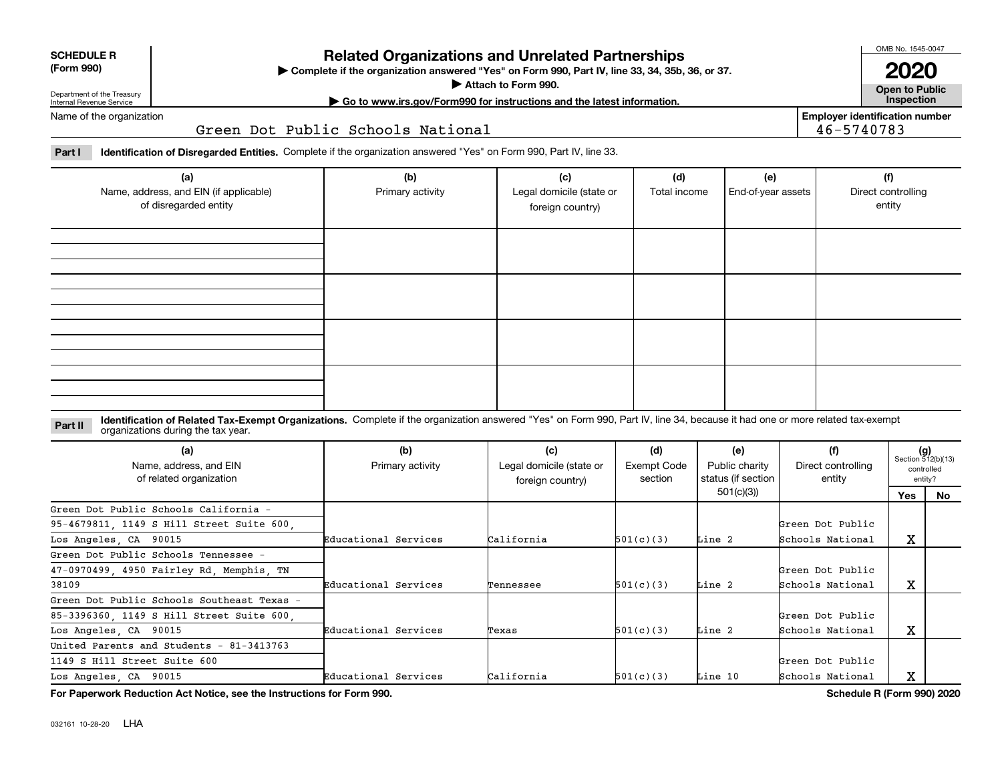| <b>SCHEDULE R</b> |
|-------------------|
|                   |

#### **(Form 990)**

## **Related Organizations and Unrelated Partnerships**

**Complete if the organization answered "Yes" on Form 990, Part IV, line 33, 34, 35b, 36, or 37.** |

**Attach to Form 990.**  |

OMB No. 1545-0047 **2020**

**Open to Public**

**Employer identification number**

46-5740783

**| Go to www.irs.gov/Form990 for instructions and the latest information. Inspection**

Department of the Treasury Internal Revenue Service Name of the organization

Green Dot Public Schools National

**Part I Identification of Disregarded Entities.**  Complete if the organization answered "Yes" on Form 990, Part IV, line 33.

| (a)<br>Name, address, and EIN (if applicable)<br>of disregarded entity | (b)<br>Primary activity | (c)<br>Legal domicile (state or<br>foreign country) | (d)<br>Total income | (e)<br>End-of-year assets | (f)<br>Direct controlling<br>entity |
|------------------------------------------------------------------------|-------------------------|-----------------------------------------------------|---------------------|---------------------------|-------------------------------------|
|                                                                        |                         |                                                     |                     |                           |                                     |
|                                                                        |                         |                                                     |                     |                           |                                     |
|                                                                        |                         |                                                     |                     |                           |                                     |
|                                                                        |                         |                                                     |                     |                           |                                     |

**Identification of Related Tax-Exempt Organizations.** Complete if the organization answered "Yes" on Form 990, Part IV, line 34, because it had one or more related tax-exempt **Part II** organizations during the tax year.

| (a)<br>Name, address, and EIN<br>of related organization | (b)<br>Primary activity | (c)<br>Legal domicile (state or<br>foreign country) | (d)<br><b>Exempt Code</b><br>section | (e)<br>Public charity<br>status (if section | (f)<br>Direct controlling<br>entity | $(g)$<br>Section 512(b)(13)<br>controlled<br>entity? |    |
|----------------------------------------------------------|-------------------------|-----------------------------------------------------|--------------------------------------|---------------------------------------------|-------------------------------------|------------------------------------------------------|----|
|                                                          |                         |                                                     |                                      | 501(c)(3)                                   |                                     | Yes                                                  | No |
| Green Dot Public Schools California -                    |                         |                                                     |                                      |                                             |                                     |                                                      |    |
| 95-4679811, 1149 S Hill Street Suite 600,                |                         |                                                     |                                      |                                             | Green Dot Public                    |                                                      |    |
| Los Angeles, CA 90015                                    | Educational Services    | California                                          | 501(c)(3)                            | Line 2                                      | Schools National                    | х                                                    |    |
| Green Dot Public Schools Tennessee -                     |                         |                                                     |                                      |                                             |                                     |                                                      |    |
| 47-0970499 4950 Fairley Rd Memphis TN                    |                         |                                                     |                                      |                                             | Green Dot Public                    |                                                      |    |
| 38109                                                    | Educational Services    | Tennessee                                           | 501(c)(3)                            | Line 2                                      | Schools National                    | x                                                    |    |
| Green Dot Public Schools Southeast Texas -               |                         |                                                     |                                      |                                             |                                     |                                                      |    |
| 85-3396360, 1149 S Hill Street Suite 600,                |                         |                                                     |                                      |                                             | Green Dot Public                    |                                                      |    |
| Los Angeles, CA 90015                                    | Educational Services    | Texas                                               | 501(c)(3)                            | Line 2                                      | Schools National                    | х                                                    |    |
| United Parents and Students - 81-3413763                 |                         |                                                     |                                      |                                             |                                     |                                                      |    |
| 1149 S Hill Street Suite 600                             |                         |                                                     |                                      |                                             | Green Dot Public                    |                                                      |    |
| Los Angeles, CA 90015                                    | Educational Services    | California                                          | 501(c)(3)                            | Line 10                                     | Schools National                    | x                                                    |    |

**For Paperwork Reduction Act Notice, see the Instructions for Form 990. Schedule R (Form 990) 2020**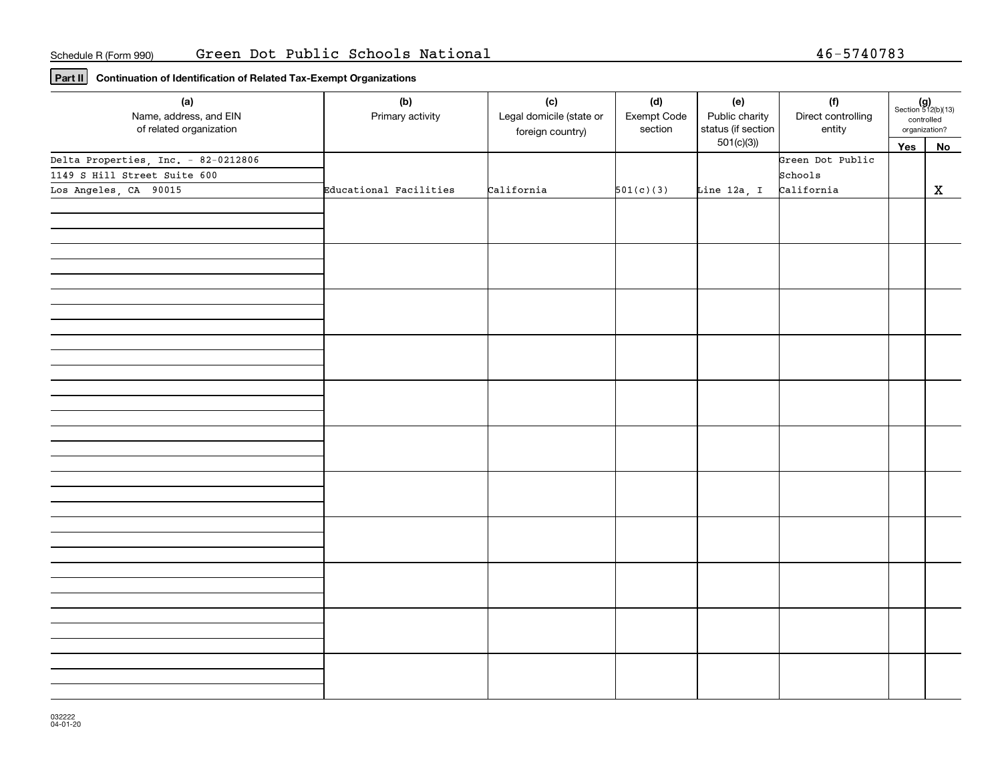**Part II Continuation of Identification of Related Tax-Exempt Organizations**

| (a)<br>Name, address, and EIN<br>of related organization            | (b)<br>Primary activity | (c)<br>Legal domicile (state or<br>foreign country) | (d)<br>Exempt Code<br>section | (e)<br>Public charity<br>status (if section | (f)<br>Direct controlling<br>entity | $(g)$<br>Section 512(b)(13)<br>controlled<br>organization? |             |
|---------------------------------------------------------------------|-------------------------|-----------------------------------------------------|-------------------------------|---------------------------------------------|-------------------------------------|------------------------------------------------------------|-------------|
|                                                                     |                         |                                                     |                               | 501(c)(3)                                   |                                     | Yes                                                        | No          |
| Delta Properties, Inc. - 82-0212806<br>1149 S Hill Street Suite 600 |                         |                                                     |                               |                                             | Green Dot Public<br>Schools         |                                                            |             |
| Los Angeles, CA 90015                                               | Educational Facilities  | California                                          | 501(c)(3)                     | Line 12a, I                                 | California                          |                                                            | $\mathbf X$ |
|                                                                     |                         |                                                     |                               |                                             |                                     |                                                            |             |
|                                                                     |                         |                                                     |                               |                                             |                                     |                                                            |             |
|                                                                     |                         |                                                     |                               |                                             |                                     |                                                            |             |
|                                                                     |                         |                                                     |                               |                                             |                                     |                                                            |             |
|                                                                     |                         |                                                     |                               |                                             |                                     |                                                            |             |
|                                                                     |                         |                                                     |                               |                                             |                                     |                                                            |             |
|                                                                     |                         |                                                     |                               |                                             |                                     |                                                            |             |
|                                                                     |                         |                                                     |                               |                                             |                                     |                                                            |             |
|                                                                     |                         |                                                     |                               |                                             |                                     |                                                            |             |
|                                                                     |                         |                                                     |                               |                                             |                                     |                                                            |             |
|                                                                     |                         |                                                     |                               |                                             |                                     |                                                            |             |
|                                                                     |                         |                                                     |                               |                                             |                                     |                                                            |             |
|                                                                     |                         |                                                     |                               |                                             |                                     |                                                            |             |
|                                                                     |                         |                                                     |                               |                                             |                                     |                                                            |             |
|                                                                     |                         |                                                     |                               |                                             |                                     |                                                            |             |
|                                                                     |                         |                                                     |                               |                                             |                                     |                                                            |             |
|                                                                     |                         |                                                     |                               |                                             |                                     |                                                            |             |
|                                                                     |                         |                                                     |                               |                                             |                                     |                                                            |             |
|                                                                     |                         |                                                     |                               |                                             |                                     |                                                            |             |
|                                                                     |                         |                                                     |                               |                                             |                                     |                                                            |             |
|                                                                     |                         |                                                     |                               |                                             |                                     |                                                            |             |
|                                                                     |                         |                                                     |                               |                                             |                                     |                                                            |             |
|                                                                     |                         |                                                     |                               |                                             |                                     |                                                            |             |
|                                                                     |                         |                                                     |                               |                                             |                                     |                                                            |             |
|                                                                     |                         |                                                     |                               |                                             |                                     |                                                            |             |
|                                                                     |                         |                                                     |                               |                                             |                                     |                                                            |             |
|                                                                     |                         |                                                     |                               |                                             |                                     |                                                            |             |
|                                                                     |                         |                                                     |                               |                                             |                                     |                                                            |             |
|                                                                     |                         |                                                     |                               |                                             |                                     |                                                            |             |
|                                                                     |                         |                                                     |                               |                                             |                                     |                                                            |             |
|                                                                     |                         |                                                     |                               |                                             |                                     |                                                            |             |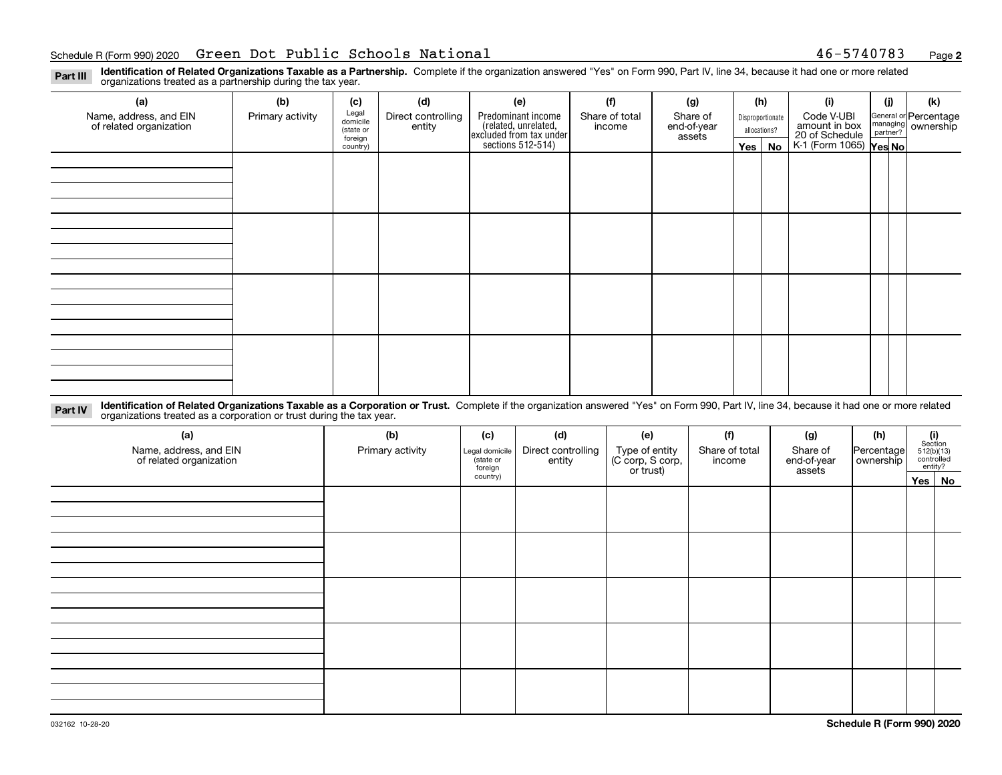#### Schedule R(Form 990) 2020 **Green Dot Public Schools National 46-5740783** Page

**2**

**Identification of Related Organizations Taxable as a Partnership.** Complete if the organization answered "Yes" on Form 990, Part IV, line 34, because it had one or more related **Part III** organizations treated as a partnership during the tax year.

| (a)                                               | (b)              | (c)                  | (d)                          | (e)                                                                 | (f)                      | (g)                     |                                  | (h)      | (i)                                                       | (j) | (k)                                                     |
|---------------------------------------------------|------------------|----------------------|------------------------------|---------------------------------------------------------------------|--------------------------|-------------------------|----------------------------------|----------|-----------------------------------------------------------|-----|---------------------------------------------------------|
| Name, address, and EIN<br>of related organization | Primary activity | Legal<br>domicile    | Direct controlling<br>entity | Predominant income                                                  | Share of total<br>income | Share of<br>end-of-year | Disproportionate<br>allocations? |          | Code V-UBI                                                |     | General or Percentage<br>managing ownership<br>partner? |
|                                                   |                  | (state or<br>foreign |                              |                                                                     |                          | assets                  |                                  |          |                                                           |     |                                                         |
|                                                   |                  | country)             |                              | related, unrelated,<br>excluded from tax under<br>sections 512-514) |                          |                         |                                  | Yes   No | amount in box<br>20 of Schedule<br>K-1 (Form 1065) Yes No |     |                                                         |
|                                                   |                  |                      |                              |                                                                     |                          |                         |                                  |          |                                                           |     |                                                         |
|                                                   |                  |                      |                              |                                                                     |                          |                         |                                  |          |                                                           |     |                                                         |
|                                                   |                  |                      |                              |                                                                     |                          |                         |                                  |          |                                                           |     |                                                         |
|                                                   |                  |                      |                              |                                                                     |                          |                         |                                  |          |                                                           |     |                                                         |
|                                                   |                  |                      |                              |                                                                     |                          |                         |                                  |          |                                                           |     |                                                         |
|                                                   |                  |                      |                              |                                                                     |                          |                         |                                  |          |                                                           |     |                                                         |
|                                                   |                  |                      |                              |                                                                     |                          |                         |                                  |          |                                                           |     |                                                         |
|                                                   |                  |                      |                              |                                                                     |                          |                         |                                  |          |                                                           |     |                                                         |
|                                                   |                  |                      |                              |                                                                     |                          |                         |                                  |          |                                                           |     |                                                         |
|                                                   |                  |                      |                              |                                                                     |                          |                         |                                  |          |                                                           |     |                                                         |
|                                                   |                  |                      |                              |                                                                     |                          |                         |                                  |          |                                                           |     |                                                         |
|                                                   |                  |                      |                              |                                                                     |                          |                         |                                  |          |                                                           |     |                                                         |
|                                                   |                  |                      |                              |                                                                     |                          |                         |                                  |          |                                                           |     |                                                         |
|                                                   |                  |                      |                              |                                                                     |                          |                         |                                  |          |                                                           |     |                                                         |
|                                                   |                  |                      |                              |                                                                     |                          |                         |                                  |          |                                                           |     |                                                         |
|                                                   |                  |                      |                              |                                                                     |                          |                         |                                  |          |                                                           |     |                                                         |
|                                                   |                  |                      |                              |                                                                     |                          |                         |                                  |          |                                                           |     |                                                         |

**Identification of Related Organizations Taxable as a Corporation or Trust.** Complete if the organization answered "Yes" on Form 990, Part IV, line 34, because it had one or more related **Part IV** organizations treated as a corporation or trust during the tax year.

| (a)<br>Name, address, and EIN<br>of related organization | (b)<br>Primary activity | (c)<br>Legal domicile<br>(state or<br>foreign | (d)<br>Direct controlling<br>entity | (e)<br>Type of entity<br>(C corp, S corp,<br>or trust) | (f)<br>Share of total<br>income | (g)<br>Share of<br>end-of-year<br>assets | (h)<br> Percentage <br>ownership | $(i)$ Section<br>512(b)(13)<br>controlled<br>entity? |        |
|----------------------------------------------------------|-------------------------|-----------------------------------------------|-------------------------------------|--------------------------------------------------------|---------------------------------|------------------------------------------|----------------------------------|------------------------------------------------------|--------|
|                                                          |                         | country)                                      |                                     |                                                        |                                 |                                          |                                  |                                                      | Yes No |
|                                                          |                         |                                               |                                     |                                                        |                                 |                                          |                                  |                                                      |        |
|                                                          |                         |                                               |                                     |                                                        |                                 |                                          |                                  |                                                      |        |
|                                                          |                         |                                               |                                     |                                                        |                                 |                                          |                                  |                                                      |        |
|                                                          |                         |                                               |                                     |                                                        |                                 |                                          |                                  |                                                      |        |
|                                                          |                         |                                               |                                     |                                                        |                                 |                                          |                                  |                                                      |        |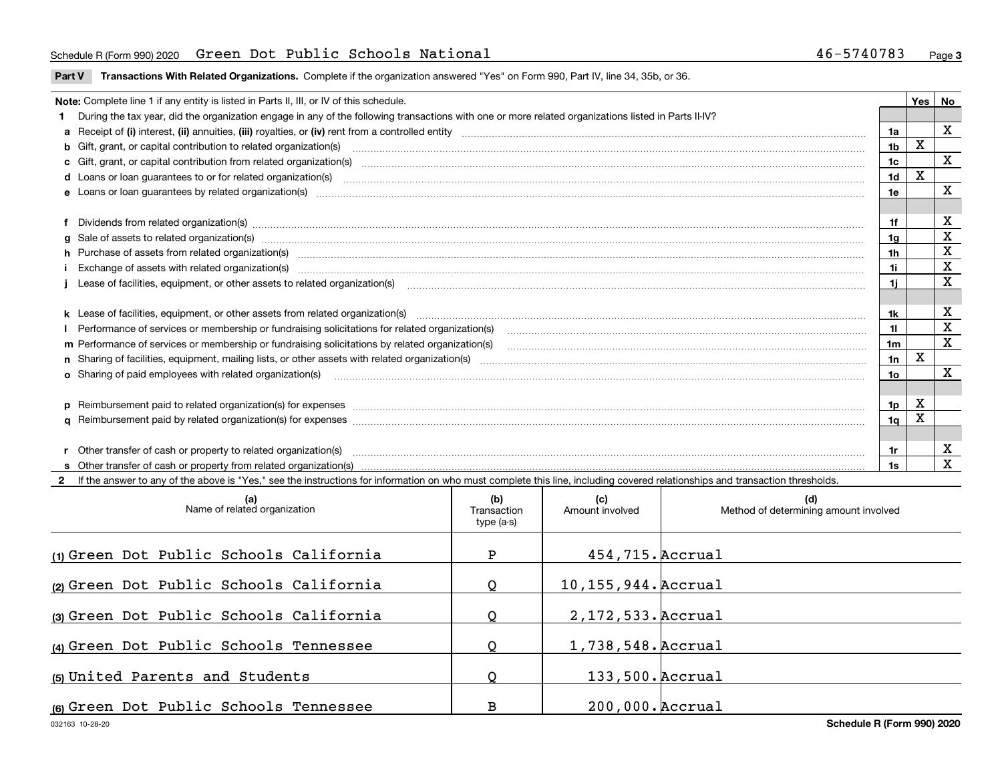### Schedule R(Form 990) 2020 **Green Dot Public Schools National 46-5740783** Page

**Part V** T**ransactions With Related Organizations.** Complete if the organization answered "Yes" on Form 990, Part IV, line 34, 35b, or 36.

| Note: Complete line 1 if any entity is listed in Parts II, III, or IV of this schedule.                                                                                                                                        |                | <b>Yes</b> | No                      |
|--------------------------------------------------------------------------------------------------------------------------------------------------------------------------------------------------------------------------------|----------------|------------|-------------------------|
| During the tax year, did the organization engage in any of the following transactions with one or more related organizations listed in Parts II-IV?                                                                            |                |            |                         |
|                                                                                                                                                                                                                                | 1a             |            | X                       |
|                                                                                                                                                                                                                                | 1 <sub>b</sub> | X          |                         |
| c Gift, grant, or capital contribution from related organization(s) manufaction contains and content of the contribution from related organization(s) manufaction contains and contribution from related organization(s) manuf | 1c             |            | X                       |
|                                                                                                                                                                                                                                | 1d             | x          |                         |
|                                                                                                                                                                                                                                | 1e             |            | х                       |
|                                                                                                                                                                                                                                |                |            |                         |
| f Dividends from related organization(s) manufactured contains and contained a series of the contact of the contact of the contact of the contact of the contact of the contact of the contact of the contact of the contact o | 1f             |            | х                       |
| g Sale of assets to related organization(s) www.assettion.com/www.assettion.com/www.assettion.com/www.assettion.com/www.assettion.com/www.assettion.com/www.assettion.com/www.assettion.com/www.assettion.com/www.assettion.co | 1a             |            | $\mathbf X$             |
| h Purchase of assets from related organization(s) manufactured and content and content and content and content and content and content and content and content and content and content and content and content and content and | 1h             |            | $\mathbf X$             |
| Exchange of assets with related organization(s) www.assettion.com/www.assettion.com/www.assettion.com/www.assettion.com/www.assettion.com/www.assettion.com/www.assettion.com/www.assettion.com/www.assettion.com/www.assettio | 1i.            |            | X                       |
|                                                                                                                                                                                                                                | 1i.            |            | X                       |
|                                                                                                                                                                                                                                |                |            |                         |
|                                                                                                                                                                                                                                | 1k.            |            | X                       |
| Performance of services or membership or fundraising solicitations for related organization(s)                                                                                                                                 | 11             |            | $\mathbf X$             |
| m Performance of services or membership or fundraising solicitations by related organization(s)                                                                                                                                | 1m             |            | $\overline{\mathbf{x}}$ |
|                                                                                                                                                                                                                                | 1n             | X          |                         |
|                                                                                                                                                                                                                                | 1o             |            | X                       |
|                                                                                                                                                                                                                                |                |            |                         |
|                                                                                                                                                                                                                                | 1p             | X          |                         |
|                                                                                                                                                                                                                                | 1q             | х          |                         |
|                                                                                                                                                                                                                                |                |            |                         |
| r Other transfer of cash or property to related organization(s)                                                                                                                                                                | 1r             |            | х                       |
|                                                                                                                                                                                                                                | 1s             |            | X                       |

**2**If the answer to any of the above is "Yes," see the instructions for information on who must complete this line, including covered relationships and transaction thresholds.

| (a)<br>Name of related organization     | (b)<br>Transaction<br>type (a-s) | (c)<br>Amount involved | (d)<br>Method of determining amount involved |
|-----------------------------------------|----------------------------------|------------------------|----------------------------------------------|
| (1) Green Dot Public Schools California | P                                | 454, 715. Accrual      |                                              |
| (2) Green Dot Public Schools California | Q                                | 10, 155, 944. Accrual  |                                              |
| (3) Green Dot Public Schools California |                                  | 2, 172, 533. Accrual   |                                              |
| (4) Green Dot Public Schools Tennessee  |                                  | 1,738,548. Accrual     |                                              |
| (5) United Parents and Students         |                                  | 133,500. Accrual       |                                              |
| (6) Green Dot Public Schools Tennessee  | B                                | 200,000. Accrual       |                                              |

 $\overline{\phantom{a}}$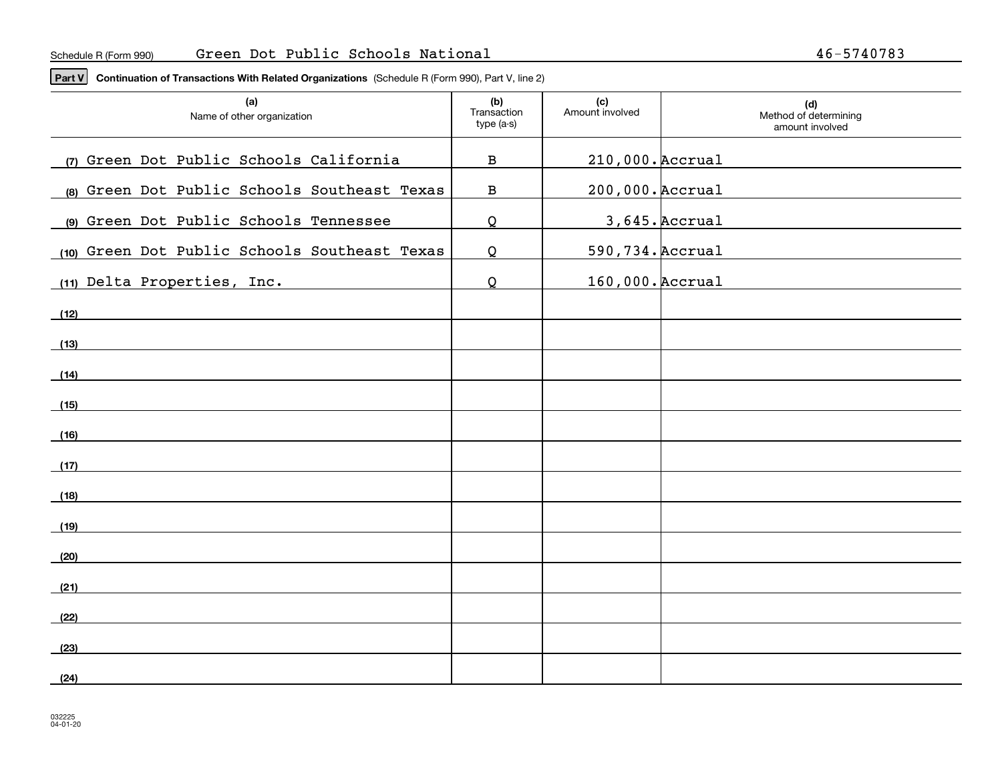**Part V Continuation of Transactions With Related Organizations**  (Schedule R (Form 990), Part V, line 2)

| (a)<br>Name of other organization             | (b)<br>Transaction<br>type (a-s) | (c)<br>Amount involved | (d)<br>Method of determining<br>amount involved |
|-----------------------------------------------|----------------------------------|------------------------|-------------------------------------------------|
| (7) Green Dot Public Schools California       | $\, {\bf B}$                     | 210,000. Accrual       |                                                 |
| (8) Green Dot Public Schools Southeast Texas  | $\, {\bf B}$                     | 200,000. Accrual       |                                                 |
| (9) Green Dot Public Schools Tennessee        | Q                                |                        | 3,645. Accrual                                  |
| (10) Green Dot Public Schools Southeast Texas | $\Omega$                         | 590, 734. Accrual      |                                                 |
| (11) Delta Properties, Inc.                   | Q                                | 160,000. Accrual       |                                                 |
| (12)                                          |                                  |                        |                                                 |
| (13)                                          |                                  |                        |                                                 |
| (14)                                          |                                  |                        |                                                 |
| (15)                                          |                                  |                        |                                                 |
| (16)                                          |                                  |                        |                                                 |
| (17)                                          |                                  |                        |                                                 |
| (18)                                          |                                  |                        |                                                 |
| (19)                                          |                                  |                        |                                                 |
| (20)                                          |                                  |                        |                                                 |
| (21)                                          |                                  |                        |                                                 |
| (22)                                          |                                  |                        |                                                 |
| (23)                                          |                                  |                        |                                                 |
| (24)                                          |                                  |                        |                                                 |
|                                               |                                  |                        |                                                 |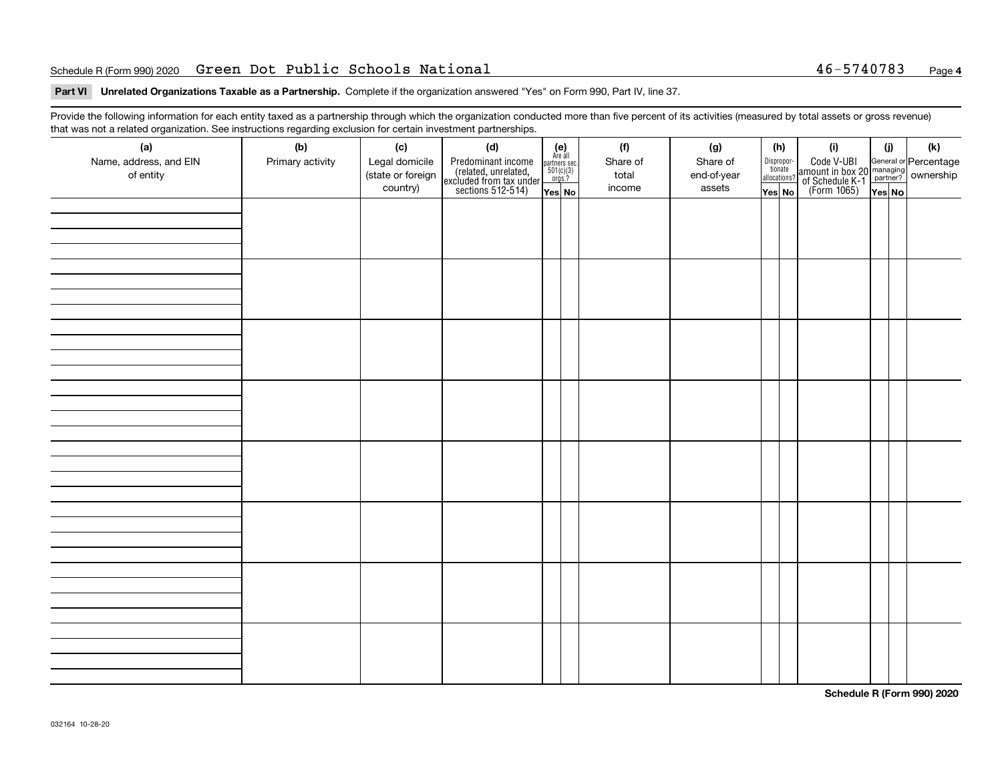### Schedule R(Form 990) 2020 **Green Dot Public Schools National 46-5740783** Page

## **4**

#### **Part VI Unrelated Organizations Taxable as a Partnership. Complete if the organization answered "Yes" on Form 990, Part IV, line 37.**

Provide the following information for each entity taxed as a partnership through which the organization conducted more than five percent of its activities (measured by total assets or gross revenue) that was not a related organization. See instructions regarding exclusion for certain investment partnerships.

| (a)<br>Name, address, and EIN<br>of entity | (b)<br>Primary activity | (c)<br>Legal domicile<br>(state or foreign<br>country) | (d)<br>Predominant income<br>(related, unrelated,<br>excluded from tax under<br>sections 512-514) | (e)<br>Are all<br>partners sec.<br>$\frac{501(c)(3)}{0rgs.?}$<br>Yes No | (f)<br>Share of<br>total<br>income | (g)<br>Share of<br>end-of-year<br>assets | (h)<br>Dispropor-<br>tionate<br>allocations?<br>Yes No | (i)<br>Code V-UBI<br>amount in box 20 managing<br>of Schedule K-1<br>(Form 1065)<br>$\overline{Yes}$ No | (i)<br>YesNO | $(\mathsf{k})$ |
|--------------------------------------------|-------------------------|--------------------------------------------------------|---------------------------------------------------------------------------------------------------|-------------------------------------------------------------------------|------------------------------------|------------------------------------------|--------------------------------------------------------|---------------------------------------------------------------------------------------------------------|--------------|----------------|
|                                            |                         |                                                        |                                                                                                   |                                                                         |                                    |                                          |                                                        |                                                                                                         |              |                |
|                                            |                         |                                                        |                                                                                                   |                                                                         |                                    |                                          |                                                        |                                                                                                         |              |                |
|                                            |                         |                                                        |                                                                                                   |                                                                         |                                    |                                          |                                                        |                                                                                                         |              |                |
|                                            |                         |                                                        |                                                                                                   |                                                                         |                                    |                                          |                                                        |                                                                                                         |              |                |
|                                            |                         |                                                        |                                                                                                   |                                                                         |                                    |                                          |                                                        |                                                                                                         |              |                |
|                                            |                         |                                                        |                                                                                                   |                                                                         |                                    |                                          |                                                        |                                                                                                         |              |                |
|                                            |                         |                                                        |                                                                                                   |                                                                         |                                    |                                          |                                                        |                                                                                                         |              |                |
|                                            |                         |                                                        |                                                                                                   |                                                                         |                                    |                                          |                                                        |                                                                                                         |              |                |

**Schedule R (Form 990) 2020**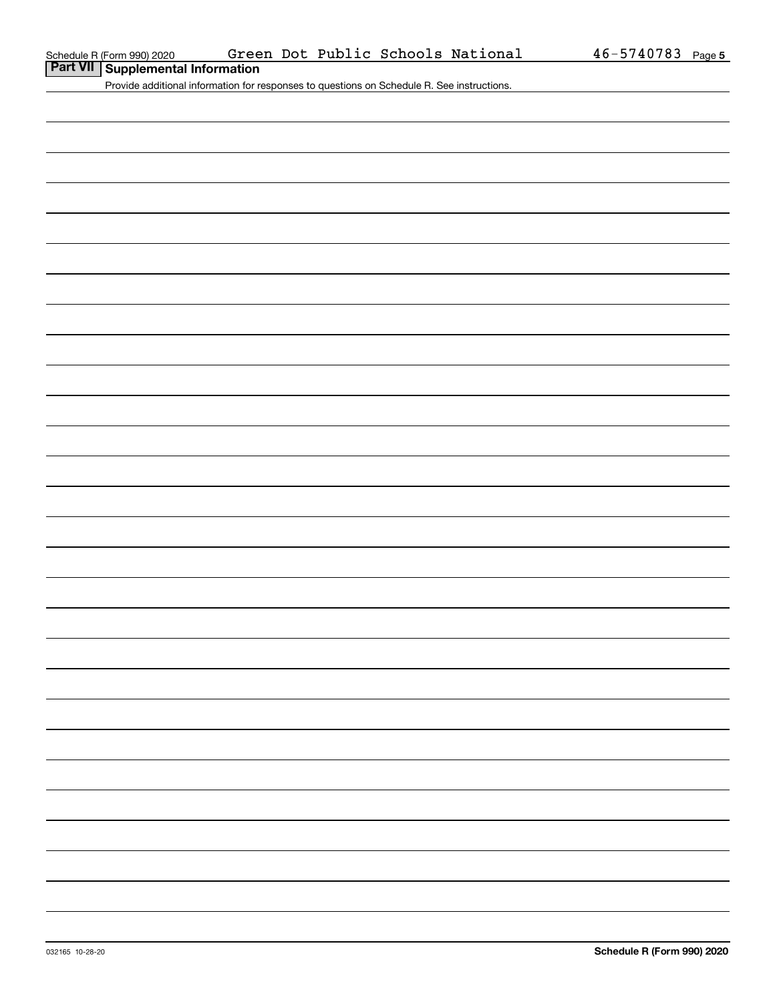**Part VII Supplemental Information**

Provide additional information for responses to questions on Schedule R. See instructions.